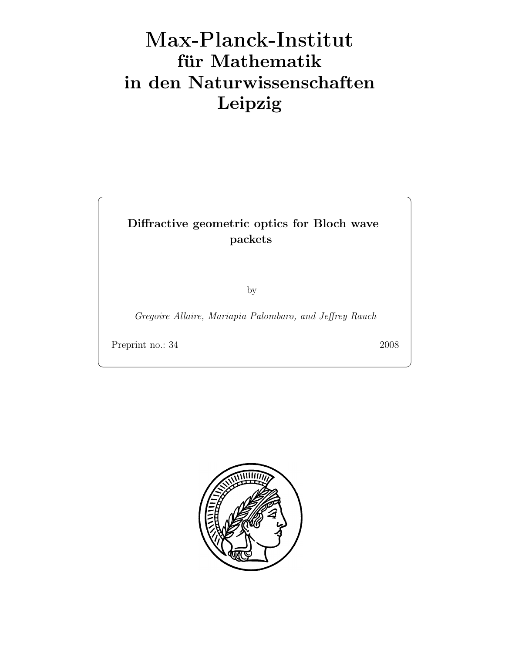# Max-Plan
k-Institut für Mathematik in den Naturwissenschaften Leipzig

# Diffractive geometric optics for Bloch wave packets

by

Gregoire Allaire, Mariapia Palombaro, and Jeffrey Rauch

Preprint no.: 34 2008

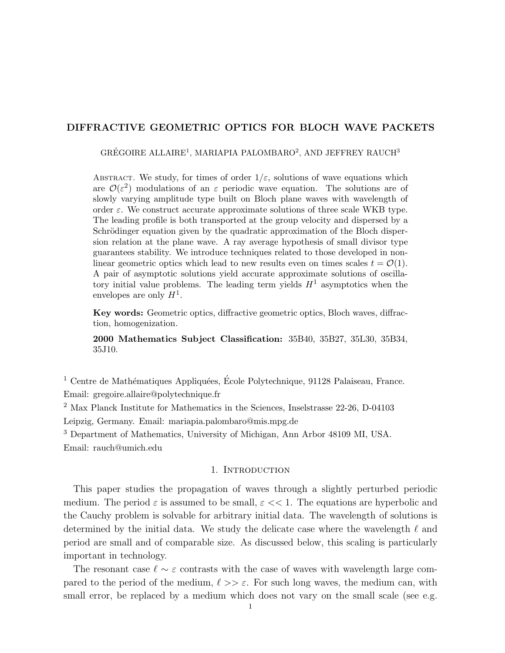# DIFFRACTIVE GEOMETRIC OPTICS FOR BLOCH WAVE PACKETS

GRÉGOIRE ALLAIRE<sup>1</sup>, MARIAPIA PALOMBARO<sup>2</sup>, AND JEFFREY RAUCH<sup>3</sup>

ABSTRACT. We study, for times of order  $1/\varepsilon$ , solutions of wave equations which are  $\mathcal{O}(\varepsilon^2)$  modulations of an  $\varepsilon$  periodic wave equation. The solutions are of slowly varying amplitude type built on Bloch plane waves with wavelength of order  $\varepsilon$ . We construct accurate approximate solutions of three scale WKB type. The leading profile is both transported at the group velocity and dispersed by a Schrödinger equation given by the quadratic approximation of the Bloch dispersion relation at the plane wave. A ray average hypothesis of small divisor type guarantees stability. We introduce techniques related to those developed in nonlinear geometric optics which lead to new results even on times scales  $t = \mathcal{O}(1)$ . A pair of asymptotic solutions yield accurate approximate solutions of oscillatory initial value problems. The leading term yields  $H<sup>1</sup>$  asymptotics when the envelopes are only  $H^1$ .

Key words: Geometric optics, diffractive geometric optics, Bloch waves, diffraction, homogenization.

2000 Mathematics Subject Classification: 35B40, 35B27, 35L30, 35B34, 35J10.

 $1$  Centre de Mathématiques Appliquées, École Polytechnique, 91128 Palaiseau, France. Email: gregoire.allaire@polytechnique.fr

<sup>2</sup> Max Planck Institute for Mathematics in the Sciences, Inselstrasse 22-26, D-04103 Leipzig, Germany. Email: mariapia.palombaro@mis.mpg.de

<sup>3</sup> Department of Mathematics, University of Michigan, Ann Arbor 48109 MI, USA. Email: rauch@umich.edu

#### 1. INTRODUCTION

This paper studies the propagation of waves through a slightly perturbed periodic medium. The period  $\varepsilon$  is assumed to be small,  $\varepsilon \ll 1$ . The equations are hyperbolic and the Cauchy problem is solvable for arbitrary initial data. The wavelength of solutions is determined by the initial data. We study the delicate case where the wavelength  $\ell$  and period are small and of comparable size. As discussed below, this scaling is particularly important in technology.

The resonant case  $\ell \sim \varepsilon$  contrasts with the case of waves with wavelength large compared to the period of the medium,  $\ell >> \varepsilon$ . For such long waves, the medium can, with small error, be replaced by a medium which does not vary on the small scale (see e.g.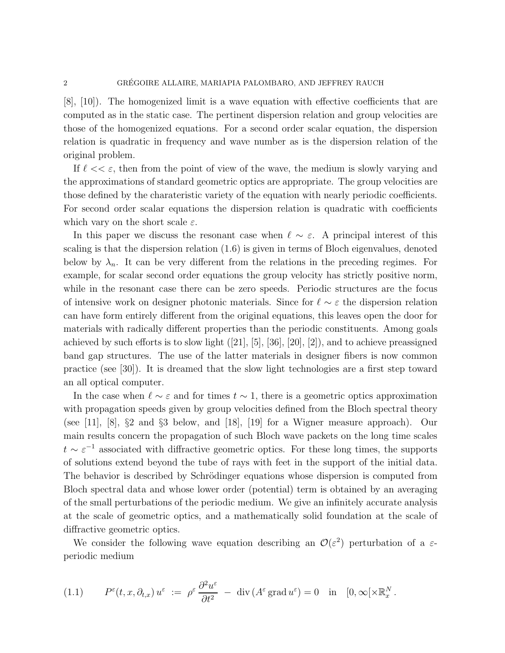[8], [10]). The homogenized limit is a wave equation with effective coefficients that are computed as in the static case. The pertinent dispersion relation and group velocities are those of the homogenized equations. For a second order scalar equation, the dispersion relation is quadratic in frequency and wave number as is the dispersion relation of the original problem.

If  $\ell << \varepsilon$ , then from the point of view of the wave, the medium is slowly varying and the approximations of standard geometric optics are appropriate. The group velocities are those defined by the charateristic variety of the equation with nearly periodic coefficients. For second order scalar equations the dispersion relation is quadratic with coefficients which vary on the short scale  $\varepsilon$ .

In this paper we discuss the resonant case when  $\ell \sim \varepsilon$ . A principal interest of this scaling is that the dispersion relation (1.6) is given in terms of Bloch eigenvalues, denoted below by  $\lambda_n$ . It can be very different from the relations in the preceding regimes. For example, for scalar second order equations the group velocity has strictly positive norm, while in the resonant case there can be zero speeds. Periodic structures are the focus of intensive work on designer photonic materials. Since for  $\ell \sim \varepsilon$  the dispersion relation can have form entirely different from the original equations, this leaves open the door for materials with radically different properties than the periodic constituents. Among goals achieved by such efforts is to slow light  $([21], [5], [36], [20], [2])$ , and to achieve preassigned band gap structures. The use of the latter materials in designer fibers is now common practice (see [30]). It is dreamed that the slow light technologies are a first step toward an all optical computer.

In the case when  $\ell \sim \varepsilon$  and for times  $t \sim 1$ , there is a geometric optics approximation with propagation speeds given by group velocities defined from the Bloch spectral theory (see [11], [8], §2 and §3 below, and [18], [19] for a Wigner measure approach). Our main results concern the propagation of such Bloch wave packets on the long time scales  $t \sim \varepsilon^{-1}$  associated with diffractive geometric optics. For these long times, the supports of solutions extend beyond the tube of rays with feet in the support of the initial data. The behavior is described by Schrödinger equations whose dispersion is computed from Bloch spectral data and whose lower order (potential) term is obtained by an averaging of the small perturbations of the periodic medium. We give an infinitely accurate analysis at the scale of geometric optics, and a mathematically solid foundation at the scale of diffractive geometric optics.

We consider the following wave equation describing an  $\mathcal{O}(\varepsilon^2)$  perturbation of a  $\varepsilon$ periodic medium

(1.1) 
$$
P^{\varepsilon}(t,x,\partial_{t,x}) u^{\varepsilon} := \rho^{\varepsilon} \frac{\partial^2 u^{\varepsilon}}{\partial t^2} - \text{div} (A^{\varepsilon} \text{grad } u^{\varepsilon}) = 0 \text{ in } [0,\infty[\times \mathbb{R}^N_x].
$$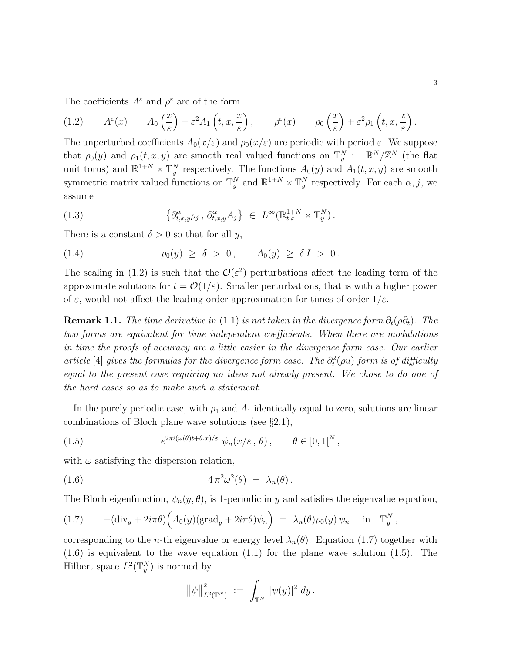The coefficients  $A^{\varepsilon}$  and  $\rho^{\varepsilon}$  are of the form

(1.2) 
$$
A^{\varepsilon}(x) = A_0\left(\frac{x}{\varepsilon}\right) + \varepsilon^2 A_1\left(t, x, \frac{x}{\varepsilon}\right), \qquad \rho^{\varepsilon}(x) = \rho_0\left(\frac{x}{\varepsilon}\right) + \varepsilon^2 \rho_1\left(t, x, \frac{x}{\varepsilon}\right).
$$

The unperturbed coefficients  $A_0(x/\varepsilon)$  and  $\rho_0(x/\varepsilon)$  are periodic with period  $\varepsilon$ . We suppose that  $\rho_0(y)$  and  $\rho_1(t, x, y)$  are smooth real valued functions on  $\mathbb{T}_y^N := \mathbb{R}^N / \mathbb{Z}^N$  (the flat unit torus) and  $\mathbb{R}^{1+N} \times \mathbb{T}_y^N$  respectively. The functions  $A_0(y)$  and  $A_1(t, x, y)$  are smooth symmetric matrix valued functions on  $\mathbb{T}_y^N$  and  $\mathbb{R}^{1+N} \times \mathbb{T}_y^N$  respectively. For each  $\alpha, j$ , we assume

(1.3) 
$$
\left\{\partial_{t,x,y}^{\alpha}\rho_j,\,\partial_{t,x,y}^{\alpha}A_j\right\} \in L^{\infty}(\mathbb{R}^{1+N}_{t,x}\times\mathbb{T}^N_y).
$$

There is a constant  $\delta > 0$  so that for all y,

(1.4) 
$$
\rho_0(y) \ge \delta > 0, \qquad A_0(y) \ge \delta I > 0.
$$

The scaling in (1.2) is such that the  $\mathcal{O}(\varepsilon^2)$  perturbations affect the leading term of the approximate solutions for  $t = \mathcal{O}(1/\varepsilon)$ . Smaller perturbations, that is with a higher power of  $\varepsilon$ , would not affect the leading order approximation for times of order  $1/\varepsilon$ .

**Remark 1.1.** The time derivative in (1.1) is not taken in the divergence form  $\partial_t(\rho \partial_t)$ . The two forms are equivalent for time independent coefficients. When there are modulations in time the proofs of accuracy are a little easier in the divergence form case. Our earlier article [4] gives the formulas for the divergence form case. The  $\partial_t^2(\rho u)$  form is of difficulty equal to the present case requiring no ideas not already present. We chose to do one of the hard cases so as to make such a statement.

In the purely periodic case, with  $\rho_1$  and  $A_1$  identically equal to zero, solutions are linear combinations of Bloch plane wave solutions (see §2.1),

(1.5) 
$$
e^{2\pi i(\omega(\theta)t + \theta \cdot x)/\varepsilon} \psi_n(x/\varepsilon, \theta), \qquad \theta \in [0, 1]^N,
$$

with  $\omega$  satisfying the dispersion relation,

(1.6) 
$$
4\pi^2\omega^2(\theta) = \lambda_n(\theta).
$$

The Bloch eigenfunction,  $\psi_n(y, \theta)$ , is 1-periodic in y and satisfies the eigenvalue equation,

(1.7) 
$$
-(\text{div}_y + 2i\pi\theta)\Big(A_0(y)(\text{grad}_y + 2i\pi\theta)\psi_n\Big) = \lambda_n(\theta)\rho_0(y)\psi_n \text{ in } \mathbb{T}_y^N,
$$

corresponding to the *n*-th eigenvalue or energy level  $\lambda_n(\theta)$ . Equation (1.7) together with (1.6) is equivalent to the wave equation (1.1) for the plane wave solution (1.5). The Hilbert space  $L^2(\mathbb{T}_y^N)$  is normed by

$$
\big\|\psi\big\|_{L^2(\mathbb{T}^N)}^2\;:=\;\int_{\mathbb{T}^N}\,|\psi(y)|^2\;dy\,.
$$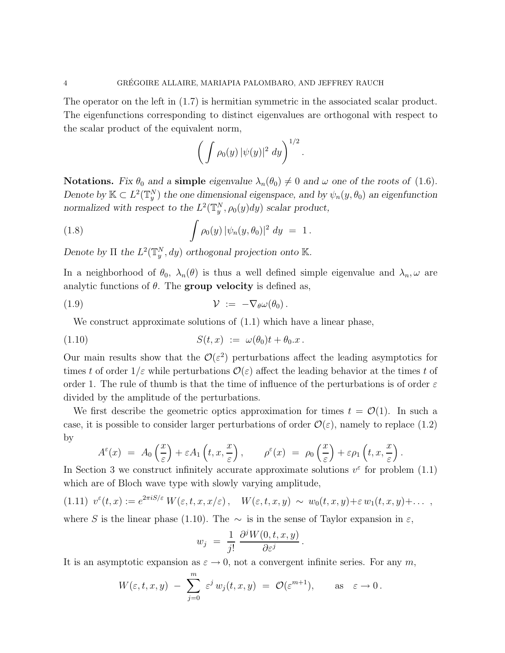The operator on the left in (1.7) is hermitian symmetric in the associated scalar product. The eigenfunctions corresponding to distinct eigenvalues are orthogonal with respect to the scalar product of the equivalent norm,

$$
\left(\int \rho_0(y) \, |\psi(y)|^2 \ dy\right)^{1/2}
$$

.

**Notations.** Fix  $\theta_0$  and a **simple** eigenvalue  $\lambda_n(\theta_0) \neq 0$  and  $\omega$  one of the roots of (1.6). Denote by  $\mathbb{K} \subset L^2(\mathbb{T}_y^N)$  the one dimensional eigenspace, and by  $\psi_n(y, \theta_0)$  an eigenfunction normalized with respect to the  $L^2(\mathbb{T}_{y}^N, \rho_0(y)dy)$  scalar product,

(1.8) 
$$
\int \rho_0(y) |\psi_n(y,\theta_0)|^2 dy = 1.
$$

Denote by  $\Pi$  the  $L^2(\mathbb{T}_{y}^N, dy)$  orthogonal projection onto K.

In a neighborhood of  $\theta_0$ ,  $\lambda_n(\theta)$  is thus a well defined simple eigenvalue and  $\lambda_n, \omega$  are analytic functions of  $\theta$ . The **group velocity** is defined as,

(1.9) V := −∇θω(θ0).

We construct approximate solutions of  $(1.1)$  which have a linear phase,

$$
(1.10) \tS(t,x) := \omega(\theta_0)t + \theta_0.x.
$$

Our main results show that the  $\mathcal{O}(\varepsilon^2)$  perturbations affect the leading asymptotics for times t of order  $1/\varepsilon$  while perturbations  $\mathcal{O}(\varepsilon)$  affect the leading behavior at the times t of order 1. The rule of thumb is that the time of influence of the perturbations is of order  $\varepsilon$ divided by the amplitude of the perturbations.

We first describe the geometric optics approximation for times  $t = \mathcal{O}(1)$ . In such a case, it is possible to consider larger perturbations of order  $\mathcal{O}(\varepsilon)$ , namely to replace (1.2) by

$$
A^{\varepsilon}(x) = A_0\left(\frac{x}{\varepsilon}\right) + \varepsilon A_1\left(t, x, \frac{x}{\varepsilon}\right), \qquad \rho^{\varepsilon}(x) = \rho_0\left(\frac{x}{\varepsilon}\right) + \varepsilon \rho_1\left(t, x, \frac{x}{\varepsilon}\right).
$$

In Section 3 we construct infinitely accurate approximate solutions  $v^{\varepsilon}$  for problem (1.1) which are of Bloch wave type with slowly varying amplitude,

$$
(1.11) \ v^{\varepsilon}(t,x) := e^{2\pi i S/\varepsilon} W(\varepsilon,t,x,x/\varepsilon), \quad W(\varepsilon,t,x,y) \sim w_0(t,x,y) + \varepsilon w_1(t,x,y) + \dots,
$$

where S is the linear phase (1.10). The  $\sim$  is in the sense of Taylor expansion in  $\varepsilon$ ,

$$
w_j = \frac{1}{j!} \, \frac{\partial^j W(0, t, x, y)}{\partial \varepsilon^j}
$$

.

It is an asymptotic expansion as  $\varepsilon \to 0$ , not a convergent infinite series. For any m,

$$
W(\varepsilon, t, x, y) - \sum_{j=0}^{m} \varepsilon^{j} w_{j}(t, x, y) = \mathcal{O}(\varepsilon^{m+1}), \quad \text{as} \quad \varepsilon \to 0.
$$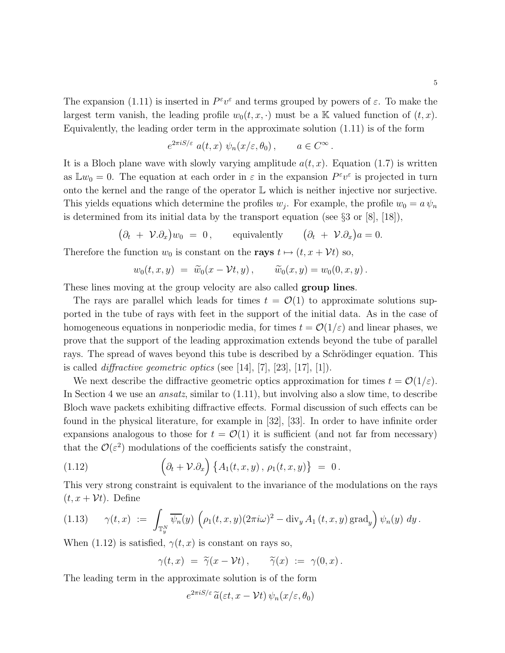The expansion (1.11) is inserted in  $P^{\varepsilon}v^{\varepsilon}$  and terms grouped by powers of  $\varepsilon$ . To make the largest term vanish, the leading profile  $w_0(t, x, \cdot)$  must be a K valued function of  $(t, x)$ . Equivalently, the leading order term in the approximate solution (1.11) is of the form

$$
e^{2\pi i S/\varepsilon} a(t, x) \psi_n(x/\varepsilon, \theta_0), \qquad a \in C^\infty.
$$

It is a Bloch plane wave with slowly varying amplitude  $a(t, x)$ . Equation (1.7) is written as  $\mathbb{L}w_0 = 0$ . The equation at each order in  $\varepsilon$  in the expansion  $P^{\varepsilon}v^{\varepsilon}$  is projected in turn onto the kernel and the range of the operator  $\mathbb L$  which is neither injective nor surjective. This yields equations which determine the profiles  $w_j$ . For example, the profile  $w_0 = a \psi_n$ is determined from its initial data by the transport equation (see §3 or [8], [18]),

 $(\partial_t + \mathcal{V}.\partial_x)w_0 = 0$ , equivalently  $(\partial_t + \mathcal{V}.\partial_x)a = 0$ .

Therefore the function  $w_0$  is constant on the **rays**  $t \mapsto (t, x + \mathcal{V}t)$  so,

$$
w_0(t,x,y) = \widetilde{w}_0(x-\mathcal{V}t,y), \qquad \widetilde{w}_0(x,y) = w_0(0,x,y).
$$

These lines moving at the group velocity are also called **group lines**.

The rays are parallel which leads for times  $t = \mathcal{O}(1)$  to approximate solutions supported in the tube of rays with feet in the support of the initial data. As in the case of homogeneous equations in nonperiodic media, for times  $t = \mathcal{O}(1/\varepsilon)$  and linear phases, we prove that the support of the leading approximation extends beyond the tube of parallel rays. The spread of waves beyond this tube is described by a Schrödinger equation. This is called *diffractive geometric optics* (see [14], [7], [23], [17], [1]).

We next describe the diffractive geometric optics approximation for times  $t = \mathcal{O}(1/\varepsilon)$ . In Section 4 we use an ansatz, similar to (1.11), but involving also a slow time, to describe Bloch wave packets exhibiting diffractive effects. Formal discussion of such effects can be found in the physical literature, for example in [32], [33]. In order to have infinite order expansions analogous to those for  $t = \mathcal{O}(1)$  it is sufficient (and not far from necessary) that the  $\mathcal{O}(\varepsilon^2)$  modulations of the coefficients satisfy the constraint,

(1.12) 
$$
\left(\partial_t + \mathcal{V}.\partial_x\right)\left\{A_1(t,x,y),\,\rho_1(t,x,y)\right\} = 0.
$$

This very strong constraint is equivalent to the invariance of the modulations on the rays  $(t, x + \mathcal{V}t)$ . Define

$$
(1.13) \qquad \gamma(t,x) \; := \; \int_{\mathbb{T}_y^N} \overline{\psi_n}(y) \, \left( \rho_1(t,x,y) (2\pi i \omega)^2 - \text{div}_y A_1(t,x,y) \, \text{grad}_y \right) \psi_n(y) \, dy \, .
$$

When (1.12) is satisfied,  $\gamma(t, x)$  is constant on rays so,

$$
\gamma(t,x) = \widetilde{\gamma}(x-\mathcal{V}t), \qquad \widetilde{\gamma}(x) := \gamma(0,x).
$$

The leading term in the approximate solution is of the form

$$
e^{2\pi i S/\varepsilon} \widetilde{a}(\varepsilon t, x - \mathcal{V}t) \psi_n(x/\varepsilon, \theta_0)
$$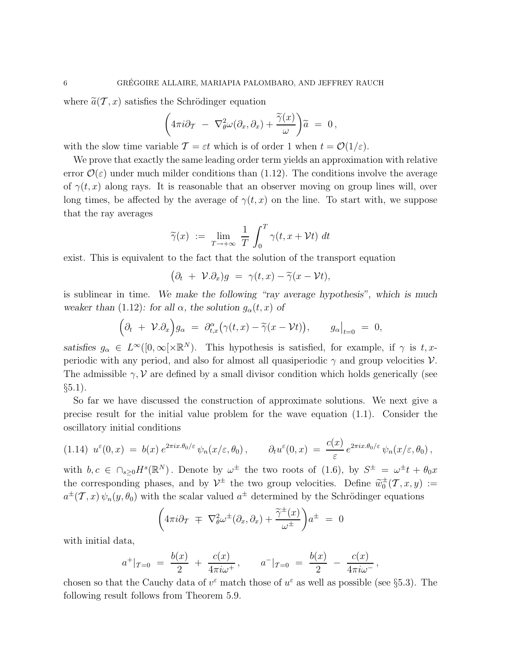where  $\tilde{a}(\mathcal{T}, x)$  satisfies the Schrödinger equation

$$
\left(4\pi i\partial_T - \nabla_\theta^2 \omega(\partial_x,\partial_x) + \frac{\widetilde{\gamma}(x)}{\omega}\right)\widetilde{a} = 0,
$$

with the slow time variable  $\mathcal{T} = \varepsilon t$  which is of order 1 when  $t = \mathcal{O}(1/\varepsilon)$ .

We prove that exactly the same leading order term yields an approximation with relative error  $\mathcal{O}(\varepsilon)$  under much milder conditions than (1.12). The conditions involve the average of  $\gamma(t, x)$  along rays. It is reasonable that an observer moving on group lines will, over long times, be affected by the average of  $\gamma(t, x)$  on the line. To start with, we suppose that the ray averages

$$
\widetilde{\gamma}(x) := \lim_{T \to +\infty} \frac{1}{T} \int_0^T \gamma(t, x + \mathcal{V}t) dt
$$

exist. This is equivalent to the fact that the solution of the transport equation

$$
(\partial_t + \mathcal{V}.\partial_x)g = \gamma(t,x) - \widetilde{\gamma}(x - \mathcal{V}t),
$$

is sublinear in time. We make the following "ray average hypothesis", which is much weaker than (1.12): for all  $\alpha$ , the solution  $g_{\alpha}(t, x)$  of

$$
(\partial_t + \mathcal{V}.\partial_x) g_\alpha = \partial_{t,x}^\alpha (\gamma(t,x) - \widetilde{\gamma}(x-\mathcal{V}t)), \qquad g_\alpha|_{t=0} = 0,
$$

satisfies  $g_{\alpha} \in L^{\infty}([0,\infty[\times \mathbb{R}^N])$ . This hypothesis is satisfied, for example, if  $\gamma$  is  $t, x$ periodic with any period, and also for almost all quasiperiodic  $\gamma$  and group velocities  $\mathcal V$ . The admissible  $\gamma$ , V are defined by a small divisor condition which holds generically (see  $\S 5.1$ ).

So far we have discussed the construction of approximate solutions. We next give a precise result for the initial value problem for the wave equation (1.1). Consider the oscillatory initial conditions

$$
(1.14) \ \ u^{\varepsilon}(0,x) \ = \ b(x) \ e^{2\pi ix.\theta_0/\varepsilon} \psi_n(x/\varepsilon,\theta_0) \, , \qquad \partial_t u^{\varepsilon}(0,x) \ = \ \frac{c(x)}{\varepsilon} \ e^{2\pi ix.\theta_0/\varepsilon} \psi_n(x/\varepsilon,\theta_0) \, ,
$$

with  $b, c \in \bigcap_{s\geq 0} H^s(\mathbb{R}^N)$ . Denote by  $\omega^{\pm}$  the two roots of (1.6), by  $S^{\pm} = \omega^{\pm}t + \theta_0 x$ the corresponding phases, and by  $\mathcal{V}^{\pm}$  the two group velocities. Define  $\widetilde{w}_0^{\pm}(\mathcal{T}, x, y) :=$  $a^{\pm}(\mathcal{T},x)\psi_n(y,\theta_0)$  with the scalar valued  $a^{\pm}$  determined by the Schrödinger equations

$$
\left(4\pi i\partial_{\mathcal{T}}\ \mp\ \nabla_{\theta}^{2}\omega^{\pm}(\partial_{x},\partial_{x})+\frac{\widetilde{\gamma}^{\pm}(x)}{\omega^{\pm}}\right)a^{\pm}\ =\ 0
$$

with initial data,

$$
a^+|_{\mathcal{T}=0} = \frac{b(x)}{2} + \frac{c(x)}{4\pi i \omega^+}, \qquad a^-|_{\mathcal{T}=0} = \frac{b(x)}{2} - \frac{c(x)}{4\pi i \omega^-},
$$

chosen so that the Cauchy data of  $v^{\varepsilon}$  match those of  $u^{\varepsilon}$  as well as possible (see §5.3). The following result follows from Theorem 5.9.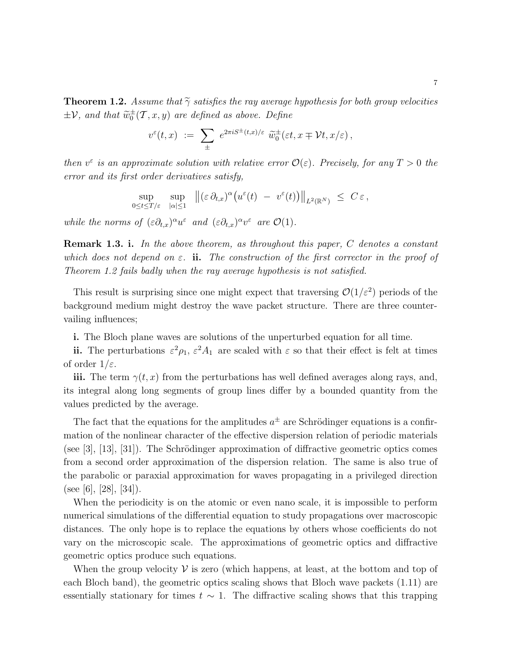**Theorem 1.2.** Assume that  $\tilde{\gamma}$  satisfies the ray average hypothesis for both group velocities  $\pm \mathcal{V}$ , and that  $\widetilde{\omega}_0^{\pm}(\mathcal{T}, x, y)$  are defined as above. Define

$$
v^{\varepsilon}(t,x) \; := \; \sum_{\pm} \; e^{2\pi i S^{\pm}(t,x)/\varepsilon} \; \widetilde{w}_0^{\pm}(\varepsilon t,x \mp \mathcal{V}t,x/\varepsilon) \,,
$$

then  $v^{\varepsilon}$  is an approximate solution with relative error  $\mathcal{O}(\varepsilon)$ . Precisely, for any  $T > 0$  the error and its first order derivatives satisfy,

$$
\sup_{0\leq t\leq T/\varepsilon}\sup_{|\alpha|\leq 1}\|\big(\varepsilon\,\partial_{t,x})^\alpha\big(u^\varepsilon(t)\;-\;v^\varepsilon(t)\big)\big\|_{L^2(\mathbb{R}^N)}\;\leq \;C\,\varepsilon\,,
$$

while the norms of  $(\varepsilon \partial_{t,x})^{\alpha} u^{\varepsilon}$  and  $(\varepsilon \partial_{t,x})^{\alpha} v^{\varepsilon}$  are  $\mathcal{O}(1)$ .

**Remark 1.3. i.** In the above theorem, as throughout this paper,  $C$  denotes a constant which does not depend on  $\varepsilon$ . ii. The construction of the first corrector in the proof of Theorem 1.2 fails badly when the ray average hypothesis is not satisfied.

This result is surprising since one might expect that traversing  $\mathcal{O}(1/\varepsilon^2)$  periods of the background medium might destroy the wave packet structure. There are three countervailing influences;

i. The Bloch plane waves are solutions of the unperturbed equation for all time.

ii. The perturbations  $\varepsilon^2 \rho_1$ ,  $\varepsilon^2 A_1$  are scaled with  $\varepsilon$  so that their effect is felt at times of order  $1/\varepsilon$ .

iii. The term  $\gamma(t, x)$  from the perturbations has well defined averages along rays, and, its integral along long segments of group lines differ by a bounded quantity from the values predicted by the average.

The fact that the equations for the amplitudes  $a^{\pm}$  are Schrödinger equations is a confirmation of the nonlinear character of the effective dispersion relation of periodic materials (see [3], [13], [31]). The Schrödinger approximation of diffractive geometric optics comes from a second order approximation of the dispersion relation. The same is also true of the parabolic or paraxial approximation for waves propagating in a privileged direction (see [6], [28], [34]).

When the periodicity is on the atomic or even nano scale, it is impossible to perform numerical simulations of the differential equation to study propagations over macroscopic distances. The only hope is to replace the equations by others whose coefficients do not vary on the microscopic scale. The approximations of geometric optics and diffractive geometric optics produce such equations.

When the group velocity  $\mathcal V$  is zero (which happens, at least, at the bottom and top of each Bloch band), the geometric optics scaling shows that Bloch wave packets (1.11) are essentially stationary for times  $t \sim 1$ . The diffractive scaling shows that this trapping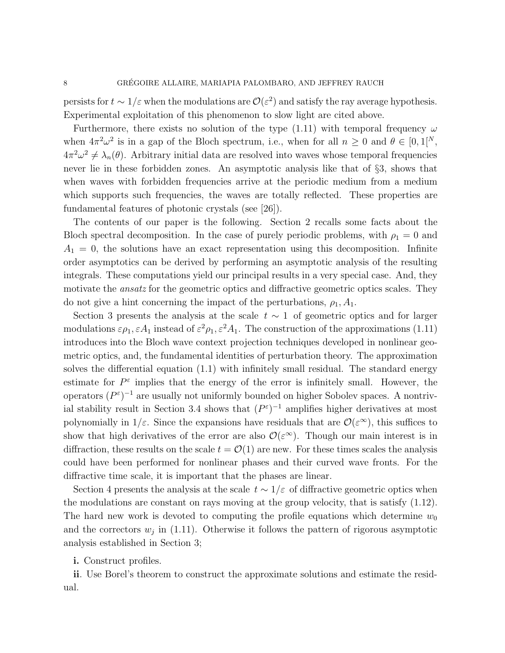persists for  $t \sim 1/\varepsilon$  when the modulations are  $\mathcal{O}(\varepsilon^2)$  and satisfy the ray average hypothesis. Experimental exploitation of this phenomenon to slow light are cited above.

Furthermore, there exists no solution of the type (1.11) with temporal frequency  $\omega$ when  $4\pi^2\omega^2$  is in a gap of the Bloch spectrum, i.e., when for all  $n \geq 0$  and  $\theta \in [0,1]^N$ ,  $4\pi^2\omega^2 \neq \lambda_n(\theta)$ . Arbitrary initial data are resolved into waves whose temporal frequencies never lie in these forbidden zones. An asymptotic analysis like that of §3, shows that when waves with forbidden frequencies arrive at the periodic medium from a medium which supports such frequencies, the waves are totally reflected. These properties are fundamental features of photonic crystals (see [26]).

The contents of our paper is the following. Section 2 recalls some facts about the Bloch spectral decomposition. In the case of purely periodic problems, with  $\rho_1 = 0$  and  $A_1 = 0$ , the solutions have an exact representation using this decomposition. Infinite order asymptotics can be derived by performing an asymptotic analysis of the resulting integrals. These computations yield our principal results in a very special case. And, they motivate the *ansatz* for the geometric optics and diffractive geometric optics scales. They do not give a hint concerning the impact of the perturbations,  $\rho_1$ ,  $A_1$ .

Section 3 presents the analysis at the scale  $t \sim 1$  of geometric optics and for larger modulations  $\varepsilon \rho_1, \varepsilon A_1$  instead of  $\varepsilon^2 \rho_1, \varepsilon^2 A_1$ . The construction of the approximations (1.11) introduces into the Bloch wave context projection techniques developed in nonlinear geometric optics, and, the fundamental identities of perturbation theory. The approximation solves the differential equation (1.1) with infinitely small residual. The standard energy estimate for  $P^{\varepsilon}$  implies that the energy of the error is infinitely small. However, the operators  $(P^{\varepsilon})^{-1}$  are usually not uniformly bounded on higher Sobolev spaces. A nontrivial stability result in Section 3.4 shows that  $(P^{\varepsilon})^{-1}$  amplifies higher derivatives at most polynomially in  $1/\varepsilon$ . Since the expansions have residuals that are  $\mathcal{O}(\varepsilon^{\infty})$ , this suffices to show that high derivatives of the error are also  $\mathcal{O}(\varepsilon^{\infty})$ . Though our main interest is in diffraction, these results on the scale  $t = \mathcal{O}(1)$  are new. For these times scales the analysis could have been performed for nonlinear phases and their curved wave fronts. For the diffractive time scale, it is important that the phases are linear.

Section 4 presents the analysis at the scale  $t \sim 1/\varepsilon$  of diffractive geometric optics when the modulations are constant on rays moving at the group velocity, that is satisfy (1.12). The hard new work is devoted to computing the profile equations which determine  $w_0$ and the correctors  $w_j$  in (1.11). Otherwise it follows the pattern of rigorous asymptotic analysis established in Section 3;

### i. Construct profiles.

ii. Use Borel's theorem to construct the approximate solutions and estimate the residual.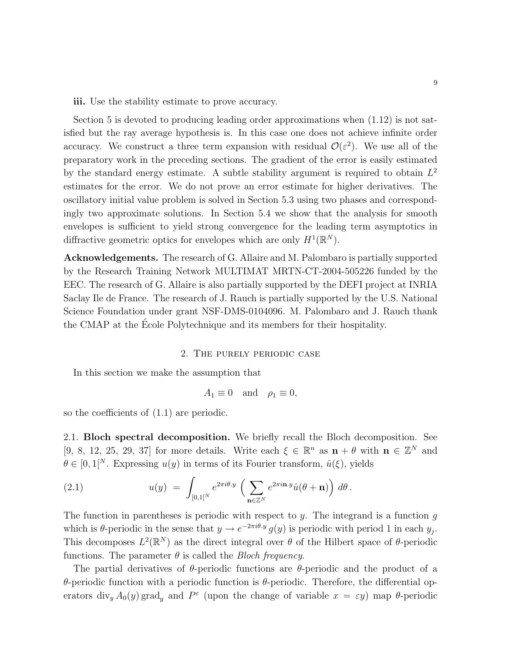iii. Use the stability estimate to prove accuracy.

Section 5 is devoted to producing leading order approximations when (1.12) is not satisfied but the ray average hypothesis is. In this case one does not achieve infinite order accuracy. We construct a three term expansion with residual  $\mathcal{O}(\varepsilon^2)$ . We use all of the preparatory work in the preceding sections. The gradient of the error is easily estimated by the standard energy estimate. A subtle stability argument is required to obtain  $L^2$ estimates for the error. We do not prove an error estimate for higher derivatives. The oscillatory initial value problem is solved in Section 5.3 using two phases and correspondingly two approximate solutions. In Section 5.4 we show that the analysis for smooth envelopes is sufficient to yield strong convergence for the leading term asymptotics in diffractive geometric optics for envelopes which are only  $H^1(\mathbb{R}^N)$ .

Acknowledgements. The research of G. Allaire and M. Palombaro is partially supported by the Research Training Network MULTIMAT MRTN-CT-2004-505226 funded by the EEC. The research of G. Allaire is also partially supported by the DEFI project at INRIA Saclay Ile de France. The research of J. Rauch is partially supported by the U.S. National Science Foundation under grant NSF-DMS-0104096. M. Palombaro and J. Rauch thank the CMAP at the Ecole Polytechnique and its members for their hospitality. ´

# 2. The purely periodic case

In this section we make the assumption that

$$
A_1 \equiv 0 \quad \text{and} \quad \rho_1 \equiv 0,
$$

so the coefficients of (1.1) are periodic.

2.1. Bloch spectral decomposition. We briefly recall the Bloch decomposition. See [9, 8, 12, 25, 29, 37] for more details. Write each  $\xi \in \mathbb{R}^n$  as  $\mathbf{n} + \theta$  with  $\mathbf{n} \in \mathbb{Z}^N$  and  $\theta \in [0, 1]^N$ . Expressing  $u(y)$  in terms of its Fourier transform,  $\hat{u}(\xi)$ , yields

(2.1) 
$$
u(y) = \int_{[0,1]^N} e^{2\pi i \theta \cdot y} \left( \sum_{\mathbf{n} \in \mathbb{Z}^N} e^{2\pi i \mathbf{n} \cdot y} \hat{u}(\theta + \mathbf{n}) \right) d\theta.
$$

The function in parentheses is periodic with respect to  $y$ . The integrand is a function  $g$ which is  $\theta$ -periodic in the sense that  $y \to e^{-2\pi i \theta y} g(y)$  is periodic with period 1 in each  $y_j$ . This decomposes  $L^2(\mathbb{R}^N)$  as the direct integral over  $\theta$  of the Hilbert space of  $\theta$ -periodic functions. The parameter  $\theta$  is called the *Bloch frequency*.

The partial derivatives of  $\theta$ -periodic functions are  $\theta$ -periodic and the product of a θ-periodic function with a periodic function is θ-periodic. Therefore, the differential operators div<sub>y</sub>  $A_0(y)$  grad<sub>y</sub> and  $P^{\varepsilon}$  (upon the change of variable  $x = \varepsilon y$ ) map  $\theta$ -periodic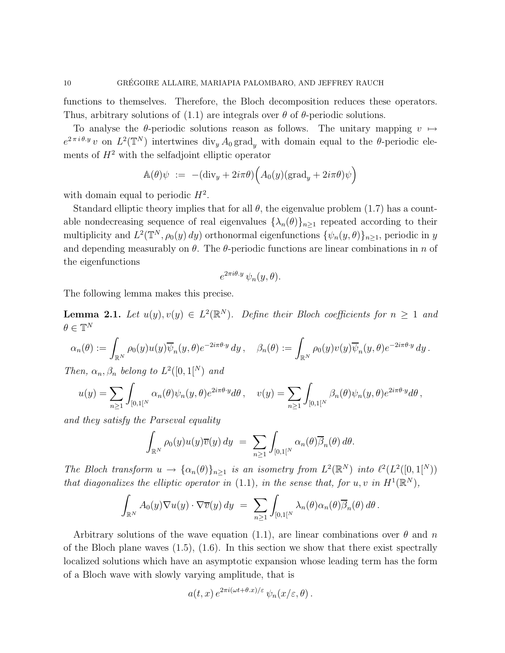functions to themselves. Therefore, the Bloch decomposition reduces these operators. Thus, arbitrary solutions of (1.1) are integrals over  $\theta$  of  $\theta$ -periodic solutions.

To analyse the  $\theta$ -periodic solutions reason as follows. The unitary mapping  $v \mapsto$  $e^{2\pi i\theta \cdot y}v$  on  $L^2(\mathbb{T}^N)$  intertwines div<sub>y</sub>  $A_0$  grad<sub>y</sub> with domain equal to the  $\theta$ -periodic elements of  $H^2$  with the selfadjoint elliptic operator

$$
\mathbb{A}(\theta)\psi \; := \; -(\text{div}_y + 2i\pi\theta)\Big(A_0(y)(\text{grad}_y + 2i\pi\theta)\psi\Big)
$$

with domain equal to periodic  $H^2$ .

Standard elliptic theory implies that for all  $\theta$ , the eigenvalue problem (1.7) has a countable nondecreasing sequence of real eigenvalues  $\{\lambda_n(\theta)\}_{n\geq 1}$  repeated according to their multiplicity and  $L^2(\mathbb{T}^N, \rho_0(y) dy)$  orthonormal eigenfunctions  $\{\psi_n(y, \theta)\}_{n \geq 1}$ , periodic in y and depending measurably on  $\theta$ . The  $\theta$ -periodic functions are linear combinations in n of the eigenfunctions

$$
e^{2\pi i\theta \cdot y} \psi_n(y,\theta).
$$

The following lemma makes this precise.

**Lemma 2.1.** Let  $u(y), v(y) \in L^2(\mathbb{R}^N)$ . Define their Bloch coefficients for  $n \geq 1$  and  $\theta \in \mathbb{T}^N$ 

$$
\alpha_n(\theta) := \int_{\mathbb{R}^N} \rho_0(y) u(y) \overline{\psi}_n(y,\theta) e^{-2i\pi \theta \cdot y} dy, \quad \beta_n(\theta) := \int_{\mathbb{R}^N} \rho_0(y) v(y) \overline{\psi}_n(y,\theta) e^{-2i\pi \theta \cdot y} dy.
$$

Then,  $\alpha_n, \beta_n$  belong to  $L^2([0,1]^N)$  and

$$
u(y) = \sum_{n\geq 1} \int_{[0,1]^N} \alpha_n(\theta) \psi_n(y,\theta) e^{2i\pi \theta \cdot y} d\theta, \quad v(y) = \sum_{n\geq 1} \int_{[0,1]^N} \beta_n(\theta) \psi_n(y,\theta) e^{2i\pi \theta \cdot y} d\theta,
$$

and they satisfy the Parseval equality

$$
\int_{\mathbb{R}^N} \rho_0(y) u(y) \overline{v}(y) dy = \sum_{n \geq 1} \int_{[0,1]^N} \alpha_n(\theta) \overline{\beta}_n(\theta) d\theta.
$$

The Bloch transform  $u \to {\alpha_n(\theta)}_{n \geq 1}$  is an isometry from  $L^2(\mathbb{R}^N)$  into  $\ell^2(L^2([0,1]^N))$ that diagonalizes the elliptic operator in (1.1), in the sense that, for u, v in  $H^1(\mathbb{R}^N)$ ,

$$
\int_{\mathbb{R}^N} A_0(y) \nabla u(y) \cdot \nabla \overline{v}(y) dy = \sum_{n \geq 1} \int_{[0,1]^N} \lambda_n(\theta) \alpha_n(\theta) \overline{\beta}_n(\theta) d\theta.
$$

Arbitrary solutions of the wave equation (1.1), are linear combinations over  $\theta$  and n of the Bloch plane waves  $(1.5)$ ,  $(1.6)$ . In this section we show that there exist spectrally localized solutions which have an asymptotic expansion whose leading term has the form of a Bloch wave with slowly varying amplitude, that is

$$
a(t, x) e^{2\pi i(\omega t + \theta \cdot x)/\varepsilon} \psi_n(x/\varepsilon, \theta).
$$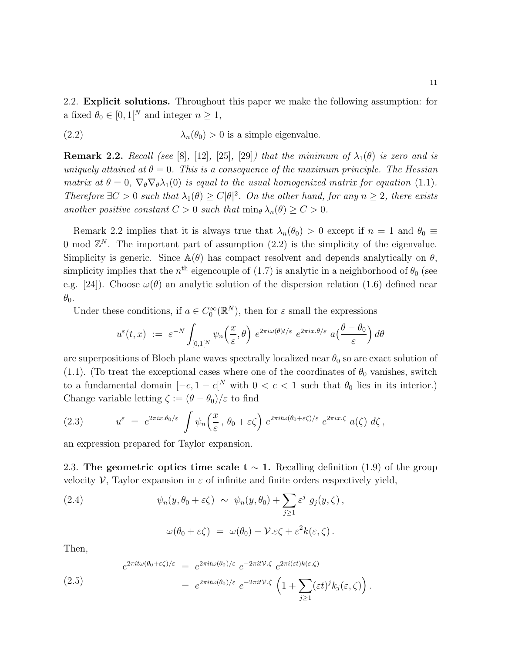(2.2) 
$$
\lambda_n(\theta_0) > 0
$$
 is a simple eigenvalue.

**Remark 2.2.** Recall (see [8], [12], [25], [29]) that the minimum of  $\lambda_1(\theta)$  is zero and is uniquely attained at  $\theta = 0$ . This is a consequence of the maximum principle. The Hessian matrix at  $\theta = 0$ ,  $\nabla_{\theta} \nabla_{\theta} \lambda_1(0)$  is equal to the usual homogenized matrix for equation (1.1). Therefore  $\exists C > 0$  such that  $\lambda_1(\theta) \ge C |\theta|^2$ . On the other hand, for any  $n \ge 2$ , there exists another positive constant  $C > 0$  such that  $\min_{\theta} \lambda_n(\theta) \geq C > 0$ .

Remark 2.2 implies that it is always true that  $\lambda_n(\theta_0) > 0$  except if  $n = 1$  and  $\theta_0 \equiv$ 0 mod  $\mathbb{Z}^N$ . The important part of assumption (2.2) is the simplicity of the eigenvalue. Simplicity is generic. Since  $\mathbb{A}(\theta)$  has compact resolvent and depends analytically on  $\theta$ , simplicity implies that the  $n<sup>th</sup>$  eigencouple of (1.7) is analytic in a neighborhood of  $\theta_0$  (see e.g. [24]). Choose  $\omega(\theta)$  an analytic solution of the dispersion relation (1.6) defined near  $\theta_0$ .

Under these conditions, if  $a \in C_0^{\infty}(\mathbb{R}^N)$ , then for  $\varepsilon$  small the expressions

$$
u^{\varepsilon}(t,x) := \varepsilon^{-N} \int_{[0,1]^N} \psi_n\left(\frac{x}{\varepsilon}, \theta\right) e^{2\pi i \omega(\theta)t/\varepsilon} e^{2\pi i x \cdot \theta/\varepsilon} a\left(\frac{\theta - \theta_0}{\varepsilon}\right) d\theta
$$

are superpositions of Bloch plane waves spectrally localized near  $\theta_0$  so are exact solution of (1.1). (To treat the exceptional cases where one of the coordinates of  $\theta_0$  vanishes, switch to a fundamental domain  $[-c, 1 - c]^N$  with  $0 < c < 1$  such that  $\theta_0$  lies in its interior.) Change variable letting  $\zeta := (\theta - \theta_0)/\varepsilon$  to find

(2.3) 
$$
u^{\varepsilon} = e^{2\pi ix.\theta_0/\varepsilon} \int \psi_n\left(\frac{x}{\varepsilon}, \theta_0 + \varepsilon \zeta\right) e^{2\pi it\omega(\theta_0 + \varepsilon \zeta)/\varepsilon} e^{2\pi ix.\zeta} a(\zeta) d\zeta,
$$

an expression prepared for Taylor expansion.

2.3. The geometric optics time scale t  $\sim$  1. Recalling definition (1.9) of the group velocity  $\mathcal V$ , Taylor expansion in  $\varepsilon$  of infinite and finite orders respectively yield,

(2.4) 
$$
\psi_n(y, \theta_0 + \varepsilon \zeta) \sim \psi_n(y, \theta_0) + \sum_{j \ge 1} \varepsilon^j g_j(y, \zeta),
$$

$$
\omega(\theta_0 + \varepsilon \zeta) = \omega(\theta_0) - \mathcal{V} \varepsilon \zeta + \varepsilon^2 k(\varepsilon, \zeta).
$$

Then,

(2.5)  
\n
$$
e^{2\pi i t\omega(\theta_0+\varepsilon\zeta)/\varepsilon} = e^{2\pi i t\omega(\theta_0)/\varepsilon} e^{-2\pi i t\mathcal{V}\cdot\zeta} e^{2\pi i(\varepsilon t)k(\varepsilon,\zeta)}
$$
\n
$$
= e^{2\pi i t\omega(\theta_0)/\varepsilon} e^{-2\pi i t\mathcal{V}\cdot\zeta} \left(1 + \sum_{j\geq 1} (\varepsilon t)^j k_j(\varepsilon,\zeta)\right).
$$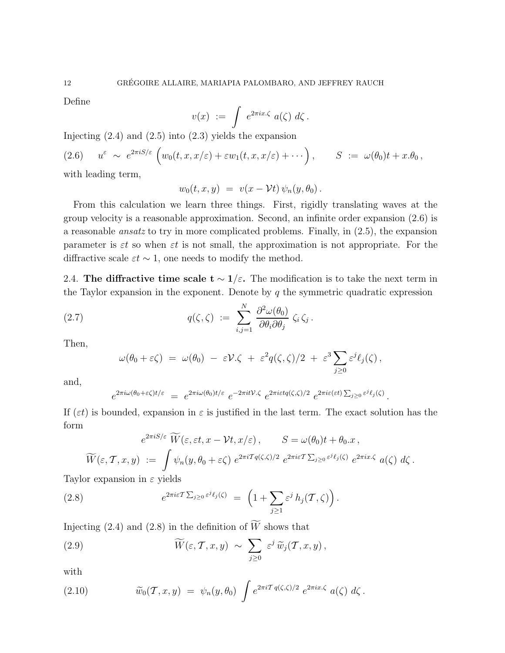Define

$$
v(x) := \int e^{2\pi ix.\zeta} a(\zeta) d\zeta.
$$

Injecting  $(2.4)$  and  $(2.5)$  into  $(2.3)$  yields the expansion

(2.6) 
$$
u^{\varepsilon} \sim e^{2\pi i S/\varepsilon} \left( w_0(t, x, x/\varepsilon) + \varepsilon w_1(t, x, x/\varepsilon) + \cdots \right), \qquad S := \omega(\theta_0)t + x.\theta_0,
$$

with leading term,

$$
w_0(t,x,y) = v(x - \mathcal{V}t) \psi_n(y,\theta_0).
$$

From this calculation we learn three things. First, rigidly translating waves at the group velocity is a reasonable approximation. Second, an infinite order expansion (2.6) is a reasonable *ansatz* to try in more complicated problems. Finally, in  $(2.5)$ , the expansion parameter is  $\varepsilon t$  so when  $\varepsilon t$  is not small, the approximation is not appropriate. For the diffractive scale  $\varepsilon t \sim 1$ , one needs to modify the method.

2.4. The diffractive time scale  $t \sim 1/\varepsilon$ . The modification is to take the next term in the Taylor expansion in the exponent. Denote by  $q$  the symmetric quadratic expression

(2.7) 
$$
q(\zeta,\zeta) := \sum_{i,j=1}^N \frac{\partial^2 \omega(\theta_0)}{\partial \theta_i \partial \theta_j} \zeta_i \zeta_j.
$$

Then,

$$
\omega(\theta_0 + \varepsilon \zeta) = \omega(\theta_0) - \varepsilon \mathcal{V} \cdot \zeta + \varepsilon^2 q(\zeta, \zeta)/2 + \varepsilon^3 \sum_{j \geq 0} \varepsilon^j \ell_j(\zeta),
$$

and,

$$
e^{2\pi i \omega(\theta_0 + \varepsilon \zeta)t/\varepsilon} = e^{2\pi i \omega(\theta_0)t/\varepsilon} e^{-2\pi i t \mathcal{V} \cdot \zeta} e^{2\pi i \varepsilon t q(\zeta, \zeta)/2} e^{2\pi i \varepsilon(\varepsilon t) \sum_{j \ge 0} \varepsilon^j \ell_j(\zeta)}
$$

.

If  $(\varepsilon t)$  is bounded, expansion in  $\varepsilon$  is justified in the last term. The exact solution has the form

$$
e^{2\pi i S/\varepsilon} \overline{W}(\varepsilon, \varepsilon t, x - \mathcal{V}t, x/\varepsilon), \qquad S = \omega(\theta_0)t + \theta_0 \cdot x,
$$
  

$$
\widetilde{W}(\varepsilon, \mathcal{T}, x, y) := \int \psi_n(y, \theta_0 + \varepsilon \zeta) e^{2\pi i \mathcal{T}q(\zeta, \zeta)/2} e^{2\pi i \varepsilon \mathcal{T} \sum_{j\geq 0} \varepsilon^j \ell_j(\zeta)} e^{2\pi i x \cdot \zeta} a(\zeta) d\zeta.
$$

Taylor expansion in  $\varepsilon$  yields

(2.8) 
$$
e^{2\pi i \varepsilon T \sum_{j\geq 0} \varepsilon^j \ell_j(\zeta)} = \left(1 + \sum_{j\geq 1} \varepsilon^j h_j(T,\zeta)\right).
$$

Injecting (2.4) and (2.8) in the definition of  $\widetilde{W}$  shows that

(2.9) 
$$
\widetilde{W}(\varepsilon, \mathcal{T}, x, y) \sim \sum_{j \geq 0} \varepsilon^j \widetilde{w}_j(\mathcal{T}, x, y),
$$

with

(2.10) 
$$
\widetilde{w}_0(\mathcal{T},x,y) = \psi_n(y,\theta_0) \int e^{2\pi i \mathcal{T} q(\zeta,\zeta)/2} e^{2\pi ix.\zeta} a(\zeta) d\zeta.
$$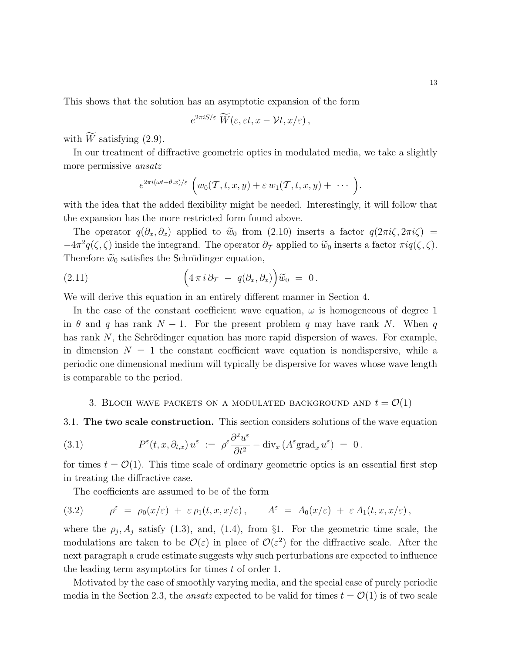13

This shows that the solution has an asymptotic expansion of the form

$$
e^{2\pi iS/\varepsilon} W(\varepsilon,\varepsilon t,x-\mathcal{V} t,x/\varepsilon),
$$

with  $\widetilde{W}$  satisfying (2.9).

In our treatment of diffractive geometric optics in modulated media, we take a slightly more permissive ansatz

$$
e^{2\pi i(\omega t+\theta.x)/\varepsilon}\left(w_0(\mathcal{T},t,x,y)+\varepsilon w_1(\mathcal{T},t,x,y)+\cdots\right).
$$

with the idea that the added flexibility might be needed. Interestingly, it will follow that the expansion has the more restricted form found above.

The operator  $q(\partial_x, \partial_x)$  applied to  $\tilde{w}_0$  from (2.10) inserts a factor  $q(2\pi i\zeta, 2\pi i\zeta)$  =  $-4\pi^2 q(\zeta,\zeta)$  inside the integrand. The operator  $\partial_{\mathcal{T}}$  applied to  $\widetilde{w}_0$  inserts a factor  $\pi i q(\zeta,\zeta)$ . Therefore  $\tilde{w}_0$  satisfies the Schrödinger equation,

(2.11) 
$$
\left(4\pi i \partial_T - q(\partial_x, \partial_x)\right)\widetilde{w}_0 = 0.
$$

We will derive this equation in an entirely different manner in Section 4.

In the case of the constant coefficient wave equation,  $\omega$  is homogeneous of degree 1 in  $\theta$  and q has rank  $N-1$ . For the present problem q may have rank N. When q has rank  $N$ , the Schrödinger equation has more rapid dispersion of waves. For example, in dimension  $N = 1$  the constant coefficient wave equation is nondispersive, while a periodic one dimensional medium will typically be dispersive for waves whose wave length is comparable to the period.

# 3. BLOCH WAVE PACKETS ON A MODULATED BACKGROUND AND  $t = \mathcal{O}(1)$

3.1. The two scale construction. This section considers solutions of the wave equation

(3.1) 
$$
P^{\varepsilon}(t,x,\partial_{t,x}) u^{\varepsilon} := \rho^{\varepsilon} \frac{\partial^2 u^{\varepsilon}}{\partial t^2} - \text{div}_x \left( A^{\varepsilon} \text{grad}_x u^{\varepsilon} \right) = 0.
$$

for times  $t = \mathcal{O}(1)$ . This time scale of ordinary geometric optics is an essential first step in treating the diffractive case.

The coefficients are assumed to be of the form

(3.2) 
$$
\rho^{\varepsilon} = \rho_0(x/\varepsilon) + \varepsilon \rho_1(t, x, x/\varepsilon), \qquad A^{\varepsilon} = A_0(x/\varepsilon) + \varepsilon A_1(t, x, x/\varepsilon),
$$

where the  $\rho_j$ ,  $A_j$  satisfy (1.3), and, (1.4), from §1. For the geometric time scale, the modulations are taken to be  $\mathcal{O}(\varepsilon)$  in place of  $\mathcal{O}(\varepsilon^2)$  for the diffractive scale. After the next paragraph a crude estimate suggests why such perturbations are expected to influence the leading term asymptotics for times t of order 1.

Motivated by the case of smoothly varying media, and the special case of purely periodic media in the Section 2.3, the *ansatz* expected to be valid for times  $t = \mathcal{O}(1)$  is of two scale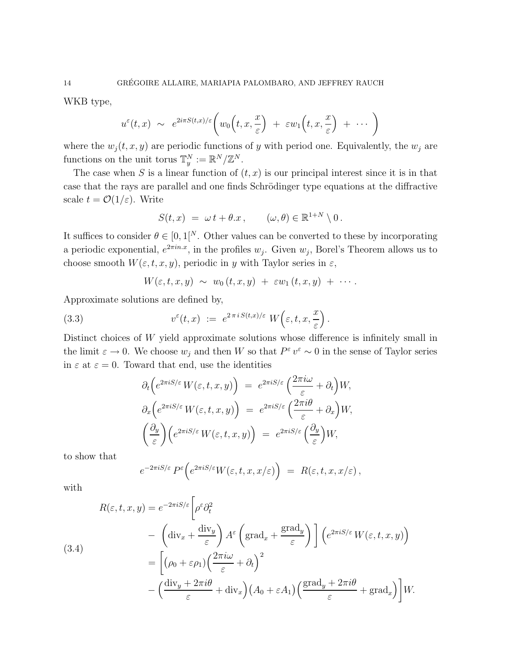WKB type,

$$
u^{\varepsilon}(t,x) \sim e^{2i\pi S(t,x)/\varepsilon} \bigg( w_0\Big(t,x,\frac{x}{\varepsilon}\Big) + \varepsilon w_1\Big(t,x,\frac{x}{\varepsilon}\Big) + \cdots \bigg)
$$

where the  $w_i(t, x, y)$  are periodic functions of y with period one. Equivalently, the  $w_i$  are functions on the unit torus  $\mathbb{T}_y^N := \mathbb{R}^N / \mathbb{Z}^N$ .

The case when S is a linear function of  $(t, x)$  is our principal interest since it is in that case that the rays are parallel and one finds Schrödinger type equations at the diffractive scale  $t = \mathcal{O}(1/\varepsilon)$ . Write

$$
S(t,x) = \omega t + \theta \cdot x, \qquad (\omega, \theta) \in \mathbb{R}^{1+N} \setminus 0.
$$

It suffices to consider  $\theta \in [0, 1]^N$ . Other values can be converted to these by incorporating a periodic exponential,  $e^{2\pi in.x}$ , in the profiles  $w_j$ . Given  $w_j$ , Borel's Theorem allows us to choose smooth  $W(\varepsilon, t, x, y)$ , periodic in y with Taylor series in  $\varepsilon$ ,

$$
W(\varepsilon,t,x,y) \sim w_0(t,x,y) + \varepsilon w_1(t,x,y) + \cdots.
$$

Approximate solutions are defined by,

(3.3) 
$$
v^{\varepsilon}(t,x) := e^{2 \pi i S(t,x)/\varepsilon} W\left(\varepsilon,t,x,\frac{x}{\varepsilon}\right).
$$

Distinct choices of W yield approximate solutions whose difference is infinitely small in the limit  $\varepsilon \to 0$ . We choose  $w_j$  and then W so that  $P^{\varepsilon} v^{\varepsilon} \sim 0$  in the sense of Taylor series in  $\varepsilon$  at  $\varepsilon = 0$ . Toward that end, use the identities

$$
\partial_t \left( e^{2\pi i S/\varepsilon} W(\varepsilon, t, x, y) \right) = e^{2\pi i S/\varepsilon} \left( \frac{2\pi i \omega}{\varepsilon} + \partial_t \right) W,
$$
  
\n
$$
\partial_x \left( e^{2\pi i S/\varepsilon} W(\varepsilon, t, x, y) \right) = e^{2\pi i S/\varepsilon} \left( \frac{2\pi i \theta}{\varepsilon} + \partial_x \right) W,
$$
  
\n
$$
\left( \frac{\partial_y}{\varepsilon} \right) \left( e^{2\pi i S/\varepsilon} W(\varepsilon, t, x, y) \right) = e^{2\pi i S/\varepsilon} \left( \frac{\partial_y}{\varepsilon} \right) W,
$$

to show that

$$
e^{-2\pi i S/\varepsilon} P^{\varepsilon} \Big( e^{2\pi i S/\varepsilon} W(\varepsilon,t,x,x/\varepsilon) \Big) \; = \; R(\varepsilon,t,x,x/\varepsilon) \, ,
$$

with

$$
R(\varepsilon, t, x, y) = e^{-2\pi i S/\varepsilon} \left[ \rho^{\varepsilon} \partial_t^2 \right]
$$
  
\n
$$
- \left( \text{div}_x + \frac{\text{div}_y}{\varepsilon} \right) A^{\varepsilon} \left( \text{grad}_x + \frac{\text{grad}_y}{\varepsilon} \right) \left[ \left( e^{2\pi i S/\varepsilon} W(\varepsilon, t, x, y) \right) \right]
$$
  
\n
$$
= \left[ \left( \rho_0 + \varepsilon \rho_1 \right) \left( \frac{2\pi i \omega}{\varepsilon} + \partial_t \right)^2
$$
  
\n
$$
- \left( \frac{\text{div}_y + 2\pi i \theta}{\varepsilon} + \text{div}_x \right) \left( A_0 + \varepsilon A_1 \right) \left( \frac{\text{grad}_y + 2\pi i \theta}{\varepsilon} + \text{grad}_x \right) \right] W.
$$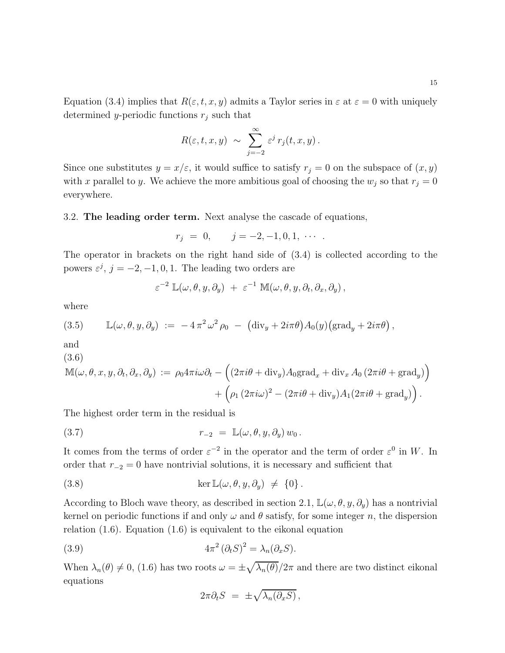Equation (3.4) implies that  $R(\varepsilon, t, x, y)$  admits a Taylor series in  $\varepsilon$  at  $\varepsilon = 0$  with uniquely determined y-periodic functions  $r_j$  such that

$$
R(\varepsilon,t,x,y) \sim \sum_{j=-2}^{\infty} \varepsilon^j r_j(t,x,y).
$$

Since one substitutes  $y = x/\varepsilon$ , it would suffice to satisfy  $r_j = 0$  on the subspace of  $(x, y)$ with x parallel to y. We achieve the more ambitious goal of choosing the  $w_j$  so that  $r_j = 0$ everywhere.

3.2. The leading order term. Next analyse the cascade of equations,

$$
r_j = 0, \qquad j = -2, -1, 0, 1, \cdots.
$$

The operator in brackets on the right hand side of (3.4) is collected according to the powers  $\varepsilon^j$ ,  $j = -2, -1, 0, 1$ . The leading two orders are

$$
\varepsilon^{-2} \, \mathbb{L}(\omega,\theta,y,\partial_y) \; + \; \varepsilon^{-1} \, \mathbb{M}(\omega,\theta,y,\partial_t,\partial_x,\partial_y) \,,
$$

where

(3.5) 
$$
\mathbb{L}(\omega,\theta,y,\partial_y) := -4\pi^2\omega^2\rho_0 - (\text{div}_y + 2i\pi\theta)A_0(y)(\text{grad}_y + 2i\pi\theta),
$$

and

(3.6)  
\n
$$
\mathbb{M}(\omega,\theta,x,y,\partial_t,\partial_x,\partial_y) := \rho_0 4\pi i \omega \partial_t - \left( (2\pi i \theta + \text{div}_y) A_0 \text{grad}_x + \text{div}_x A_0 (2\pi i \theta + \text{grad}_y) + \left( \rho_1 (2\pi i \omega)^2 - (2\pi i \theta + \text{div}_y) A_1 (2\pi i \theta + \text{grad}_y) \right) \right)
$$

The highest order term in the residual is

(3.7) 
$$
r_{-2} = \mathbb{L}(\omega, \theta, y, \partial_y) w_0.
$$

It comes from the terms of order  $\varepsilon^{-2}$  in the operator and the term of order  $\varepsilon^0$  in W. In order that  $r_{-2} = 0$  have nontrivial solutions, it is necessary and sufficient that

(3.8) 
$$
\ker \mathbb{L}(\omega, \theta, y, \partial_y) \neq \{0\}.
$$

According to Bloch wave theory, as described in section 2.1,  $\mathbb{L}(\omega,\theta,y,\partial_y)$  has a nontrivial kernel on periodic functions if and only  $\omega$  and  $\theta$  satisfy, for some integer n, the dispersion relation (1.6). Equation (1.6) is equivalent to the eikonal equation

(3.9) 
$$
4\pi^2 (\partial_t S)^2 = \lambda_n (\partial_x S).
$$

When  $\lambda_n(\theta) \neq 0$ , (1.6) has two roots  $\omega = \pm \sqrt{\lambda_n(\theta)}/2\pi$  and there are two distinct eikonal equations

$$
2\pi \partial_t S = \pm \sqrt{\lambda_n(\partial_x S)},
$$

 $)$ 

.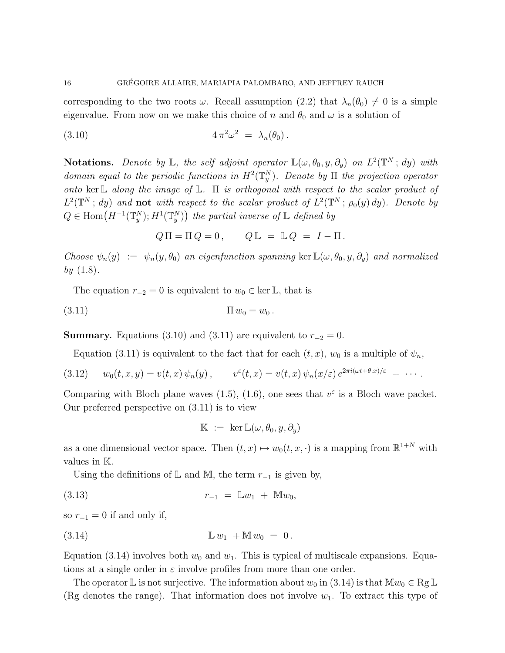corresponding to the two roots  $\omega$ . Recall assumption (2.2) that  $\lambda_n(\theta_0) \neq 0$  is a simple eigenvalue. From now on we make this choice of n and  $\theta_0$  and  $\omega$  is a solution of

$$
(3.10) \t\t\t 4\pi^2\omega^2 = \lambda_n(\theta_0).
$$

**Notations.** Denote by  $\mathbb{L}$ , the self adjoint operator  $\mathbb{L}(\omega, \theta_0, y, \partial_y)$  on  $L^2(\mathbb{T}^N; dy)$  with domain equal to the periodic functions in  $H^2(\mathbb{T}^N_y)$ . Denote by  $\Pi$  the projection operator onto ker L along the image of L.  $\Pi$  is orthogonal with respect to the scalar product of  $L^2(\mathbb{T}^N; dy)$  and **not** with respect to the scalar product of  $L^2(\mathbb{T}^N; \rho_0(y) dy)$ . Denote by  $Q \in \text{Hom}(H^{-1}(\mathbb{T}^N_y); H^1(\mathbb{T}^N_y))$  the partial inverse of  $\mathbb{L}$  defined by

$$
Q \Pi = \Pi Q = 0, \qquad Q \mathbb{L} = \mathbb{L} Q = I - \Pi.
$$

Choose  $\psi_n(y) := \psi_n(y, \theta_0)$  an eigenfunction spanning ker  $\mathbb{L}(\omega, \theta_0, y, \partial_y)$  and normalized by  $(1.8)$ .

The equation  $r_{-2} = 0$  is equivalent to  $w_0 \in \text{ker } \mathbb{L}$ , that is

$$
(3.11) \t\t \t\Pi w_0 = w_0.
$$

**Summary.** Equations (3.10) and (3.11) are equivalent to  $r_{-2} = 0$ .

Equation (3.11) is equivalent to the fact that for each  $(t, x)$ ,  $w_0$  is a multiple of  $\psi_n$ ,

(3.12) 
$$
w_0(t,x,y) = v(t,x)\,\psi_n(y)\,, \qquad v^{\varepsilon}(t,x) = v(t,x)\,\psi_n(x/\varepsilon)\,e^{2\pi i(\omega t + \theta.x)/\varepsilon} + \cdots.
$$

Comparing with Bloch plane waves (1.5), (1.6), one sees that  $v^{\varepsilon}$  is a Bloch wave packet. Our preferred perspective on (3.11) is to view

$$
\mathbb{K} := \ker \mathbb{L}(\omega, \theta_0, y, \partial_y)
$$

as a one dimensional vector space. Then  $(t, x) \mapsto w_0(t, x, \cdot)$  is a mapping from  $\mathbb{R}^{1+N}$  with values in K.

Using the definitions of  $\mathbb L$  and  $\mathbb M$ , the term  $r_{-1}$  is given by,

(3.13) 
$$
r_{-1} = \mathbb{L}w_1 + \mathbb{M}w_0,
$$

so  $r_{-1} = 0$  if and only if,

(3.14) L w<sup>1</sup> + M w<sup>0</sup> = 0 .

Equation (3.14) involves both  $w_0$  and  $w_1$ . This is typical of multiscale expansions. Equations at a single order in  $\varepsilon$  involve profiles from more than one order.

The operator L is not surjective. The information about  $w_0$  in (3.14) is that  $\mathbb{M}w_0 \in \text{Rg} \mathbb{L}$ (Rg denotes the range). That information does not involve  $w_1$ . To extract this type of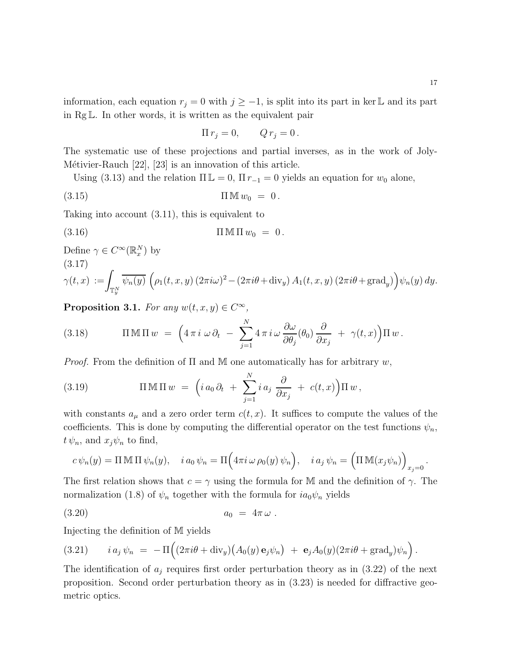information, each equation  $r_j = 0$  with  $j \geq -1$ , is split into its part in ker L and its part in Rg L. In other words, it is written as the equivalent pair

$$
\Pi r_j = 0, \qquad Q r_j = 0 \, .
$$

The systematic use of these projections and partial inverses, as in the work of Joly-Métivier-Rauch  $[22]$ ,  $[23]$  is an innovation of this article.

Using (3.13) and the relation  $\Pi L = 0$ ,  $\Pi r_{-1} = 0$  yields an equation for  $w_0$  alone,

$$
(3.15) \t\t \t\t \Pi \mathbb{M} w_0 = 0.
$$

Taking into account (3.11), this is equivalent to

$$
(3.16) \t\t \Pi \mathbb{M} \Pi w_0 = 0.
$$

Define  $\gamma \in C^{\infty}(\mathbb{R}_{x}^{N})$  by (3.17)

$$
\gamma(t,x) := \int_{\mathbb{T}_y^N} \overline{\psi_n(y)} \left( \rho_1(t,x,y) \left( 2\pi i \omega \right)^2 - \left( 2\pi i \theta + \text{div}_y \right) A_1(t,x,y) \left( 2\pi i \theta + \text{grad}_y \right) \right) \psi_n(y) \, dy.
$$

Proposition 3.1. For any  $w(t, x, y) \in C^{\infty}$ ,

(3.18) 
$$
\Pi \mathbb{M} \Pi w = \left( 4 \pi i \omega \partial_t - \sum_{j=1}^N 4 \pi i \omega \frac{\partial \omega}{\partial \theta_j}(\theta_0) \frac{\partial}{\partial x_j} + \gamma(t, x) \right) \Pi w.
$$

*Proof.* From the definition of  $\Pi$  and  $M$  one automatically has for arbitrary  $w$ ,

(3.19) 
$$
\Pi \mathbb{M} \Pi w = \left( i a_0 \partial_t + \sum_{j=1}^N i a_j \frac{\partial}{\partial x_j} + c(t,x) \right) \Pi w,
$$

with constants  $a_{\mu}$  and a zero order term  $c(t, x)$ . It suffices to compute the values of the coefficients. This is done by computing the differential operator on the test functions  $\psi_n$ ,  $t \psi_n$ , and  $x_j \psi_n$  to find,

$$
c\,\psi_n(y)=\Pi\,\mathbb{M}\,\Pi\,\psi_n(y),\quad i\,a_0\,\psi_n=\Pi\Big(4\pi i\,\omega\,\rho_0(y)\,\psi_n\Big),\quad i\,a_j\,\psi_n=\Big(\Pi\,\mathbb{M}(x_j\psi_n)\Big)_{x_j=0}.
$$

The first relation shows that  $c = \gamma$  using the formula for M and the definition of  $\gamma$ . The normalization (1.8) of  $\psi_n$  together with the formula for  $ia_0\psi_n$  yields

$$
(3.20) \t\t\t a_0 = 4\pi\,\omega.
$$

Injecting the definition of M yields

(3.21) 
$$
i a_j \psi_n = -\Pi \Big( (2\pi i \theta + \text{div}_y) \big( A_0(y) \mathbf{e}_j \psi_n \big) + \mathbf{e}_j A_0(y) (2\pi i \theta + \text{grad}_y) \psi_n \Big).
$$

The identification of  $a_j$  requires first order perturbation theory as in  $(3.22)$  of the next proposition. Second order perturbation theory as in (3.23) is needed for diffractive geometric optics.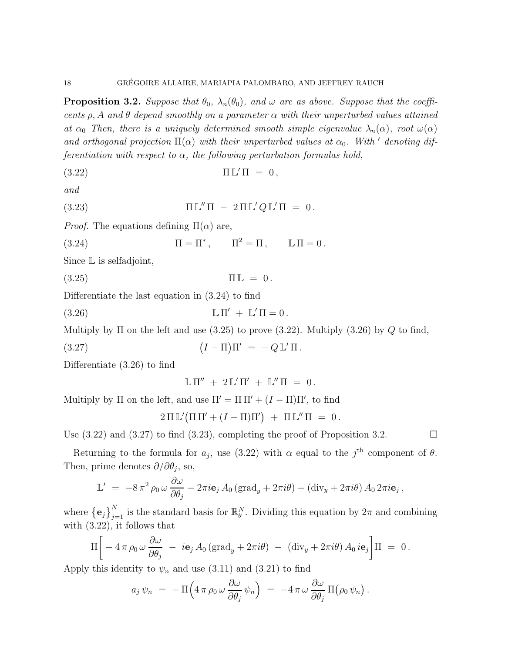**Proposition 3.2.** Suppose that  $\theta_0$ ,  $\lambda_n(\theta_0)$ , and  $\omega$  are as above. Suppose that the coefficents  $\rho$ , A and  $\theta$  depend smoothly on a parameter  $\alpha$  with their unperturbed values attained at  $\alpha_0$  Then, there is a uniquely determined smooth simple eigenvalue  $\lambda_n(\alpha)$ , root  $\omega(\alpha)$ and orthogonal projection  $\Pi(\alpha)$  with their unperturbed values at  $\alpha_0$ . With ' denoting differentiation with respect to  $\alpha$ , the following perturbation formulas hold,

$$
(3.22)\t\t \t\Pi\mathbb{L}'\Pi = 0,
$$

and

(3.23) 
$$
\Pi \mathbb{L}'' \Pi - 2 \Pi \mathbb{L}' Q \mathbb{L}' \Pi = 0.
$$

*Proof.* The equations defining  $\Pi(\alpha)$  are,

(3.24)  $\Pi = \Pi^*, \qquad \Pi^2 = \Pi, \qquad \mathbb{L}\Pi = 0.$ 

Since L is selfadjoint,

 $\Pi L = 0.$ 

Differentiate the last equation in (3.24) to find

 $(3.26)$  $' + \mathbb{L}' \Pi = 0$ .

Multiply by  $\Pi$  on the left and use (3.25) to prove (3.22). Multiply (3.26) by Q to find,

(3.27)  $I - \Pi$ )  $\Pi' = -Q \mathbb{L}' \Pi$ .

Differentiate (3.26) to find

$$
\mathbb{L}\,\Pi''\,\,+\,\,2\,\mathbb{L}'\,\Pi'\,\,+\,\,\mathbb{L}''\,\Pi\,\,=\,\,0\,.
$$

Multiply by  $\Pi$  on the left, and use  $\Pi' = \Pi \Pi' + (I - \Pi)\Pi'$ , to find

$$
2 \Pi \mathbb{L}'(\Pi \Pi' + (I - \Pi)\Pi') + \Pi \mathbb{L}'' \Pi = 0.
$$

Use  $(3.22)$  and  $(3.27)$  to find  $(3.23)$ , completing the proof of Proposition 3.2.

Returning to the formula for  $a_j$ , use (3.22) with  $\alpha$  equal to the j<sup>th</sup> component of  $\theta$ . Then, prime denotes  $\partial/\partial\theta_j$ , so,

$$
\mathbb{L}' = -8\,\pi^2\,\rho_0\,\omega\,\frac{\partial\omega}{\partial\theta_j} - 2\pi i\mathbf{e}_j\,A_0\,(\text{grad}_y + 2\pi i\theta) - (\text{div}_y + 2\pi i\theta)\,A_0\,2\pi i\mathbf{e}_j\,,
$$

where  $\{\mathbf e_j\}_{j=1}^N$  is the standard basis for  $\mathbb{R}_{\theta}^N$ . Dividing this equation by  $2\pi$  and combining with (3.22), it follows that

$$
\Pi \bigg[ -4\,\pi\,\rho_0\,\omega\,\frac{\partial\omega}{\partial\theta_j} \;-\; i\mathbf{e}_j\,A_0\,(\text{grad}_y + 2\pi i\theta) \;-\;(\text{div}_y + 2\pi i\theta)\,A_0\,i\mathbf{e}_j \bigg]\Pi \;=\; 0\,.
$$

Apply this identity to  $\psi_n$  and use (3.11) and (3.21) to find

$$
a_j \psi_n = - \Pi \Big( 4 \pi \rho_0 \omega \frac{\partial \omega}{\partial \theta_j} \psi_n \Big) = - 4 \pi \omega \frac{\partial \omega}{\partial \theta_j} \Pi \big( \rho_0 \psi_n \big) .
$$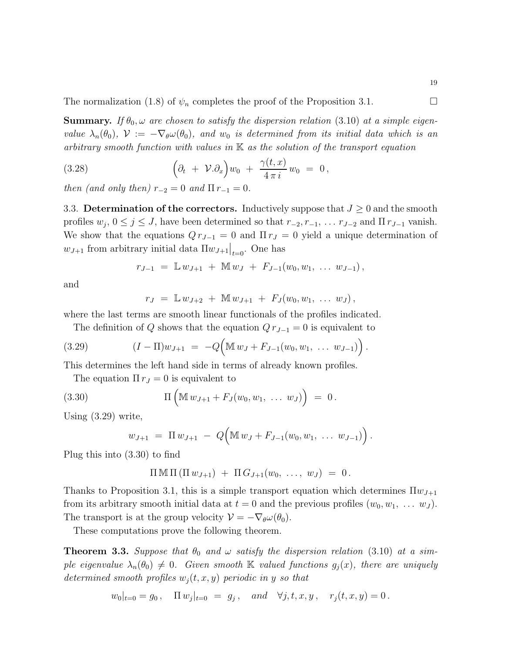The normalization (1.8) of  $\psi_n$  completes the proof of the Proposition 3.1.

**Summary.** If  $\theta_0$ ,  $\omega$  are chosen to satisfy the dispersion relation (3.10) at a simple eigenvalue  $\lambda_n(\theta_0)$ ,  $\mathcal{V} := -\nabla_\theta \omega(\theta_0)$ , and  $w_0$  is determined from its initial data which is an arbitrary smooth function with values in  $\mathbb K$  as the solution of the transport equation

(3.28) 
$$
\left(\partial_t + \mathcal{V}.\partial_x\right)w_0 + \frac{\gamma(t,x)}{4\pi i}w_0 = 0,
$$

then (and only then)  $r_{-2} = 0$  and  $\Pi r_{-1} = 0$ .

3.3. Determination of the correctors. Inductively suppose that  $J \geq 0$  and the smooth profiles  $w_j$ ,  $0 \le j \le J$ , have been determined so that  $r_{-2}, r_{-1}, \ldots r_{J-2}$  and  $\Pi r_{J-1}$  vanish. We show that the equations  $Q r_{J-1} = 0$  and  $\Pi r_J = 0$  yield a unique determination of  $w_{J+1}$  from arbitrary initial data  $\Pi w_{J+1}|_{t=0}$ . One has

$$
r_{J-1} = \mathbb{L} w_{J+1} + \mathbb{M} w_J + F_{J-1}(w_0, w_1, \ldots w_{J-1}),
$$

and

$$
r_J = \mathbb{L} w_{J+2} + \mathbb{M} w_{J+1} + F_J(w_0, w_1, \ldots w_J),
$$

where the last terms are smooth linear functionals of the profiles indicated.

The definition of Q shows that the equation  $Q r_{J-1} = 0$  is equivalent to

(3.29) 
$$
(I - \Pi)w_{J+1} = -Q\Big(\mathbb{M} w_J + F_{J-1}(w_0, w_1, \ldots w_{J-1})\Big).
$$

This determines the left hand side in terms of already known profiles.

The equation  $\Pi r_J = 0$  is equivalent to

(3.30) 
$$
\Pi\left(\mathbb{M} w_{J+1} + F_J(w_0, w_1, \ldots w_J)\right) = 0.
$$

Using (3.29) write,

$$
w_{J+1} = \Pi w_{J+1} - Q(\mathbb{M} w_J + F_{J-1}(w_0, w_1, \ldots w_{J-1}))
$$
.

Plug this into (3.30) to find

$$
\Pi \,\mathbb{M} \,\Pi \, (\Pi \, w_{J+1}) + \Pi \, G_{J+1}(w_0, \ \ldots, \ w_J) = 0 \, .
$$

Thanks to Proposition 3.1, this is a simple transport equation which determines  $\Pi w_{J+1}$ from its arbitrary smooth initial data at  $t = 0$  and the previous profiles  $(w_0, w_1, \ldots w_J)$ . The transport is at the group velocity  $\mathcal{V} = -\nabla_{\theta} \omega(\theta_0)$ .

These computations prove the following theorem.

**Theorem 3.3.** Suppose that  $\theta_0$  and  $\omega$  satisfy the dispersion relation (3.10) at a simple eigenvalue  $\lambda_n(\theta_0) \neq 0$ . Given smooth K valued functions  $g_i(x)$ , there are uniquely determined smooth profiles  $w_i(t, x, y)$  periodic in y so that

$$
w_0|_{t=0} = g_0
$$
,  $\Pi w_j|_{t=0} = g_j$ , and  $\forall j, t, x, y$ ,  $r_j(t, x, y) = 0$ .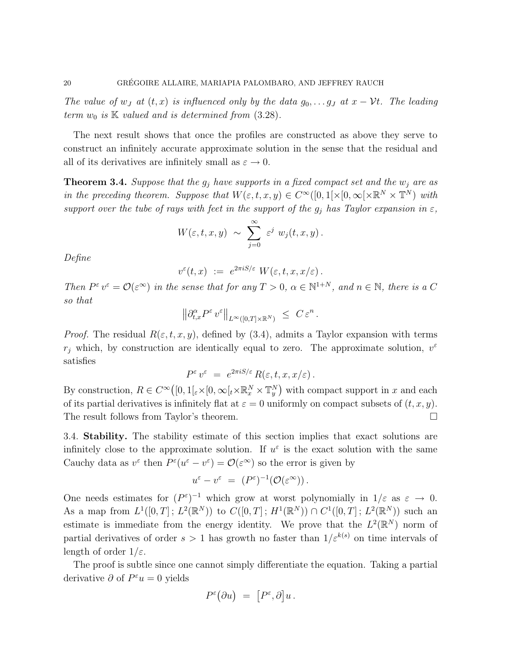The value of w<sub>J</sub> at  $(t, x)$  is influenced only by the data  $g_0, \ldots g_J$  at  $x - \mathcal{V}t$ . The leading term  $w_0$  is  $K$  valued and is determined from  $(3.28)$ .

The next result shows that once the profiles are constructed as above they serve to construct an infinitely accurate approximate solution in the sense that the residual and all of its derivatives are infinitely small as  $\varepsilon \to 0$ .

**Theorem 3.4.** Suppose that the  $g_i$  have supports in a fixed compact set and the  $w_i$  are as in the preceding theorem. Suppose that  $W(\varepsilon, t, x, y) \in C^{\infty}([0, 1] \times [0, \infty[ \times \mathbb{R}^N \times \mathbb{T}^N)$  with support over the tube of rays with feet in the support of the  $g_i$  has Taylor expansion in  $\varepsilon$ ,

$$
W(\varepsilon,t,x,y) \sim \sum_{j=0}^{\infty} \varepsilon^j w_j(t,x,y).
$$

Define

$$
v^{\varepsilon}(t,x) \ := \ e^{2\pi i S/\varepsilon} \ W(\varepsilon,t,x,x/\varepsilon) \, .
$$

Then  $P^{\varepsilon} v^{\varepsilon} = \mathcal{O}(\varepsilon^{\infty})$  in the sense that for any  $T > 0$ ,  $\alpha \in \mathbb{N}^{1+N}$ , and  $n \in \mathbb{N}$ , there is a C so that

$$
\left\|\partial_{t,x}^\alpha P^\varepsilon\,v^\varepsilon\right\|_{L^\infty([0,T]\times\mathbb{R}^N)}\;\leq\;C\,\varepsilon^n\,.
$$

*Proof.* The residual  $R(\varepsilon, t, x, y)$ , defined by (3.4), admits a Taylor expansion with terms  $r_j$  which, by construction are identically equal to zero. The approximate solution,  $v^{\varepsilon}$ satisfies

$$
P^{\varepsilon} v^{\varepsilon} = e^{2\pi i S/\varepsilon} R(\varepsilon, t, x, x/\varepsilon).
$$

By construction,  $R \in C^{\infty}([0,1[_{\varepsilon} \times [0,\infty[_{t} \times \mathbb{R}_{x}^{N} \times \mathbb{T}_{y}^{N})$  with compact support in x and each of its partial derivatives is infinitely flat at  $\varepsilon = 0$  uniformly on compact subsets of  $(t, x, y)$ . The result follows from Taylor's theorem.

3.4. **Stability.** The stability estimate of this section implies that exact solutions are infinitely close to the approximate solution. If  $u^{\varepsilon}$  is the exact solution with the same Cauchy data as  $v^{\varepsilon}$  then  $P^{\varepsilon}(u^{\varepsilon}-v^{\varepsilon})=\mathcal{O}(\varepsilon^{\infty})$  so the error is given by

$$
u^{\varepsilon} - v^{\varepsilon} = (P^{\varepsilon})^{-1}(\mathcal{O}(\varepsilon^{\infty})) .
$$

One needs estimates for  $(P^{\varepsilon})^{-1}$  which grow at worst polynomially in  $1/\varepsilon$  as  $\varepsilon \to 0$ . As a map from  $L^1([0,T]; L^2(\mathbb{R}^N))$  to  $C([0,T]; H^1(\mathbb{R}^N)) \cap C^1([0,T]; L^2(\mathbb{R}^N))$  such an estimate is immediate from the energy identity. We prove that the  $L^2(\mathbb{R}^N)$  norm of partial derivatives of order  $s > 1$  has growth no faster than  $1/\varepsilon^{k(s)}$  on time intervals of length of order  $1/\varepsilon$ .

The proof is subtle since one cannot simply differentiate the equation. Taking a partial derivative  $\partial$  of  $P^{\varepsilon}u = 0$  yields

$$
P^{\varepsilon}(\partial u) = [P^{\varepsilon}, \partial] u.
$$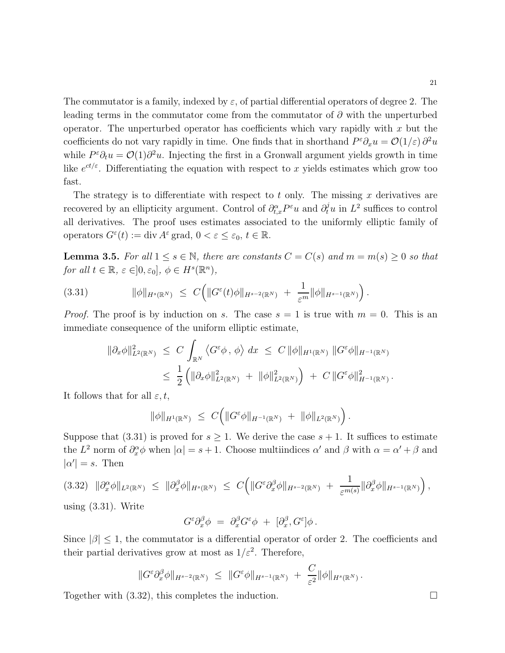The commutator is a family, indexed by  $\varepsilon$ , of partial differential operators of degree 2. The leading terms in the commutator come from the commutator of  $\partial$  with the unperturbed operator. The unperturbed operator has coefficients which vary rapidly with  $x$  but the coefficients do not vary rapidly in time. One finds that in shorthand  $P^{\varepsilon}\partial_x u = \mathcal{O}(1/\varepsilon) \partial^2 u$ while  $P^{\varepsilon}\partial_t u = \mathcal{O}(1)\partial^2 u$ . Injecting the first in a Gronwall argument yields growth in time like  $e^{ct/\varepsilon}$ . Differentiating the equation with respect to x yields estimates which grow too fast.

The strategy is to differentiate with respect to t only. The missing  $x$  derivatives are recovered by an ellipticity argument. Control of  $\partial_{t,x}^{\alpha}P^{\varepsilon}u$  and  $\partial_t^j u$  in  $L^2$  suffices to control all derivatives. The proof uses estimates associated to the uniformly elliptic family of operators  $G^{\varepsilon}(t) := \text{div } A^{\varepsilon}$  grad,  $0 < \varepsilon \leq \varepsilon_0, t \in \mathbb{R}$ .

**Lemma 3.5.** For all  $1 \le s \in \mathbb{N}$ , there are constants  $C = C(s)$  and  $m = m(s) \ge 0$  so that for all  $t \in \mathbb{R}, \, \varepsilon \in ]0, \varepsilon_0], \, \phi \in H^s(\mathbb{R}^n)$ ,

$$
(3.31) \t\t ||\phi||_{H^{s}(\mathbb{R}^N)} \leq C \Big( \|G^{\varepsilon}(t)\phi\|_{H^{s-2}(\mathbb{R}^N)} + \frac{1}{\varepsilon^m} \|\phi\|_{H^{s-1}(\mathbb{R}^N)} \Big).
$$

*Proof.* The proof is by induction on s. The case  $s = 1$  is true with  $m = 0$ . This is an immediate consequence of the uniform elliptic estimate,

$$
\begin{aligned}\n\|\partial_x \phi\|_{L^2(\mathbb{R}^N)}^2 &\leq C \int_{\mathbb{R}^N} \langle G^\varepsilon \phi, \phi \rangle \, dx \leq C \, \|\phi\|_{H^1(\mathbb{R}^N)} \, \|G^\varepsilon \phi\|_{H^{-1}(\mathbb{R}^N)} \\
&\leq \, \frac{1}{2} \left( \|\partial_x \phi\|_{L^2(\mathbb{R}^N)}^2 + \, \|\phi\|_{L^2(\mathbb{R}^N)}^2 \right) \, + \, C \, \|G^\varepsilon \phi\|_{H^{-1}(\mathbb{R}^N)}^2.\n\end{aligned}
$$

It follows that for all  $\varepsilon, t$ ,

$$
\|\phi\|_{H^1(\mathbb{R}^N)} \ \leq \ C \Big( \|G^{\varepsilon} \phi\|_{H^{-1}(\mathbb{R}^N)} \ + \ \|\phi\|_{L^2(\mathbb{R}^N)} \Big) \, .
$$

Suppose that  $(3.31)$  is proved for  $s \geq 1$ . We derive the case  $s + 1$ . It suffices to estimate the  $L^2$  norm of  $\partial_x^{\alpha}\phi$  when  $|\alpha|=s+1$ . Choose multiindices  $\alpha'$  and  $\beta$  with  $\alpha=\alpha'+\beta$  and  $|\alpha'| = s$ . Then

$$
(3.32) \|\partial_x^{\alpha}\phi\|_{L^2(\mathbb{R}^N)} \leq \|\partial_x^{\beta}\phi\|_{H^s(\mathbb{R}^N)} \leq C \Big( \|G^{\varepsilon}\partial_x^{\beta}\phi\|_{H^{s-2}(\mathbb{R}^N)} + \frac{1}{\varepsilon^{m(s)}} \|\partial_x^{\beta}\phi\|_{H^{s-1}(\mathbb{R}^N)} \Big),
$$

using (3.31). Write

$$
G^{\varepsilon} \partial_x^{\beta} \phi \,\,=\,\, \partial_x^{\beta} G^{\varepsilon} \phi \,\,+\,\, [\partial_x^{\beta}, G^{\varepsilon}] \phi\,.
$$

Since  $|\beta| \leq 1$ , the commutator is a differential operator of order 2. The coefficients and their partial derivatives grow at most as  $1/\varepsilon^2$ . Therefore,

$$
||G^{\varepsilon} \partial_x^{\beta} \phi||_{H^{s-2}(\mathbb{R}^N)} \leq ||G^{\varepsilon} \phi||_{H^{s-1}(\mathbb{R}^N)} + \frac{C}{\varepsilon^2} ||\phi||_{H^s(\mathbb{R}^N)}.
$$

Together with  $(3.32)$ , this completes the induction.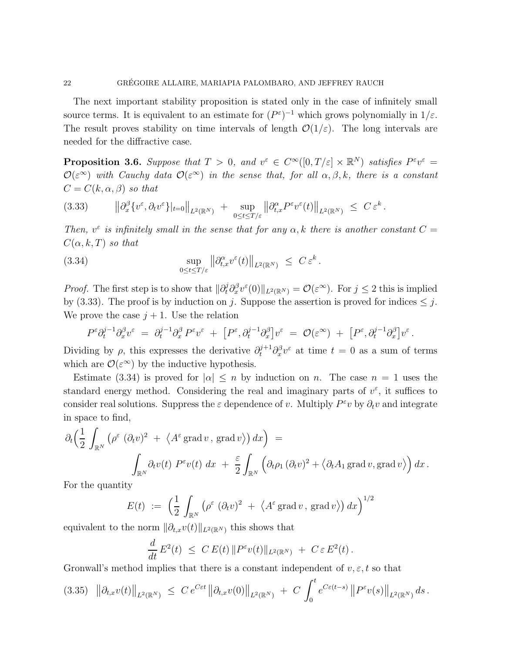The next important stability proposition is stated only in the case of infinitely small source terms. It is equivalent to an estimate for  $(P^{\varepsilon})^{-1}$  which grows polynomially in  $1/\varepsilon$ . The result proves stability on time intervals of length  $\mathcal{O}(1/\varepsilon)$ . The long intervals are needed for the diffractive case.

**Proposition 3.6.** Suppose that  $T > 0$ , and  $v^{\varepsilon} \in C^{\infty}([0, T/\varepsilon] \times \mathbb{R}^{N})$  satisfies  $P^{\varepsilon}v^{\varepsilon} =$  $\mathcal{O}(\varepsilon^{\infty})$  with Cauchy data  $\mathcal{O}(\varepsilon^{\infty})$  in the sense that, for all  $\alpha, \beta, k$ , there is a constant  $C = C(k, \alpha, \beta)$  so that

$$
(3.33) \t\t ||\partial_x^{\beta} \{v^{\varepsilon}, \partial_t v^{\varepsilon}\}|_{t=0}\|_{L^2(\mathbb{R}^N)} + \sup_{0 \le t \le T/\varepsilon} \left\| \partial_{t,x}^{\alpha} P^{\varepsilon} v^{\varepsilon}(t) \right\|_{L^2(\mathbb{R}^N)} \le C \varepsilon^k.
$$

Then,  $v^{\epsilon}$  is infinitely small in the sense that for any  $\alpha$ , k there is another constant  $C =$  $C(\alpha, k, T)$  so that

(3.34) 
$$
\sup_{0 \le t \le T/\varepsilon} \left\| \partial_{t,x}^{\alpha} v^{\varepsilon}(t) \right\|_{L^2(\mathbb{R}^N)} \le C \varepsilon^k.
$$

*Proof.* The first step is to show that  $\|\partial_t^j \partial_x^{\beta} v^{\varepsilon}(0)\|_{L^2(\mathbb{R}^N)} = \mathcal{O}(\varepsilon^{\infty})$ . For  $j \leq 2$  this is implied by (3.33). The proof is by induction on j. Suppose the assertion is proved for indices  $\leq j$ . We prove the case  $j+1$ . Use the relation

$$
P^{\varepsilon} \partial_t^{j-1} \partial_x^{\beta} v^{\varepsilon} \;=\; \partial_t^{j-1} \partial_x^{\beta} \,P^{\varepsilon} v^{\varepsilon} \;+\; \left[P^{\varepsilon}, \partial_t^{j-1} \partial_x^{\beta}\right] v^{\varepsilon} \;=\; \mathcal{O}(\varepsilon^{\infty}) \;+\; \left[P^{\varepsilon}, \partial_t^{j-1} \partial_x^{\beta}\right] v^{\varepsilon} \,.
$$

Dividing by  $\rho$ , this expresses the derivative  $\partial_t^{j+1} \partial_x^{\beta} v^{\varepsilon}$  at time  $t = 0$  as a sum of terms which are  $\mathcal{O}(\varepsilon^{\infty})$  by the inductive hypothesis.

Estimate (3.34) is proved for  $|\alpha| \leq n$  by induction on n. The case  $n = 1$  uses the standard energy method. Considering the real and imaginary parts of  $v^{\varepsilon}$ , it suffices to consider real solutions. Suppress the  $\varepsilon$  dependence of v. Multiply  $P^{\varepsilon}v$  by  $\partial_t v$  and integrate in space to find,

$$
\partial_t \left( \frac{1}{2} \int_{\mathbb{R}^N} \left( \rho^{\varepsilon} (\partial_t v)^2 + \langle A^{\varepsilon} \text{grad } v, \text{ grad } v \rangle \right) dx \right) =
$$
  

$$
\int_{\mathbb{R}^N} \partial_t v(t) P^{\varepsilon} v(t) dx + \frac{\varepsilon}{2} \int_{\mathbb{R}^N} \left( \partial_t \rho_1 (\partial_t v)^2 + \langle \partial_t A_1 \text{ grad } v, \text{grad } v \rangle \right) dx.
$$

For the quantity

$$
E(t) := \left(\frac{1}{2} \int_{\mathbb{R}^N} \left(\rho^{\varepsilon} \left(\partial_t v\right)^2 + \left\langle A^{\varepsilon} \operatorname{grad} v, \operatorname{grad} v\right\rangle\right) dx\right)^{1/2}
$$

equivalent to the norm  $\|\partial_{t,x}v(t)\|_{L^2(\mathbb{R}^N)}$  this shows that

$$
\frac{d}{dt} E^2(t) \ \leq \ C \, E(t) \, \| P^{\varepsilon} v(t) \|_{L^2(\mathbb{R}^N)} \ + \ C \, \varepsilon \, E^2(t) \, .
$$

Gronwall's method implies that there is a constant independent of  $v, \varepsilon, t$  so that

$$
(3.35) \|\|\partial_{t,x}v(t)\|_{L^2(\mathbb{R}^N)} \leq C e^{C\varepsilon t} \|\partial_{t,x}v(0)\|_{L^2(\mathbb{R}^N)} + C \int_0^t e^{C\varepsilon(t-s)} \|P^\varepsilon v(s)\|_{L^2(\mathbb{R}^N)} ds.
$$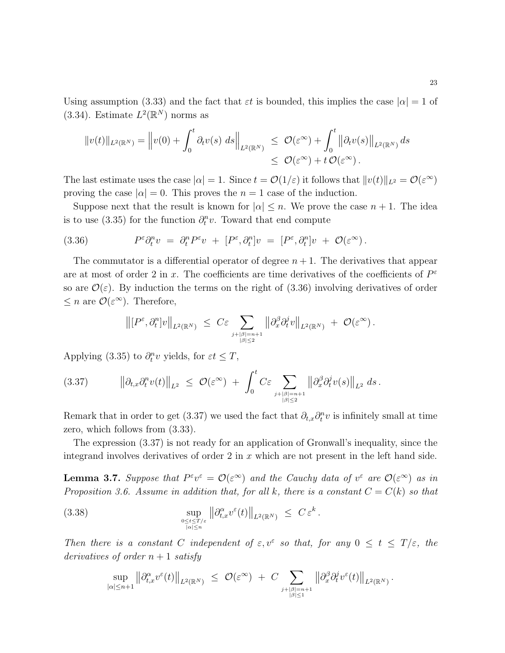Using assumption (3.33) and the fact that  $\varepsilon t$  is bounded, this implies the case  $|\alpha|=1$  of (3.34). Estimate  $L^2(\mathbb{R}^N)$  norms as

$$
||v(t)||_{L^2(\mathbb{R}^N)} = ||v(0) + \int_0^t \partial_t v(s) \, ds||_{L^2(\mathbb{R}^N)} \leq \mathcal{O}(\varepsilon^{\infty}) + \int_0^t ||\partial_t v(s)||_{L^2(\mathbb{R}^N)} ds
$$
  

$$
\leq \mathcal{O}(\varepsilon^{\infty}) + t \mathcal{O}(\varepsilon^{\infty}).
$$

The last estimate uses the case  $|\alpha| = 1$ . Since  $t = \mathcal{O}(1/\varepsilon)$  it follows that  $||v(t)||_{L^2} = \mathcal{O}(\varepsilon^{\infty})$ proving the case  $|\alpha| = 0$ . This proves the  $n = 1$  case of the induction.

Suppose next that the result is known for  $|\alpha| \leq n$ . We prove the case  $n + 1$ . The idea is to use (3.35) for the function  $\partial_t^n v$ . Toward that end compute

(3.36) 
$$
P^{\varepsilon} \partial_t^n v = \partial_t^n P^{\varepsilon} v + [P^{\varepsilon}, \partial_t^n] v = [P^{\varepsilon}, \partial_t^n] v + \mathcal{O}(\varepsilon^{\infty}).
$$

The commutator is a differential operator of degree  $n+1$ . The derivatives that appear are at most of order 2 in x. The coefficients are time derivatives of the coefficients of  $P^{\varepsilon}$ so are  $\mathcal{O}(\varepsilon)$ . By induction the terms on the right of (3.36) involving derivatives of order  $\leq n$  are  $\mathcal{O}(\varepsilon^{\infty})$ . Therefore,

$$
\left\|[P^\varepsilon,\partial_t^n]v\right\|_{L^2(\mathbb{R}^N)}\;\leq\;C\varepsilon\sum_{\substack{j+|\beta|=n+1\\|\beta|\leq 2}}\left\|\partial_x^\beta\partial_t^j v\right\|_{L^2(\mathbb{R}^N)}\;+\;\mathcal{O}(\varepsilon^\infty)\,.
$$

Applying (3.35) to  $\partial_t^n v$  yields, for  $\varepsilon t \leq T$ ,

$$
(3.37) \t\t ||\partial_{t,x}\partial_t^n v(t)||_{L^2} \leq \mathcal{O}(\varepsilon^{\infty}) + \int_0^t C\varepsilon \sum_{\substack{j+|\beta|=n+1 \\ |\beta|\leq 2}} ||\partial_x^{\beta}\partial_t^j v(s)||_{L^2} ds.
$$

Remark that in order to get (3.37) we used the fact that  $\partial_{t,x}\partial_t^n v$  is infinitely small at time zero, which follows from (3.33).

The expression (3.37) is not ready for an application of Gronwall's inequality, since the integrand involves derivatives of order 2 in  $x$  which are not present in the left hand side.

**Lemma 3.7.** Suppose that  $P^{\varepsilon}v^{\varepsilon} = \mathcal{O}(\varepsilon^{\infty})$  and the Cauchy data of  $v^{\varepsilon}$  are  $\mathcal{O}(\varepsilon^{\infty})$  as in Proposition 3.6. Assume in addition that, for all k, there is a constant  $C = C(k)$  so that

(3.38) 
$$
\sup_{\substack{0 \leq t \leq T/\varepsilon \\ |\alpha| \leq n}} \left\| \partial_{t,x}^{\alpha} v^{\varepsilon}(t) \right\|_{L^2(\mathbb{R}^N)} \leq C \varepsilon^k.
$$

Then there is a constant C independent of  $\varepsilon, v^{\varepsilon}$  so that, for any  $0 \leq t \leq T/\varepsilon$ , the derivatives of order  $n+1$  satisfy

$$
\sup_{|\alpha|\leq n+1} \left\|\partial_{t,x}^\alpha v^\varepsilon(t)\right\|_{L^2(\mathbb{R}^N)} \ \leq \ \mathcal{O}(\varepsilon^\infty) \ + \ C \sum_{j+\beta|=n+1 \atop |\beta|\leq 1} \left\|\partial_x^\beta \partial_t^j v^\varepsilon(t)\right\|_{L^2(\mathbb{R}^N)}.
$$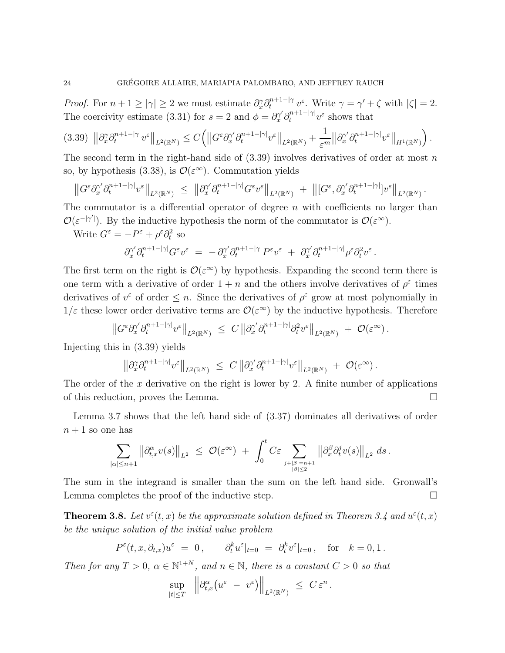*Proof.* For  $n + 1 \ge |\gamma| \ge 2$  we must estimate  $\partial_x^{\gamma} \partial_t^{n+1-|\gamma|} v^{\varepsilon}$ . Write  $\gamma = \gamma' + \zeta$  with  $|\zeta| = 2$ . The coercivity estimate (3.31) for  $s = 2$  and  $\phi = \partial_x^{\gamma'} \partial_t^{n+1-|\gamma|} v^{\varepsilon}$  shows that

$$
(3.39)\ \|\partial_x^{\gamma}\partial_t^{n+1-|\gamma|}v^{\varepsilon}\|_{L^2(\mathbb{R}^N)} \leq C\Big(\big\|G^{\varepsilon}\partial_x^{\gamma'}\partial_t^{n+1-|\gamma|}v^{\varepsilon}\big\|_{L^2(\mathbb{R}^N)} + \frac{1}{\varepsilon^m}\big\|\partial_x^{\gamma'}\partial_t^{n+1-|\gamma|}v^{\varepsilon}\big\|_{H^1(\mathbb{R}^N)}\Big).
$$

The second term in the right-hand side of  $(3.39)$  involves derivatives of order at most n so, by hypothesis (3.38), is  $\mathcal{O}(\varepsilon^{\infty})$ . Commutation yields

$$
\left\|G^\varepsilon\partial_x^{\gamma'}\partial_t^{n+1-|\gamma|}v^\varepsilon\right\|_{L^2(\mathbb{R}^N)}\;\leq\; \left\|\partial_x^{\gamma'}\partial_t^{n+1-|\gamma|}G^\varepsilon v^\varepsilon\right\|_{L^2(\mathbb{R}^N)}\;+\;\left\|[G^\varepsilon,\partial_x^{\gamma'}\partial_t^{n+1-|\gamma|}]v^\varepsilon\right\|_{L^2(\mathbb{R}^N)}.
$$

The commutator is a differential operator of degree n with coefficients no larger than  $\mathcal{O}(\varepsilon^{-|\gamma'|})$ . By the inductive hypothesis the norm of the commutator is  $\mathcal{O}(\varepsilon^{\infty})$ .

Write  $G^{\varepsilon} = -P^{\varepsilon} + \rho^{\varepsilon} \partial_t^2$  so

$$
\partial_x^{\gamma'} \partial_t^{n+1-|\gamma|} G^{\varepsilon} v^{\varepsilon} \;=\; -\, \partial_x^{\gamma'} \partial_t^{n+1-|\gamma|} P^{\varepsilon} v^{\varepsilon} \;+\; \partial_x^{\gamma'} \partial_t^{n+1-|\gamma|} \rho^{\varepsilon} \partial_t^2 v^{\varepsilon} \,.
$$

The first term on the right is  $\mathcal{O}(\varepsilon^{\infty})$  by hypothesis. Expanding the second term there is one term with a derivative of order  $1 + n$  and the others involve derivatives of  $\rho^{\varepsilon}$  times derivatives of  $v^{\varepsilon}$  of order  $\leq n$ . Since the derivatives of  $\rho^{\varepsilon}$  grow at most polynomially in  $1/\varepsilon$  these lower order derivative terms are  $\mathcal{O}(\varepsilon^{\infty})$  by the inductive hypothesis. Therefore

$$
\left\|G^{\varepsilon} \partial_x^{\gamma'} \partial_t^{n+1-|\gamma|} v^{\varepsilon}\right\|_{L^2(\mathbb{R}^N)} \leq C \left\|\partial_x^{\gamma'} \partial_t^{n+1-|\gamma|} \partial_t^2 v^{\varepsilon}\right\|_{L^2(\mathbb{R}^N)} + \mathcal{O}(\varepsilon^{\infty}).
$$

Injecting this in (3.39) yields

$$
\left\|\partial_x^{\gamma}\partial_t^{n+1-|\gamma|}v^{\varepsilon}\right\|_{L^2(\mathbb{R}^N)}\,\,\leq\,\,C\left\|\partial_x^{\gamma'}\partial_t^{n+1-|\gamma|}v^{\varepsilon}\right\|_{L^2(\mathbb{R}^N)}\,+\,\,\mathcal{O}(\varepsilon^{\infty})\,.
$$

The order of the x derivative on the right is lower by 2. A finite number of applications of this reduction, proves the Lemma.

Lemma 3.7 shows that the left hand side of (3.37) dominates all derivatives of order  $n+1$  so one has

$$
\sum_{|\alpha|\leq n+1} \left\|\partial_{t,x}^\alpha v(s)\right\|_{L^2} \,\,\leq\,\, \mathcal{O}(\varepsilon^\infty) \,\,+\,\,\int_0^t C\varepsilon \sum_{\substack{j+|\beta|=n+1\\|\beta|\leq 2}} \left\|\partial_x^\beta \partial_t^j v(s)\right\|_{L^2} \,ds\,.
$$

The sum in the integrand is smaller than the sum on the left hand side. Gronwall's Lemma completes the proof of the inductive step.  $\Box$ 

**Theorem 3.8.** Let  $v^{\epsilon}(t, x)$  be the approximate solution defined in Theorem 3.4 and  $u^{\epsilon}(t, x)$ be the unique solution of the initial value problem

$$
P^{\varepsilon}(t,x,\partial_{t,x})u^{\varepsilon} = 0, \qquad \partial_t^k u^{\varepsilon}|_{t=0} = \partial_t^k v^{\varepsilon}|_{t=0}, \quad \text{for} \quad k = 0, 1.
$$

Then for any  $T > 0$ ,  $\alpha \in \mathbb{N}^{1+N}$ , and  $n \in \mathbb{N}$ , there is a constant  $C > 0$  so that

$$
\sup_{|t| \leq T} \quad \left\| \partial_{t,x}^\alpha \big( u^\varepsilon - v^\varepsilon \big) \right\|_{L^2(\mathbb{R}^N)} \leq C \, \varepsilon^n \, .
$$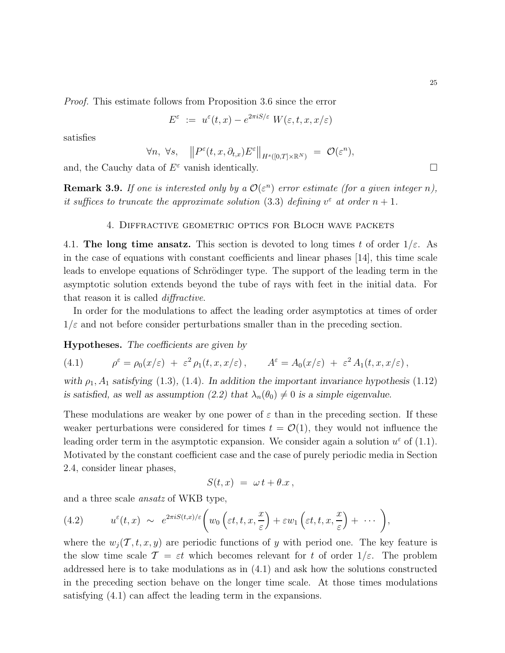Proof. This estimate follows from Proposition 3.6 since the error

$$
E^{\varepsilon} := u^{\varepsilon}(t, x) - e^{2\pi i S/\varepsilon} W(\varepsilon, t, x, x/\varepsilon)
$$

satisfies

$$
\forall n, \ \forall s, \quad \left\| P^{\varepsilon}(t, x, \partial_{t, x}) E^{\varepsilon} \right\|_{H^{s}([0, T] \times \mathbb{R}^{N})} = \mathcal{O}(\varepsilon^{n}),
$$

and, the Cauchy data of  $E^{\varepsilon}$  vanish identically.

**Remark 3.9.** If one is interested only by a  $\mathcal{O}(\varepsilon^n)$  error estimate (for a given integer n), it suffices to truncate the approximate solution (3.3) defining  $v^{\varepsilon}$  at order  $n+1$ .

## 4. Diffractive geometric optics for Bloch wave packets

4.1. The long time ansatz. This section is devoted to long times t of order  $1/\varepsilon$ . As in the case of equations with constant coefficients and linear phases [14], this time scale leads to envelope equations of Schrödinger type. The support of the leading term in the asymptotic solution extends beyond the tube of rays with feet in the initial data. For that reason it is called *diffractive*.

In order for the modulations to affect the leading order asymptotics at times of order  $1/\varepsilon$  and not before consider perturbations smaller than in the preceding section.

Hypotheses. The coefficients are given by

(4.1) 
$$
\rho^{\varepsilon} = \rho_0(x/\varepsilon) + \varepsilon^2 \rho_1(t, x, x/\varepsilon), \qquad A^{\varepsilon} = A_0(x/\varepsilon) + \varepsilon^2 A_1(t, x, x/\varepsilon),
$$

with  $\rho_1$ ,  $A_1$  satisfying (1.3), (1.4). In addition the important invariance hypothesis (1.12) is satisfied, as well as assumption (2.2) that  $\lambda_n(\theta_0) \neq 0$  is a simple eigenvalue.

These modulations are weaker by one power of  $\varepsilon$  than in the preceding section. If these weaker perturbations were considered for times  $t = \mathcal{O}(1)$ , they would not influence the leading order term in the asymptotic expansion. We consider again a solution  $u^{\varepsilon}$  of (1.1). Motivated by the constant coefficient case and the case of purely periodic media in Section 2.4, consider linear phases,

$$
S(t,x) = \omega t + \theta \cdot x \,,
$$

and a three scale ansatz of WKB type,

(4.2) 
$$
u^{\varepsilon}(t,x) \sim e^{2\pi i S(t,x)/\varepsilon} \bigg( w_0 \left( \varepsilon t, t, x, \frac{x}{\varepsilon} \right) + \varepsilon w_1 \left( \varepsilon t, t, x, \frac{x}{\varepsilon} \right) + \cdots \bigg),
$$

where the  $w_j(\mathcal{T}, t, x, y)$  are periodic functions of y with period one. The key feature is the slow time scale  $\mathcal{T} = \varepsilon t$  which becomes relevant for t of order  $1/\varepsilon$ . The problem addressed here is to take modulations as in (4.1) and ask how the solutions constructed in the preceding section behave on the longer time scale. At those times modulations satisfying (4.1) can affect the leading term in the expansions.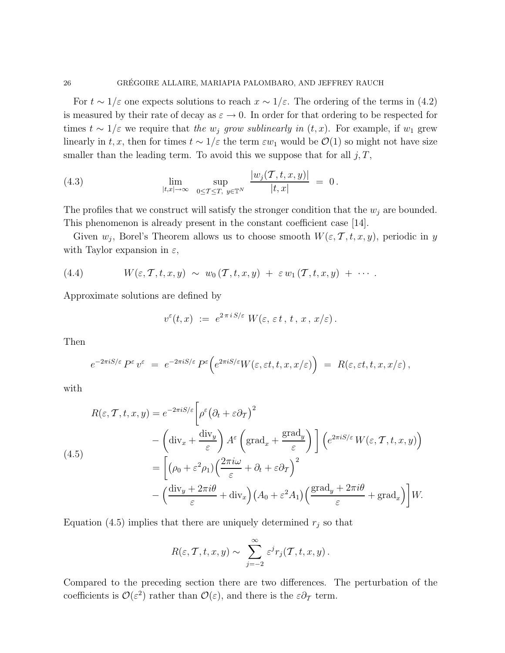For  $t \sim 1/\varepsilon$  one expects solutions to reach  $x \sim 1/\varepsilon$ . The ordering of the terms in (4.2) is measured by their rate of decay as  $\varepsilon \to 0$ . In order for that ordering to be respected for times  $t \sim 1/\varepsilon$  we require that the  $w_j$  grow sublinearly in  $(t, x)$ . For example, if  $w_1$  grew linearly in t, x, then for times  $t \sim 1/\varepsilon$  the term  $\varepsilon w_1$  would be  $\mathcal{O}(1)$  so might not have size smaller than the leading term. To avoid this we suppose that for all  $j, T$ ,

(4.3) 
$$
\lim_{|t,x|\to\infty} \ \sup_{0\leq T\leq T, \ y\in\mathbb{T}^N} \ \frac{|w_j(T,t,x,y)|}{|t,x|} = 0.
$$

The profiles that we construct will satisfy the stronger condition that the  $w_j$  are bounded. This phenomenon is already present in the constant coefficient case [14].

Given  $w_j$ , Borel's Theorem allows us to choose smooth  $W(\varepsilon, \mathcal{T}, t, x, y)$ , periodic in y with Taylor expansion in  $\varepsilon$ ,

(4.4) 
$$
W(\varepsilon, \mathcal{T}, t, x, y) \sim w_0(\mathcal{T}, t, x, y) + \varepsilon w_1(\mathcal{T}, t, x, y) + \cdots
$$

Approximate solutions are defined by

$$
v^{\varepsilon}(t,x) := e^{2\pi i S/\varepsilon} W(\varepsilon, \varepsilon t, t, x, x/\varepsilon).
$$

Then

$$
e^{-2\pi i S/\varepsilon} P^\varepsilon v^\varepsilon = e^{-2\pi i S/\varepsilon} P^\varepsilon \Big( e^{2\pi i S/\varepsilon} W(\varepsilon,\varepsilon t,t,x,x/\varepsilon) \Big) = R(\varepsilon,\varepsilon t,t,x,x/\varepsilon) \,,
$$

with

$$
R(\varepsilon, \mathcal{T}, t, x, y) = e^{-2\pi i S/\varepsilon} \left[ \rho^{\varepsilon} \left( \partial_t + \varepsilon \partial_{\mathcal{T}} \right)^2 - \left( \operatorname{div}_x + \frac{\operatorname{div}_y}{\varepsilon} \right) A^{\varepsilon} \left( \operatorname{grad}_x + \frac{\operatorname{grad}_y}{\varepsilon} \right) \right] \left( e^{2\pi i S/\varepsilon} W(\varepsilon, \mathcal{T}, t, x, y) \right)
$$
  
\n
$$
= \left[ \left( \rho_0 + \varepsilon^2 \rho_1 \right) \left( \frac{2\pi i \omega}{\varepsilon} + \partial_t + \varepsilon \partial_{\mathcal{T}} \right)^2 - \left( \frac{\operatorname{div}_y + 2\pi i \theta}{\varepsilon} + \operatorname{div}_x \right) \left( A_0 + \varepsilon^2 A_1 \right) \left( \frac{\operatorname{grad}_y + 2\pi i \theta}{\varepsilon} + \operatorname{grad}_x \right) \right] W.
$$

Equation (4.5) implies that there are uniquely determined  $r_j$  so that

$$
R(\varepsilon, \mathcal{T}, t, x, y) \sim \sum_{j=-2}^{\infty} \varepsilon^{j} r_{j}(\mathcal{T}, t, x, y).
$$

Compared to the preceding section there are two differences. The perturbation of the coefficients is  $\mathcal{O}(\varepsilon^2)$  rather than  $\mathcal{O}(\varepsilon)$ , and there is the  $\varepsilon \partial_\mathcal{T}$  term.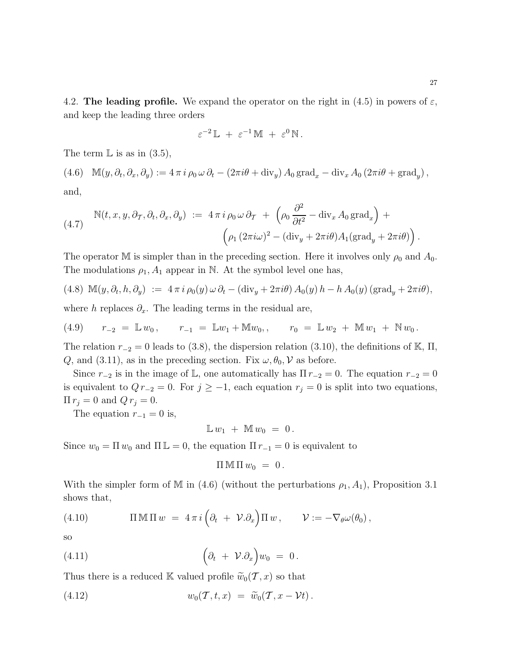4.2. The leading profile. We expand the operator on the right in (4.5) in powers of  $\varepsilon$ , and keep the leading three orders

$$
\varepsilon^{-2} \mathbb{L} + \varepsilon^{-1} \mathbb{M} + \varepsilon^0 \mathbb{N}.
$$

The term  $\mathbb L$  is as in  $(3.5)$ ,

(4.6)  $\mathbb{M}(y, \partial_t, \partial_x, \partial_y) := 4 \pi i \rho_0 \omega \partial_t - (2 \pi i \theta + \text{div}_y) A_0 \text{grad}_x - \text{div}_x A_0 (2 \pi i \theta + \text{grad}_y),$ and,

(4.7) 
$$
\mathbb{N}(t, x, y, \partial_{\mathcal{T}}, \partial_t, \partial_x, \partial_y) := 4 \pi i \rho_0 \omega \partial_{\mathcal{T}} + \left( \rho_0 \frac{\partial^2}{\partial t^2} - \text{div}_x A_0 \text{ grad}_x \right) + \left( \rho_1 (2 \pi i \omega)^2 - (\text{div}_y + 2 \pi i \theta) A_1 (\text{grad}_y + 2 \pi i \theta) \right).
$$

The operator M is simpler than in the preceding section. Here it involves only  $\rho_0$  and  $A_0$ . The modulations  $\rho_1$ ,  $A_1$  appear in N. At the symbol level one has,

$$
(4.8) \ \mathbb{M}(y,\partial_t,h,\partial_y) \ := \ 4\,\pi\,i\,\rho_0(y)\,\omega\,\partial_t - (\text{div}_y + 2\pi i\theta)\,A_0(y)\,h - h\,A_0(y)\,(\text{grad}_y + 2\pi i\theta),
$$

where h replaces  $\partial_x$ . The leading terms in the residual are,

(4.9) 
$$
r_{-2} = \mathbb{L} w_0
$$
,  $r_{-1} = \mathbb{L} w_1 + M w_0$ ,  $r_0 = \mathbb{L} w_2 + M w_1 + N w_0$ .

The relation  $r_{-2} = 0$  leads to (3.8), the dispersion relation (3.10), the definitions of K,  $\Pi$ , Q, and (3.11), as in the preceding section. Fix  $\omega, \theta_0, \mathcal{V}$  as before.

Since  $r_{-2}$  is in the image of L, one automatically has  $\Pi r_{-2} = 0$ . The equation  $r_{-2} = 0$ is equivalent to  $Q r_{-2} = 0$ . For  $j \ge -1$ , each equation  $r_j = 0$  is split into two equations,  $\Pi r_j = 0$  and  $Q r_j = 0$ .

The equation  $r_{-1} = 0$  is,

 $\mathbb{L} w_1 + \mathbb{M} w_0 = 0$ .

Since  $w_0 = \Pi w_0$  and  $\Pi \mathbb{L} = 0$ , the equation  $\Pi r_{-1} = 0$  is equivalent to

$$
\Pi \,\mathbb{M}\,\Pi\,w_0\ =\ 0\,.
$$

With the simpler form of M in (4.6) (without the perturbations  $\rho_1$ ,  $A_1$ ), Proposition 3.1 shows that,

(4.10) 
$$
\Pi \mathbb{M} \Pi w = 4 \pi i \left( \partial_t + \mathcal{V} \cdot \partial_x \right) \Pi w, \qquad \mathcal{V} := -\nabla_{\theta} \omega(\theta_0),
$$

so

(4.11) 
$$
\left(\partial_t + \mathcal{V}.\partial_x\right)w_0 = 0.
$$

Thus there is a reduced K valued profile  $\widetilde{w}_0(\mathcal{T}, x)$  so that

$$
(4.12) \t\t w_0(\mathcal{T},t,x) = \widetilde{w}_0(\mathcal{T},x-\mathcal{V}t).
$$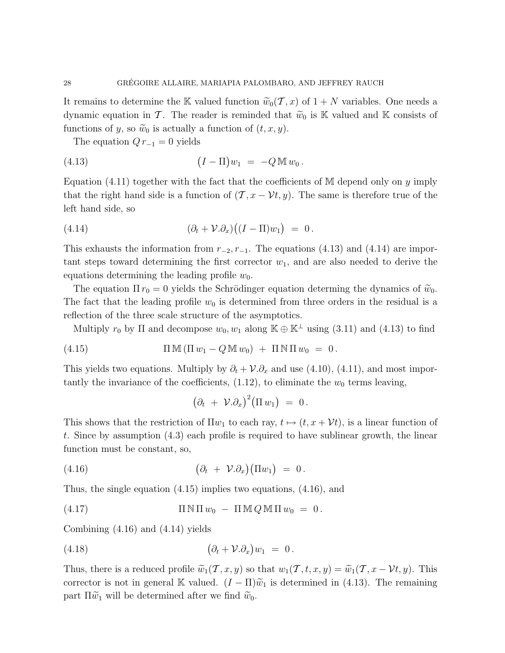It remains to determine the K valued function  $\widetilde{w}_0(\mathcal{T}, x)$  of  $1 + N$  variables. One needs a dynamic equation in T. The reader is reminded that  $\tilde{w}_0$  is K valued and K consists of functions of y, so  $\widetilde{w}_0$  is actually a function of  $(t, x, y)$ .

The equation  $Q r_{-1} = 0$  yields

(4.13) 
$$
(I - \Pi)w_1 = -Q \mathbb{M} w_0.
$$

Equation  $(4.11)$  together with the fact that the coefficients of M depend only on y imply that the right hand side is a function of  $(\mathcal{T}, x - \mathcal{V}t, y)$ . The same is therefore true of the left hand side, so

(4.14) 
$$
(\partial_t + \mathcal{V}.\partial_x)((I - \Pi)w_1) = 0.
$$

This exhausts the information from  $r_{-2}$ ,  $r_{-1}$ . The equations (4.13) and (4.14) are important steps toward determining the first corrector  $w_1$ , and are also needed to derive the equations determining the leading profile  $w_0$ .

The equation  $\Pi r_0 = 0$  yields the Schrödinger equation determing the dynamics of  $\tilde{w}_0$ . The fact that the leading profile  $w_0$  is determined from three orders in the residual is a reflection of the three scale structure of the asymptotics.

Multiply  $r_0$  by  $\Pi$  and decompose  $w_0, w_1$  along  $\mathbb{K} \oplus \mathbb{K}^{\perp}$  using (3.11) and (4.13) to find

(4.15) 
$$
\Pi \mathbb{M} (\Pi w_1 - Q \mathbb{M} w_0) + \Pi \mathbb{N} \Pi w_0 = 0.
$$

This yields two equations. Multiply by  $\partial_t + \mathcal{V}.\partial_x$  and use (4.10), (4.11), and most importantly the invariance of the coefficients,  $(1.12)$ , to eliminate the  $w_0$  terms leaving,

$$
(\partial_t + \mathcal{V}.\partial_x)^2 (\Pi w_1) = 0.
$$

This shows that the restriction of  $\Pi w_1$  to each ray,  $t \mapsto (t, x + \mathcal{V}t)$ , is a linear function of t. Since by assumption (4.3) each profile is required to have sublinear growth, the linear function must be constant, so,

$$
(4.16) \qquad \qquad (\partial_t + \mathcal{V}.\partial_x)(\Pi w_1) = 0.
$$

Thus, the single equation (4.15) implies two equations, (4.16), and

(4.17) 
$$
\Pi \,\mathbb{N} \,\Pi \,w_0 - \Pi \,\mathbb{M} \,Q \,\mathbb{M} \,\Pi \,w_0 = 0.
$$

Combining (4.16) and (4.14) yields

$$
(4.18) \qquad \qquad (\partial_t + \mathcal{V}.\partial_x)w_1 = 0.
$$

Thus, there is a reduced profile  $\widetilde{w}_1(\mathcal{T}, x, y)$  so that  $w_1(\mathcal{T}, t, x, y) = \widetilde{w}_1(\mathcal{T}, x - \mathcal{V}t, y)$ . This corrector is not in general K valued.  $(I - \Pi)\tilde{w}_1$  is determined in (4.13). The remaining part  $\Pi \tilde{w}_1$  will be determined after we find  $\tilde{w}_0$ .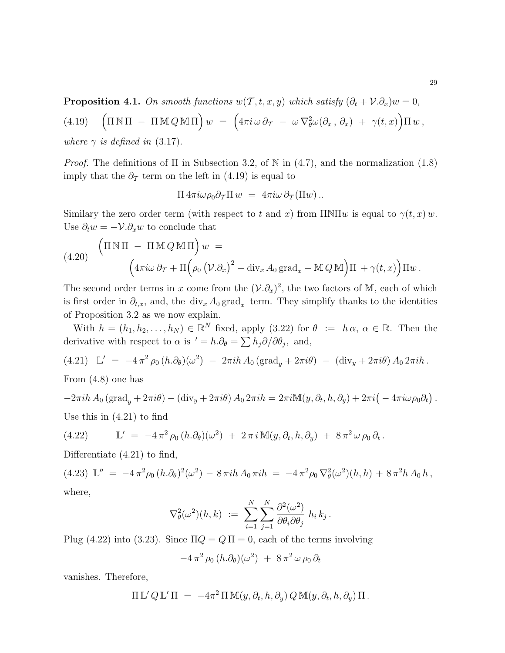**Proposition 4.1.** On smooth functions  $w(\mathcal{T}, t, x, y)$  which satisfy  $(\partial_t + \mathcal{V} \cdot \partial_x)w = 0$ ,

(4.19) 
$$
\left(\Pi \mathbb{N} \Pi - \Pi \mathbb{M} Q \mathbb{M} \Pi\right) w = \left(4\pi i \omega \partial_T - \omega \nabla_{\theta}^2 \omega(\partial_x, \partial_x) + \gamma(t, x)\right) \Pi w
$$
,  
where  $\gamma$  is defined in (3.17).

*Proof.* The definitions of  $\Pi$  in Subsection 3.2, of  $\mathbb N$  in (4.7), and the normalization (1.8) imply that the  $\partial_{\mathcal{I}}$  term on the left in (4.19) is equal to

$$
\Pi 4\pi i\omega \rho_0 \partial_T \Pi w = 4\pi i\omega \partial_T (\Pi w) \, .
$$

Similary the zero order term (with respect to t and x) from  $\pi N \Pi w$  is equal to  $\gamma(t, x) w$ . Use  $\partial_t w = -\mathcal{V}.\partial_x w$  to conclude that

(4.20) 
$$
\left(\Pi \mathbb{N} \Pi - \Pi \mathbb{M} Q \mathbb{M} \Pi\right) w =
$$

$$
\left(4\pi i \omega \partial_T + \Pi \left(\rho_0 \left(\mathcal{V}.\partial_x\right)^2 - \text{div}_x A_0 \text{grad}_x - \mathbb{M} Q \mathbb{M}\right) \Pi + \gamma(t, x)\right) \Pi w.
$$

The second order terms in x come from the  $(\mathcal{V}.\partial_x)^2$ , the two factors of M, each of which is first order in  $\partial_{t,x}$ , and, the div<sub>x</sub>  $A_0$  grad<sub>x</sub> term. They simplify thanks to the identities of Proposition 3.2 as we now explain.

With  $h = (h_1, h_2, \ldots, h_N) \in \mathbb{R}^N$  fixed, apply (3.22) for  $\theta := h \alpha, \alpha \in \mathbb{R}$ . Then the derivative with respect to  $\alpha$  is ' =  $h.\partial_{\theta} = \sum h_j \partial/\partial \theta_j$ , and,

$$
(4.21) \quad \mathbb{L}' = -4\pi^2 \rho_0 (h.\partial_\theta)(\omega^2) - 2\pi i h A_0 (\text{grad}_y + 2\pi i\theta) - (\text{div}_y + 2\pi i\theta) A_0 2\pi i h.
$$

From (4.8) one has

$$
-2\pi i h A_0 (\text{grad}_y + 2\pi i \theta) - (\text{div}_y + 2\pi i \theta) A_0 2\pi i h = 2\pi i \mathbb{M}(y, \partial_t, h, \partial_y) + 2\pi i \left( -4\pi i \omega \rho_0 \partial_t \right).
$$

Use this in (4.21) to find

(4.22) 
$$
\mathbb{L}' = -4\pi^2 \rho_0 (h.\partial_\theta)(\omega^2) + 2\pi i \mathbb{M}(y,\partial_t,h,\partial_y) + 8\pi^2 \omega \rho_0 \partial_t.
$$

Differentiate (4.21) to find,

(4.23)  $\mathbb{L}'' = -4 \pi^2 \rho_0 (h \cdot \partial_\theta)^2 (\omega^2) - 8 \pi i h A_0 \pi i h = -4 \pi^2 \rho_0 \nabla_\theta^2 (\omega^2) (h, h) + 8 \pi^2 h A_0 h,$ where,

$$
\nabla^2_{\theta}(\omega^2)(h,k) \; := \; \sum_{i=1}^N \sum_{j=1}^N \frac{\partial^2(\omega^2)}{\partial \theta_i \partial \theta_j} \; h_i \, k_j \, .
$$

Plug (4.22) into (3.23). Since  $\Pi Q = Q \Pi = 0$ , each of the terms involving

$$
-4\,\pi^2\,\rho_0\,(h.\partial_\theta)(\omega^2)\;+\;8\,\pi^2\,\omega\,\rho_0\,\partial_t
$$

vanishes. Therefore,

$$
\Pi L' Q L' \Pi = -4\pi^2 \Pi M(y, \partial_t, h, \partial_y) Q M(y, \partial_t, h, \partial_y) \Pi.
$$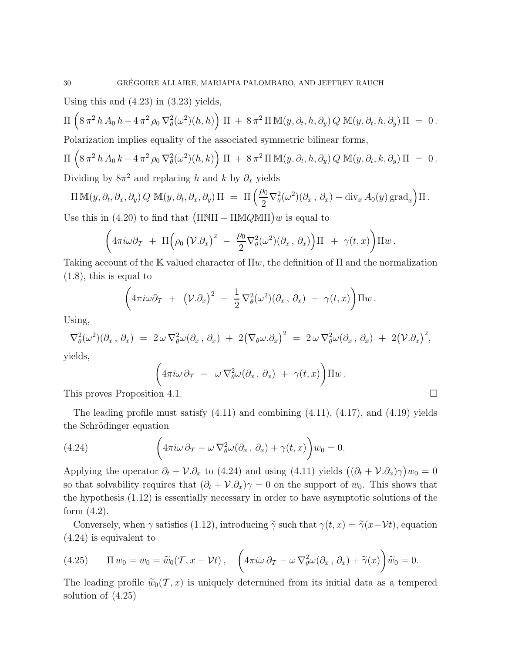Using this and  $(4.23)$  in  $(3.23)$  yields,

$$
\Pi\left(8\,\pi^2\,h\,A_0\,h-4\,\pi^2\,\rho_0\,\nabla_\theta^2(\omega^2)(h,h)\right)\,\Pi\,+\,8\,\pi^2\,\Pi\,\mathbb{M}(y,\partial_t,h,\partial_y)\,Q\,\mathbb{M}(y,\partial_t,h,\partial_y)\,\Pi\,=\,0\,.
$$

Polarization implies equality of the associated symmetric bilinear forms,

$$
\Pi\left(8\,\pi^2\,h\,A_0\,k-4\,\pi^2\,\rho_0\,\nabla_\theta^2(\omega^2)(h,k)\right)\,\Pi\,+\,8\,\pi^2\,\Pi\,\mathbb{M}(y,\partial_t,h,\partial_y)\,Q\,\mathbb{M}(y,\partial_t,k,\partial_y)\,\Pi\,=\,0\,.
$$
 Dividing by  $8\pi^2$  and replacing  $h$  and  $k$  by  $\partial_x$  yields

$$
\Pi \mathbb{M}(y, \partial_t, \partial_x, \partial_y) Q \mathbb{M}(y, \partial_t, \partial_x, \partial_y) \Pi = \Pi \left( \frac{\rho_0}{2} \nabla_{\theta}^2(\omega^2) (\partial_x, \partial_x) - \text{div}_x A_0(y) \text{ grad}_x \right) \Pi.
$$

Use this in (4.20) to find that  $(\Pi \text{N}\Pi - \Pi \text{M}\mathcal{Q}\text{M}\Pi)w$  is equal to

$$
\left(4\pi i\omega\partial_T\ +\ \Pi\Big(\rho_0\left(\mathcal{V}.\partial_x\right)^2\ -\ \frac{\rho_0}{2}\nabla^2_\theta(\omega^2)(\partial_x\,,\,\partial_x)\right)\Pi\ +\ \gamma(t,x)\right)\Pi w\,.
$$

Taking account of the K valued character of  $\Pi w$ , the definition of  $\Pi$  and the normalization (1.8), this is equal to

$$
\left(4\pi i\omega\partial_T + (\mathcal{V}.\partial_x)^2 - \frac{1}{2}\nabla_\theta^2(\omega^2)(\partial_x,\,\partial_x) + \gamma(t,x)\right)\Pi w.
$$

Using,

$$
\nabla_{\theta}^{2}(\omega^{2})(\partial_{x}, \partial_{x}) = 2 \omega \nabla_{\theta}^{2} \omega(\partial_{x}, \partial_{x}) + 2(\nabla_{\theta} \omega \cdot \partial_{x})^{2} = 2 \omega \nabla_{\theta}^{2} \omega(\partial_{x}, \partial_{x}) + 2(\mathcal{V} \cdot \partial_{x})^{2},
$$

yields,

$$
\left(4\pi i\omega\,\partial_T\;-\;\omega\,\nabla_\theta^2\omega(\partial_x\,,\,\partial_x)\;+\;\gamma(t,x)\right)\!\Pi w\,.
$$

This proves Proposition 4.1.

The leading profile must satisfy  $(4.11)$  and combining  $(4.11)$ ,  $(4.17)$ , and  $(4.19)$  yields the Schrödinger equation

(4.24) 
$$
\left(4\pi i\omega\,\partial_T-\omega\,\nabla^2_\theta\omega(\partial_x,\,\partial_x)+\gamma(t,x)\right)w_0=0.
$$

Applying the operator  $\partial_t + \mathcal{V} \cdot \partial_x$  to (4.24) and using (4.11) yields  $((\partial_t + \mathcal{V} \cdot \partial_x)\gamma)w_0 = 0$ so that solvability requires that  $(\partial_t + V \cdot \partial_x) \gamma = 0$  on the support of  $w_0$ . This shows that the hypothesis (1.12) is essentially necessary in order to have asymptotic solutions of the form (4.2).

Conversely, when  $\gamma$  satisfies (1.12), introducing  $\widetilde{\gamma}$  such that  $\gamma(t, x) = \widetilde{\gamma}(x-\mathcal{V}t)$ , equation (4.24) is equivalent to

(4.25) 
$$
\Pi w_0 = w_0 = \widetilde{w}_0(\mathcal{T}, x - \mathcal{V}t), \quad \left(4\pi i\omega \, \partial_{\mathcal{T}} - \omega \, \nabla_{\theta}^2 \omega(\partial_x, \partial_x) + \widetilde{\gamma}(x)\right) \widetilde{w}_0 = 0.
$$

The leading profile  $\widetilde{w}_0(\mathcal{T}, x)$  is uniquely determined from its initial data as a tempered solution of (4.25)

$$
\Box
$$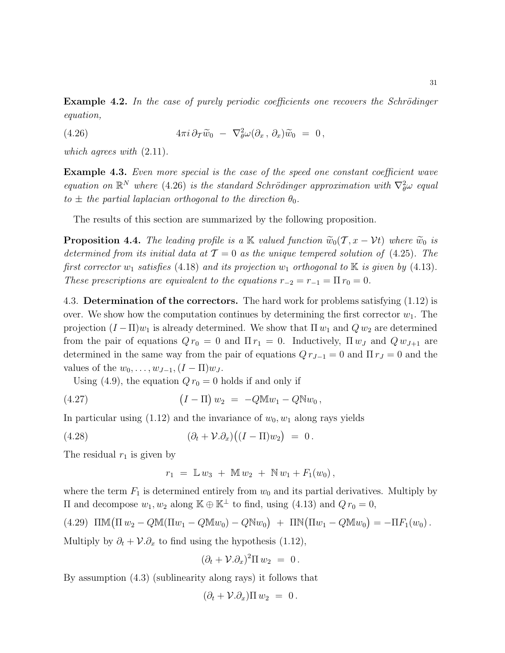**Example 4.2.** In the case of purely periodic coefficients one recovers the Schrödinger equation,

(4.26) 
$$
4\pi i \,\partial_T \widetilde{w}_0 - \nabla_\theta^2 \omega(\partial_x, \, \partial_x) \widetilde{w}_0 = 0,
$$

which agrees with  $(2.11)$ .

**Example 4.3.** Even more special is the case of the speed one constant coefficient wave equation on  $\mathbb{R}^N$  where (4.26) is the standard Schrödinger approximation with  $\nabla^2_{\theta} \omega$  equal to  $\pm$  the partial laplacian orthogonal to the direction  $\theta_0$ .

The results of this section are summarized by the following proposition.

**Proposition 4.4.** The leading profile is a K valued function  $\widetilde{w}_0(\mathcal{T}, x - \mathcal{V}t)$  where  $\widetilde{w}_0$  is determined from its initial data at  $\mathcal{T} = 0$  as the unique tempered solution of (4.25). The first corrector  $w_1$  satisfies (4.18) and its projection  $w_1$  orthogonal to K is given by (4.13). These prescriptions are equivalent to the equations  $r_{-2} = r_{-1} = \Pi r_0 = 0$ .

4.3. Determination of the correctors. The hard work for problems satisfying (1.12) is over. We show how the computation continues by determining the first corrector  $w_1$ . The projection  $(I - \Pi)w_1$  is already determined. We show that  $\Pi w_1$  and  $Q w_2$  are determined from the pair of equations  $Q r_0 = 0$  and  $\Pi r_1 = 0$ . Inductively,  $\Pi w_J$  and  $Q w_{J+1}$  are determined in the same way from the pair of equations  $Q r_{J-1} = 0$  and  $\Pi r_J = 0$  and the values of the  $w_0, \ldots, w_{J-1}, (I - \Pi)w_J$ .

Using (4.9), the equation  $Q r_0 = 0$  holds if and only if

(4.27) 
$$
(I - \Pi) w_2 = -Q M w_1 - Q N w_0,
$$

In particular using  $(1.12)$  and the invariance of  $w_0, w_1$  along rays yields

(4.28) 
$$
(\partial_t + V \cdot \partial_x)((I - \Pi)w_2) = 0.
$$

The residual  $r_1$  is given by

$$
r_1 = \mathbb{L} w_3 + \mathbb{M} w_2 + \mathbb{N} w_1 + F_1(w_0),
$$

where the term  $F_1$  is determined entirely from  $w_0$  and its partial derivatives. Multiply by II and decompose  $w_1, w_2$  along K ⊕ K<sup>⊥</sup> to find, using (4.13) and  $Q r_0 = 0$ ,

$$
(4.29)\quad \text{IMM}(\Pi w_2 - Q\mathbb{M}(\Pi w_1 - Q\mathbb{M}w_0) - Q\mathbb{N}w_0) + \text{IN}(\Pi w_1 - Q\mathbb{M}w_0) = -\Pi F_1(w_0).
$$

Multiply by  $\partial_t + \mathcal{V} \cdot \partial_x$  to find using the hypothesis (1.12),

$$
(\partial_t + \mathcal{V}.\partial_x)^2 \Pi w_2 = 0.
$$

By assumption (4.3) (sublinearity along rays) it follows that

$$
(\partial_t + \mathcal{V}.\partial_x)\Pi w_2 = 0.
$$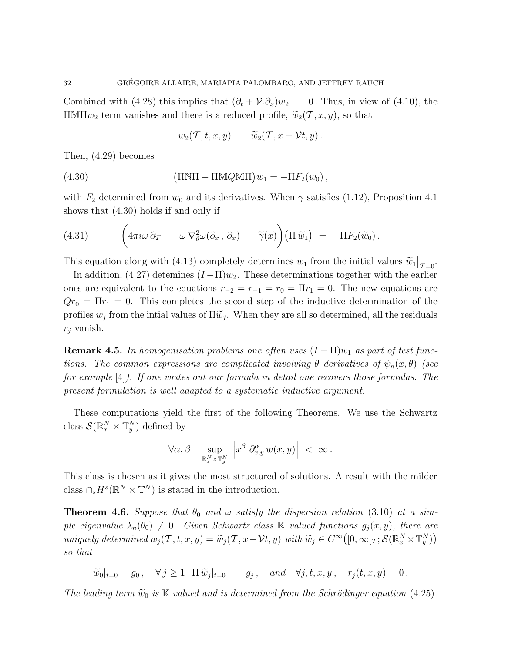Combined with (4.28) this implies that  $(\partial_t + V \partial_x)w_2 = 0$ . Thus, in view of (4.10), the ΠΜΠ $w_2$  term vanishes and there is a reduced profile,  $\widetilde{w}_2(\mathcal{T}, x, y)$ , so that

$$
w_2(\mathcal{T},t,x,y) = \widetilde{w}_2(\mathcal{T},x-\mathcal{V}t,y).
$$

Then, (4.29) becomes

(4.30) 
$$
\left(\Pi \mathbb{N} \Pi - \Pi \mathbb{M} Q \mathbb{M} \Pi\right) w_1 = -\Pi F_2(w_0),
$$

with  $F_2$  determined from  $w_0$  and its derivatives. When  $\gamma$  satisfies (1.12), Proposition 4.1 shows that (4.30) holds if and only if

(4.31) 
$$
\left(4\pi i\omega\,\partial_T\,-\,\omega\,\nabla^2_{\theta}\omega(\partial_x,\,\partial_x)\,+\,\widetilde{\gamma}(x)\right)\left(\Pi\,\widetilde{w}_1\right)\;=\;-\Pi F_2(\widetilde{w}_0)\,.
$$

This equation along with (4.13) completely determines  $w_1$  from the initial values  $\widetilde{w}_1|_{\mathcal{T}=0}$ .

In addition, (4.27) detemines  $(I - \Pi)w_2$ . These determinations together with the earlier ones are equivalent to the equations  $r_{-2} = r_{-1} = r_0 = \Pi r_1 = 0$ . The new equations are  $Qr_0 = \Pi r_1 = 0$ . This completes the second step of the inductive determination of the profiles  $w_j$  from the intial values of  $\Pi \widetilde{w}_j$ . When they are all so determined, all the residuals  $r_i$  vanish.

**Remark 4.5.** In homogenisation problems one often uses  $(I - \Pi)w_1$  as part of test functions. The common expressions are complicated involving  $\theta$  derivatives of  $\psi_n(x,\theta)$  (see for example [4]). If one writes out our formula in detail one recovers those formulas. The present formulation is well adapted to a systematic inductive argument.

These computations yield the first of the following Theorems. We use the Schwartz class  $\mathcal{S}(\mathbb{R}_{x}^{N}\times\mathbb{T}_{y}^{N})$  defined by

$$
\forall \alpha, \beta \quad \sup_{\mathbb{R}^N_x \times \mathbb{T}^N_y} \left| x^{\beta} \partial_{x,y}^{\alpha} w(x,y) \right| \ < \ \infty \, .
$$

This class is chosen as it gives the most structured of solutions. A result with the milder class  $\bigcap_s H^s(\mathbb{R}^N\times\mathbb{T}^N)$  is stated in the introduction.

**Theorem 4.6.** Suppose that  $\theta_0$  and  $\omega$  satisfy the dispersion relation (3.10) at a simple eigenvalue  $\lambda_n(\theta_0) \neq 0$ . Given Schwartz class K valued functions  $g_j(x, y)$ , there are uniquely determined  $w_j(\mathcal{T}, t, x, y) = \widetilde{w}_j(\mathcal{T}, x - \mathcal{V}t, y)$  with  $\widetilde{w}_j \in C^{\infty}([0, \infty[\tau; \mathcal{S}(\mathbb{R}^N_x \times \mathbb{T}^N_y))$ so that

 $\widetilde{w}_0|_{t=0} = g_0, \quad \forall j \ge 1 \quad \Pi \, \widetilde{w}_j|_{t=0} = g_j, \quad and \quad \forall j, t, x, y, \quad r_j(t, x, y) = 0.$ 

The leading term  $\widetilde{w}_0$  is K valued and is determined from the Schrödinger equation (4.25).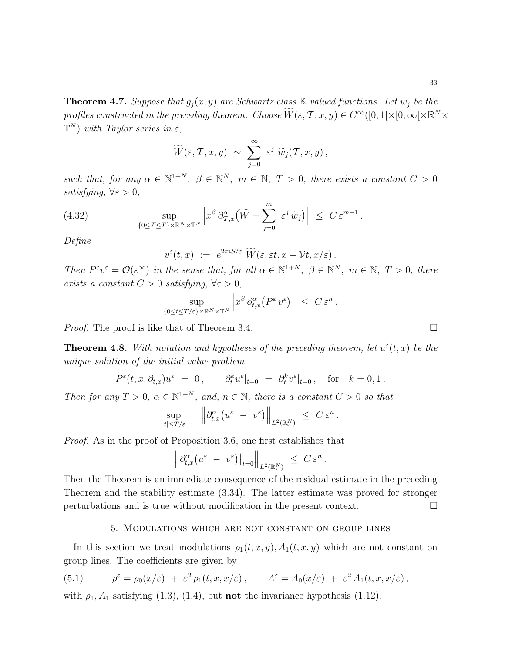**Theorem 4.7.** Suppose that  $g_i(x, y)$  are Schwartz class K valued functions. Let  $w_i$  be the profiles constructed in the preceding theorem. Choose  $\widetilde{W}(\varepsilon, \mathcal{T}, x, y) \in C^\infty([0, 1[\times [0, \infty[\times \mathbb{R}^N \times$  $\mathbb{T}^N$ ) with Taylor series in  $\varepsilon$ ,

$$
\widetilde{W}(\varepsilon, \mathcal{T}, x, y) \sim \sum_{j=0}^{\infty} \varepsilon^j \widetilde{w}_j(\mathcal{T}, x, y),
$$

such that, for any  $\alpha \in \mathbb{N}^{1+N}$ ,  $\beta \in \mathbb{N}^N$ ,  $m \in \mathbb{N}$ ,  $T > 0$ , there exists a constant  $C > 0$ satisfying,  $\forall \varepsilon > 0$ ,

(4.32) 
$$
\sup_{\{0 \le T \le T\} \times \mathbb{R}^N \times \mathbb{T}^N} \left| x^{\beta} \partial_{T,x}^{\alpha} (\widetilde{W} - \sum_{j=0}^m \varepsilon^j \widetilde{w}_j) \right| \le C \varepsilon^{m+1}.
$$

Define

$$
v^{\varepsilon}(t,x) \ := \ e^{2\pi i S/\varepsilon} \ \widetilde{W}(\varepsilon,\varepsilon t,x-\mathcal{V} t,x/\varepsilon) \, .
$$

Then  $P^{\varepsilon}v^{\varepsilon} = \mathcal{O}(\varepsilon^{\infty})$  in the sense that, for all  $\alpha \in \mathbb{N}^{1+N}$ ,  $\beta \in \mathbb{N}^{N}$ ,  $m \in \mathbb{N}$ ,  $T > 0$ , there exists a constant  $C > 0$  satisfying,  $\forall \varepsilon > 0$ ,

$$
\sup_{\{0\leq t\leq T/\varepsilon\}\times\mathbb{R}^N\times\mathbb{T}^N}\left|x^{\beta}\partial_{t,x}^{\alpha}\big(P^{\varepsilon}v^{\varepsilon}\big)\right| \leq C\,\varepsilon^n\,.
$$

*Proof.* The proof is like that of Theorem 3.4.

**Theorem 4.8.** With notation and hypotheses of the preceding theorem, let  $u^{\varepsilon}(t, x)$  be the unique solution of the initial value problem

$$
P^{\varepsilon}(t,x,\partial_{t,x})u^{\varepsilon} = 0, \qquad \partial_t^k u^{\varepsilon}|_{t=0} = \partial_t^k v^{\varepsilon}|_{t=0}, \quad \text{for} \quad k = 0, 1.
$$

Then for any  $T > 0$ ,  $\alpha \in \mathbb{N}^{1+N}$ , and,  $n \in \mathbb{N}$ , there is a constant  $C > 0$  so that

$$
\sup_{|t| \le T/\varepsilon} \quad \left\| \partial_{t,x}^\alpha \big( u^\varepsilon - v^\varepsilon \big) \right\|_{L^2(\mathbb{R}^N_x)} \le C \, \varepsilon^n \, .
$$

Proof. As in the proof of Proposition 3.6, one first establishes that

$$
\left\|\partial_{t,x}^\alpha \big( u^\varepsilon \ - \ v^\varepsilon\big)\right|_{t=0} \right\|_{L^2(\mathbb{R}^N_x)} \ \leq \ C \, \varepsilon^n
$$

.

Then the Theorem is an immediate consequence of the residual estimate in the preceding Theorem and the stability estimate (3.34). The latter estimate was proved for stronger perturbations and is true without modification in the present context.

#### 5. Modulations which are not constant on group lines

In this section we treat modulations  $\rho_1(t, x, y)$ ,  $A_1(t, x, y)$  which are not constant on group lines. The coefficients are given by

(5.1) 
$$
\rho^{\varepsilon} = \rho_0(x/\varepsilon) + \varepsilon^2 \rho_1(t, x, x/\varepsilon), \qquad A^{\varepsilon} = A_0(x/\varepsilon) + \varepsilon^2 A_1(t, x, x/\varepsilon),
$$

with  $\rho_1$ ,  $A_1$  satisfying (1.3), (1.4), but **not** the invariance hypothesis (1.12).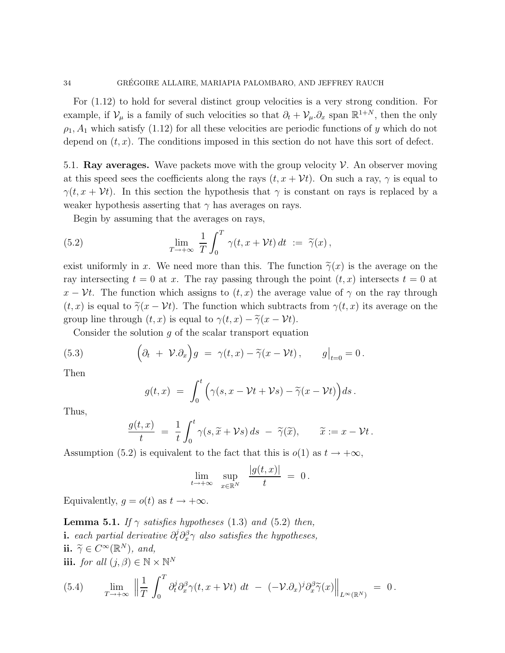For (1.12) to hold for several distinct group velocities is a very strong condition. For example, if  $\mathcal{V}_{\mu}$  is a family of such velocities so that  $\partial_t + \mathcal{V}_{\mu} \cdot \partial_x$  span  $\mathbb{R}^{1+N}$ , then the only  $\rho_1$ ,  $A_1$  which satisfy (1.12) for all these velocities are periodic functions of y which do not depend on  $(t, x)$ . The conditions imposed in this section do not have this sort of defect.

5.1. Ray averages. Wave packets move with the group velocity  $\mathcal V$ . An observer moving at this speed sees the coefficients along the rays  $(t, x + \mathcal{V}t)$ . On such a ray,  $\gamma$  is equal to  $\gamma(t, x + \mathcal{V}t)$ . In this section the hypothesis that  $\gamma$  is constant on rays is replaced by a weaker hypothesis asserting that  $\gamma$  has averages on rays.

Begin by assuming that the averages on rays,

(5.2) 
$$
\lim_{T \to +\infty} \frac{1}{T} \int_0^T \gamma(t, x + Vt) dt := \tilde{\gamma}(x),
$$

exist uniformly in x. We need more than this. The function  $\tilde{\gamma}(x)$  is the average on the ray intersecting  $t = 0$  at x. The ray passing through the point  $(t, x)$  intersects  $t = 0$  at  $x - \mathcal{V}t$ . The function which assigns to  $(t, x)$  the average value of  $\gamma$  on the ray through  $(t, x)$  is equal to  $\tilde{\gamma}(x - \mathcal{V}t)$ . The function which subtracts from  $\gamma(t, x)$  its average on the group line through  $(t, x)$  is equal to  $\gamma(t, x) - \tilde{\gamma}(x - \mathcal{V}t)$ .

Consider the solution  $g$  of the scalar transport equation

(5.3) 
$$
\left(\partial_t + \mathcal{V}.\partial_x\right)g = \gamma(t,x) - \widetilde{\gamma}(x-\mathcal{V}t), \qquad g\big|_{t=0} = 0.
$$

Then

$$
g(t,x) = \int_0^t \Big( \gamma(s,x - \mathcal{V}t + \mathcal{V}s) - \widetilde{\gamma}(x - \mathcal{V}t) \Big) ds.
$$

Thus,

$$
\frac{g(t,x)}{t} = \frac{1}{t} \int_0^t \gamma(s, \widetilde{x} + \mathcal{V}s) ds - \widetilde{\gamma}(\widetilde{x}), \qquad \widetilde{x} := x - \mathcal{V}t.
$$

Assumption (5.2) is equivalent to the fact that this is  $o(1)$  as  $t \to +\infty$ ,

$$
\lim_{t \to +\infty} \quad \sup_{x \in \mathbb{R}^N} \quad \frac{|g(t,x)|}{t} \ = \ 0 \, .
$$

Equivalently,  $g = o(t)$  as  $t \to +\infty$ .

**Lemma 5.1.** If  $\gamma$  satisfies hypotheses (1.3) and (5.2) then, **i.** each partial derivative  $\partial_t^j \partial_x^{\beta} \gamma$  also satisfies the hypotheses, ii.  $\widetilde{\gamma} \in C^{\infty}(\mathbb{R}^N)$ , and, iii. for all  $(j, \beta) \in \mathbb{N} \times \mathbb{N}^N$ 

(5.4) 
$$
\lim_{T \to +\infty} \left\| \frac{1}{T} \int_0^T \partial_t^j \partial_x^{\beta} \gamma(t, x + \mathcal{V}t) dt - (-\mathcal{V} \cdot \partial_x)^j \partial_x^{\beta} \widetilde{\gamma}(x) \right\|_{L^{\infty}(\mathbb{R}^N)} = 0.
$$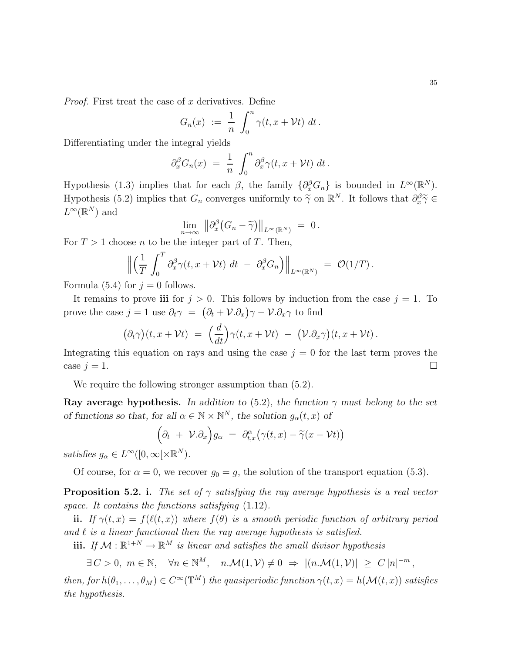*Proof.* First treat the case of x derivatives. Define

$$
G_n(x) := \frac{1}{n} \int_0^n \gamma(t, x + \mathcal{V}t) dt.
$$

Differentiating under the integral yields

$$
\partial_x^{\beta} G_n(x) = \frac{1}{n} \int_0^n \partial_x^{\beta} \gamma(t, x + \mathcal{V}t) dt.
$$

Hypothesis (1.3) implies that for each  $\beta$ , the family  $\{\partial_x^{\beta}G_n\}$  is bounded in  $L^{\infty}(\mathbb{R}^N)$ . Hypothesis (5.2) implies that  $G_n$  converges uniformly to  $\tilde{\gamma}$  on  $\mathbb{R}^N$ . It follows that  $\partial_x^{\beta} \tilde{\gamma} \in$  $L^{\infty}(\mathbb{R}^N)$  and

$$
\lim_{n\to\infty} \, \big\|\partial_x^{\beta} \big(G_n-\widetilde{\gamma}\big)\big\|_{L^{\infty}(\mathbb{R}^N)} \;=\; 0\,.
$$

For  $T > 1$  choose n to be the integer part of T. Then,

$$
\left\| \left( \frac{1}{T} \int_0^T \partial_x^{\beta} \gamma(t, x + \mathcal{V}t) dt - \partial_x^{\beta} G_n \right) \right\|_{L^{\infty}(\mathbb{R}^N)} = \mathcal{O}(1/T).
$$

Formula (5.4) for  $j = 0$  follows.

It remains to prove iii for  $j > 0$ . This follows by induction from the case  $j = 1$ . To prove the case  $j = 1$  use  $\partial_t \gamma = (\partial_t + \mathcal{V}.\partial_x) \gamma - \mathcal{V}.\partial_x \gamma$  to find

$$
(\partial_t \gamma)(t, x + \mathcal{V}t) = \left(\frac{d}{dt}\right) \gamma(t, x + \mathcal{V}t) - \left(\mathcal{V}.\partial_x \gamma\right)(t, x + \mathcal{V}t).
$$

Integrating this equation on rays and using the case  $j = 0$  for the last term proves the case  $j = 1$ .

We require the following stronger assumption than  $(5.2)$ .

Ray average hypothesis. In addition to (5.2), the function  $\gamma$  must belong to the set of functions so that, for all  $\alpha \in \mathbb{N} \times \mathbb{N}^N$ , the solution  $g_{\alpha}(t, x)$  of

$$
(\partial_t + \mathcal{V}.\partial_x)g_{\alpha} = \partial_{t,x}^{\alpha}(\gamma(t,x) - \widetilde{\gamma}(x-\mathcal{V}t))
$$

satisfies  $g_{\alpha} \in L^{\infty}([0,\infty[\times \mathbb{R}^{N}).$ 

Of course, for  $\alpha = 0$ , we recover  $g_0 = g$ , the solution of the transport equation (5.3).

**Proposition 5.2. i.** The set of  $\gamma$  satisfying the ray average hypothesis is a real vector space. It contains the functions satisfying  $(1.12)$ .

ii. If  $\gamma(t,x) = f(\ell(t,x))$  where  $f(\theta)$  is a smooth periodic function of arbitrary period and  $\ell$  is a linear functional then the ray average hypothesis is satisfied.

iii. If  $M : \mathbb{R}^{1+N} \to \mathbb{R}^M$  is linear and satisfies the small divisor hypothesis

$$
\exists C > 0, m \in \mathbb{N}, \quad \forall n \in \mathbb{N}^M, \quad n.\mathcal{M}(1,\mathcal{V}) \neq 0 \Rightarrow |(n.\mathcal{M}(1,\mathcal{V})| \ge C |n|^{-m},
$$

then, for  $h(\theta_1,\ldots,\theta_M) \in C^\infty(\mathbb{T}^M)$  the quasiperiodic function  $\gamma(t,x) = h(\mathcal{M}(t,x))$  satisfies the hypothesis.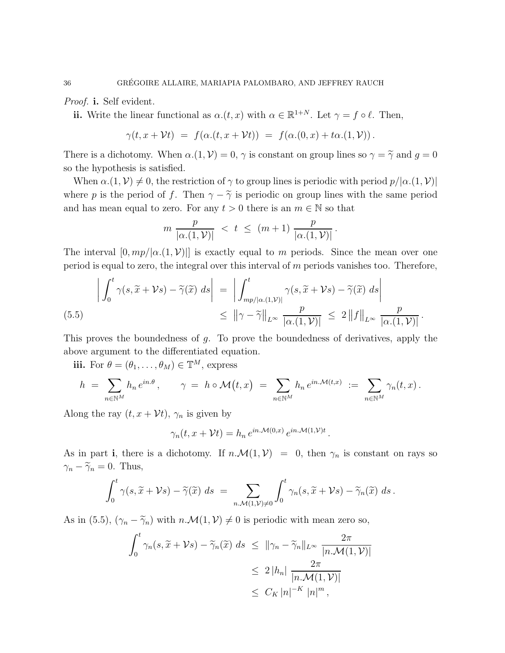Proof. **i.** Self evident.

ii. Write the linear functional as  $\alpha.(t, x)$  with  $\alpha \in \mathbb{R}^{1+N}$ . Let  $\gamma = f \circ \ell$ . Then,

$$
\gamma(t,x+\mathcal{V}t) = f(\alpha.(t,x+\mathcal{V}t)) = f(\alpha.(0,x) + t\alpha.(1,\mathcal{V})).
$$

There is a dichotomy. When  $\alpha.(1, \mathcal{V}) = 0$ ,  $\gamma$  is constant on group lines so  $\gamma = \tilde{\gamma}$  and  $g = 0$ so the hypothesis is satisfied.

When  $\alpha$ .(1, V)  $\neq$  0, the restriction of  $\gamma$  to group lines is periodic with period  $p/|\alpha(1, V)|$ where p is the period of f. Then  $\gamma - \tilde{\gamma}$  is periodic on group lines with the same period and has mean equal to zero. For any  $t > 0$  there is an  $m \in \mathbb{N}$  so that

$$
m \frac{p}{|\alpha.(1,\mathcal{V})|} < t \leq (m+1) \frac{p}{|\alpha.(1,\mathcal{V})|}
$$

.

.

The interval  $[0, mp/|\alpha(1, V)|]$  is exactly equal to m periods. Since the mean over one period is equal to zero, the integral over this interval of  $m$  periods vanishes too. Therefore,

$$
\left| \int_0^t \gamma(s, \widetilde{x} + \mathcal{V}s) - \widetilde{\gamma}(\widetilde{x}) \ ds \right| = \left| \int_{mp/|\alpha.(1,\mathcal{V})|}^t \gamma(s, \widetilde{x} + \mathcal{V}s) - \widetilde{\gamma}(\widetilde{x}) \ ds \right|
$$
  

$$
\leq \left\| \gamma - \widetilde{\gamma} \right\|_{L^\infty} \frac{p}{|\alpha.(1,\mathcal{V})|} \leq 2 \left\| f \right\|_{L^\infty} \frac{p}{|\alpha.(1,\mathcal{V})|}.
$$

This proves the boundedness of g. To prove the boundedness of derivatives, apply the above argument to the differentiated equation.

iii. For  $\theta = (\theta_1, \dots, \theta_M) \in \mathbb{T}^M$ , express

$$
h = \sum_{n \in \mathbb{N}^M} h_n e^{in.\theta}, \qquad \gamma = h \circ \mathcal{M}(t,x) = \sum_{n \in \mathbb{N}^M} h_n e^{in.\mathcal{M}(t,x)} := \sum_{n \in \mathbb{N}^M} \gamma_n(t,x).
$$

Along the ray  $(t, x + \mathcal{V}t)$ ,  $\gamma_n$  is given by

$$
\gamma_n(t, x + \mathcal{V}t) = h_n e^{in \mathcal{M}(0, x)} e^{in \mathcal{M}(1, \mathcal{V})t}
$$

As in part i, there is a dichotomy. If  $n.\mathcal{M}(1,\mathcal{V}) = 0$ , then  $\gamma_n$  is constant on rays so  $\gamma_n - \widetilde{\gamma}_n = 0$ . Thus,

$$
\int_0^t \gamma(s,\widetilde{x}+\mathcal{V}s)-\widetilde{\gamma}(\widetilde{x})\ ds\ =\ \sum_{n,\mathcal{M}(1,\mathcal{V})\neq 0} \int_0^t \gamma_n(s,\widetilde{x}+\mathcal{V}s)-\widetilde{\gamma}_n(\widetilde{x})\ ds\ .
$$

As in (5.5),  $(\gamma_n - \tilde{\gamma}_n)$  with  $n.\mathcal{M}(1,\mathcal{V}) \neq 0$  is periodic with mean zero so,

$$
\int_0^t \gamma_n(s, \widetilde{x} + \mathcal{V}s) - \widetilde{\gamma}_n(\widetilde{x}) ds \le ||\gamma_n - \widetilde{\gamma}_n||_{L^\infty} \frac{2\pi}{|n.\mathcal{M}(1,\mathcal{V})|}
$$
  

$$
\le 2|h_n| \frac{2\pi}{|n.\mathcal{M}(1,\mathcal{V})|}
$$
  

$$
\le C_K |n|^{-K} |n|^m,
$$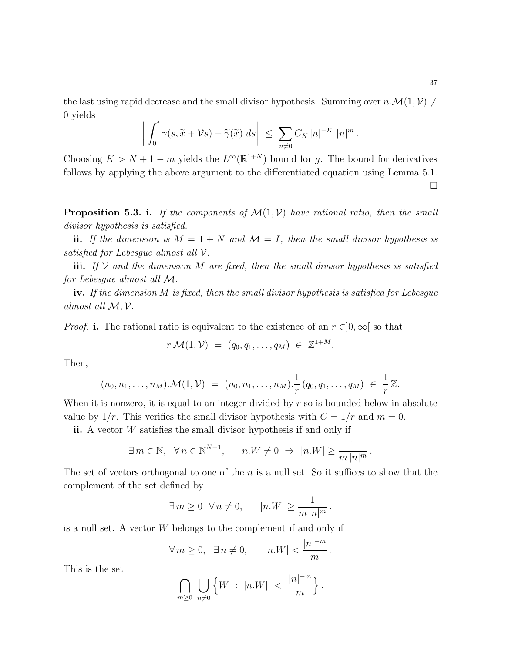the last using rapid decrease and the small divisor hypothesis. Summing over  $n.\mathcal{M}(1,\mathcal{V}) \neq$ 0 yields

$$
\left| \int_0^t \gamma(s, \widetilde{x} + \mathcal{V}s) - \widetilde{\gamma}(\widetilde{x}) \ ds \right| \ \leq \ \sum_{n \neq 0} C_K \left| n \right|^{-K} \left| n \right|^m.
$$

Choosing  $K > N + 1 - m$  yields the  $L^{\infty}(\mathbb{R}^{1+N})$  bound for g. The bound for derivatives follows by applying the above argument to the differentiated equation using Lemma 5.1.  $\Box$ 

**Proposition 5.3. i.** If the components of  $\mathcal{M}(1, V)$  have rational ratio, then the small divisor hypothesis is satisfied.

ii. If the dimension is  $M = 1 + N$  and  $\mathcal{M} = I$ , then the small divisor hypothesis is satisfied for Lebesgue almost all  $\mathcal V$ .

iii. If V and the dimension M are fixed, then the small divisor hypothesis is satisfied for Lebesgue almost all M.

iv. If the dimension M is fixed, then the small divisor hypothesis is satisfied for Lebesgue almost all M, V.

*Proof.* i. The rational ratio is equivalent to the existence of an  $r \in ]0, \infty[$  so that

$$
r\,\mathcal{M}(1,\mathcal{V})\;=\; (q_0,q_1,\ldots,q_M)\;\in\;\mathbb{Z}^{1+M}.
$$

Then,

$$
(n_0, n_1, \ldots, n_M) \cdot \mathcal{M}(1, \mathcal{V}) = (n_0, n_1, \ldots, n_M) \cdot \frac{1}{r} (q_0, q_1, \ldots, q_M) \in \frac{1}{r} \mathbb{Z}.
$$

When it is nonzero, it is equal to an integer divided by  $r$  so is bounded below in absolute value by  $1/r$ . This verifies the small divisor hypothesis with  $C = 1/r$  and  $m = 0$ .

ii. A vector  $W$  satisfies the small divisor hypothesis if and only if

$$
\exists m \in \mathbb{N}, \ \forall n \in \mathbb{N}^{N+1}, \qquad n.W \neq 0 \ \Rightarrow \ |n.W| \geq \frac{1}{m \, |n|^m}.
$$

The set of vectors orthogonal to one of the  $n$  is a null set. So it suffices to show that the complement of the set defined by

$$
\exists m \ge 0 \ \forall n \neq 0, \qquad |n.W| \ge \frac{1}{m \, |n|^m}.
$$

is a null set. A vector W belongs to the complement if and only if

$$
\forall m \ge 0, \quad \exists n \ne 0, \qquad |n.W| < \frac{|n|^{-m}}{m}.
$$

This is the set

$$
\bigcap_{m\geq 0}\bigcup_{n\neq 0}\left\{W\ :\ |n.W|\ <\ \frac{|n|^{-m}}{m}\right\}.
$$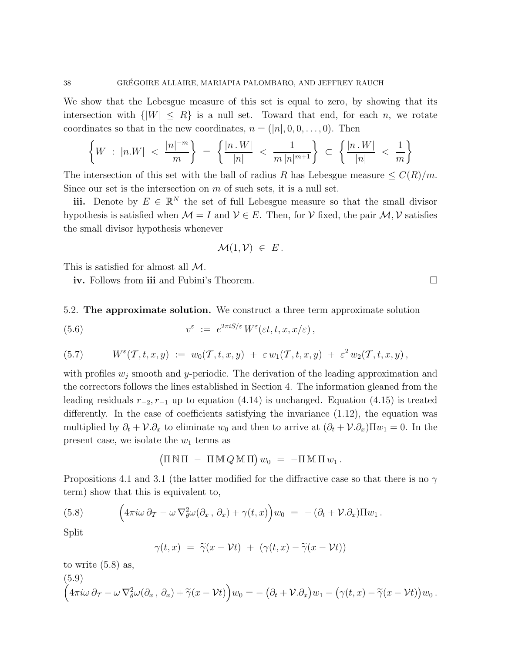We show that the Lebesgue measure of this set is equal to zero, by showing that its intersection with  $\{|W| \leq R\}$  is a null set. Toward that end, for each n, we rotate coordinates so that in the new coordinates,  $n = (n_1, 0, 0, \ldots, 0)$ . Then

$$
\left\{W \ : \ |n.W| < \frac{|n|^{-m}}{m} \right\} \ = \ \left\{ \frac{|n.W|}{|n|} \ < \ \frac{1}{m \, |n|^{m+1}} \right\} \ \subset \ \left\{ \frac{|n.W|}{|n|} \ < \ \frac{1}{m} \right\}
$$

The intersection of this set with the ball of radius R has Lebesgue measure  $\leq C(R)/m$ . Since our set is the intersection on  $m$  of such sets, it is a null set.

iii. Denote by  $E \in \mathbb{R}^N$  the set of full Lebesgue measure so that the small divisor hypothesis is satisfied when  $\mathcal{M} = I$  and  $\mathcal{V} \in E$ . Then, for  $\mathcal{V}$  fixed, the pair  $\mathcal{M}, \mathcal{V}$  satisfies the small divisor hypothesis whenever

$$
\mathcal{M}(1,\mathcal{V}) \in E.
$$

This is satisfied for almost all M.

iv. Follows from iii and Fubini's Theorem.

5.2. The approximate solution. We construct a three term approximate solution

(5.6) 
$$
v^{\varepsilon} := e^{2\pi i S/\varepsilon} W^{\varepsilon}(\varepsilon t, t, x, x/\varepsilon),
$$

(5.7) 
$$
W^{\varepsilon}(T,t,x,y) := w_0(T,t,x,y) + \varepsilon w_1(T,t,x,y) + \varepsilon^2 w_2(T,t,x,y),
$$

with profiles  $w_j$  smooth and y-periodic. The derivation of the leading approximation and the correctors follows the lines established in Section 4. The information gleaned from the leading residuals  $r_{-2}, r_{-1}$  up to equation (4.14) is unchanged. Equation (4.15) is treated differently. In the case of coefficients satisfying the invariance (1.12), the equation was multiplied by  $\partial_t + \mathcal{V}.\partial_x$  to eliminate  $w_0$  and then to arrive at  $(\partial_t + \mathcal{V}.\partial_x)\Pi w_1 = 0$ . In the present case, we isolate the  $w_1$  terms as

$$
(\Pi \,\mathbb{N} \,\Pi - \Pi \,\mathbb{M} \,Q \,\mathbb{M} \,\Pi) w_0 = -\Pi \,\mathbb{M} \,\Pi \,w_1.
$$

Propositions 4.1 and 3.1 (the latter modified for the diffractive case so that there is no  $\gamma$ term) show that this is equivalent to,

(5.8) 
$$
\left(4\pi i\omega\,\partial_T-\omega\,\nabla_{\theta}^2\omega(\partial_x,\,\partial_x)+\gamma(t,x)\right)w_0\;=\;-(\partial_t+\mathcal{V}.\partial_x)\Pi w_1\,.
$$

Split

$$
\gamma(t,x) = \tilde{\gamma}(x - \mathcal{V}t) + (\gamma(t,x) - \tilde{\gamma}(x - \mathcal{V}t))
$$

to write (5.8) as,

(5.9)  
\n
$$
(4\pi i\omega \partial_{\tau} - \omega \nabla_{\theta}^{2} \omega(\partial_{x}, \partial_{x}) + \tilde{\gamma}(x - Vt))w_{0} = -(\partial_{t} + V.\partial_{x})w_{1} - (\gamma(t, x) - \tilde{\gamma}(x - Vt))w_{0}.
$$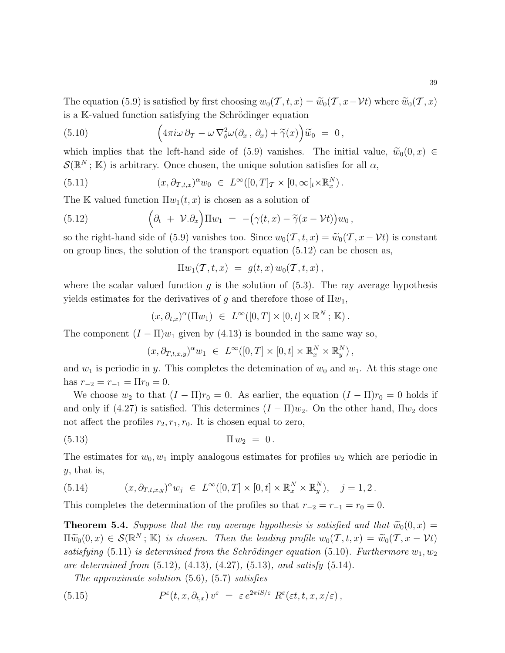The equation (5.9) is satisfied by first choosing  $w_0(\mathcal{T}, t, x) = \widetilde{w}_0(\mathcal{T}, x - \mathcal{V}t)$  where  $\widetilde{w}_0(\mathcal{T}, x)$ is a K-valued function satisfying the Schrödinger equation

(5.10) 
$$
\left(4\pi i\omega\,\partial_T-\omega\,\nabla_{\theta}^2\omega(\partial_x,\,\partial_x)+\widetilde{\gamma}(x)\right)\widetilde{w}_0\;=\;0\,,
$$

which implies that the left-hand side of (5.9) vanishes. The initial value,  $\widetilde{w}_0(0, x) \in$  $\mathcal{S}(\mathbb{R}^N; \mathbb{K})$  is arbitrary. Once chosen, the unique solution satisfies for all  $\alpha$ ,

(5.11) 
$$
(x, \partial_{\mathcal{T},t,x})^{\alpha}w_0 \in L^{\infty}([0,T]_{\mathcal{T}} \times [0,\infty[_t \times \mathbb{R}^N_x).
$$

The K valued function  $\Pi w_1(t, x)$  is chosen as a solution of

(5.12) 
$$
\left(\partial_t + \mathcal{V}.\partial_x\right) \Pi w_1 = -\left(\gamma(t,x) - \widetilde{\gamma}(x-\mathcal{V}t)\right) w_0,
$$

so the right-hand side of (5.9) vanishes too. Since  $w_0(\mathcal{T}, t, x) = \widetilde{w}_0(\mathcal{T}, x - \mathcal{V}t)$  is constant on group lines, the solution of the transport equation (5.12) can be chosen as,

$$
\Pi w_1(\mathcal{T},t,x) = g(t,x) w_0(\mathcal{T},t,x),
$$

where the scalar valued function g is the solution of  $(5.3)$ . The ray average hypothesis yields estimates for the derivatives of g and therefore those of  $\Pi w_1$ ,

$$
(x,\partial_{t,x})^{\alpha}(\Pi w_1) \in L^{\infty}([0,T] \times [0,t] \times \mathbb{R}^N; \mathbb{K}).
$$

The component  $(I - \Pi)w_1$  given by (4.13) is bounded in the same way so,

$$
(x, \partial_{T,t,x,y})^{\alpha} w_1 \in L^{\infty}([0,T] \times [0,t] \times \mathbb{R}^N_x \times \mathbb{R}^N_y),
$$

and  $w_1$  is periodic in y. This completes the detemination of  $w_0$  and  $w_1$ . At this stage one has  $r_{-2} = r_{-1} = \Pi r_0 = 0.$ 

We choose  $w_2$  to that  $(I - \Pi)r_0 = 0$ . As earlier, the equation  $(I - \Pi)r_0 = 0$  holds if and only if (4.27) is satisfied. This determines  $(I - \Pi)w_2$ . On the other hand,  $\Pi w_2$  does not affect the profiles  $r_2, r_1, r_0$ . It is chosen equal to zero,

(5.13) 
$$
\Pi w_2 = 0.
$$

The estimates for  $w_0, w_1$  imply analogous estimates for profiles  $w_2$  which are periodic in  $y$ , that is,

(5.14) 
$$
(x, \partial_{T,t,x,y})^{\alpha} w_j \in L^{\infty}([0,T] \times [0,t] \times \mathbb{R}^N_x \times \mathbb{R}^N_y), \quad j = 1, 2.
$$

This completes the determination of the profiles so that  $r_{-2} = r_{-1} = r_0 = 0$ .

**Theorem 5.4.** Suppose that the ray average hypothesis is satisfied and that  $\widetilde{w}_0(0, x) =$  $\Pi \widetilde{w}_0(0,x) \in \mathcal{S}(\mathbb{R}^N; \mathbb{K})$  is chosen. Then the leading profile  $w_0(\mathcal{T}, t, x) = \widetilde{w}_0(\mathcal{T}, x - \mathcal{V}t)$ satisfying (5.11) is determined from the Schrödinger equation (5.10). Furthermore  $w_1, w_2$ are determined from  $(5.12)$ ,  $(4.13)$ ,  $(4.27)$ ,  $(5.13)$ , and satisfy  $(5.14)$ .

The approximate solution (5.6), (5.7) satisfies

(5.15) 
$$
P^{\varepsilon}(t,x,\partial_{t,x})v^{\varepsilon} = \varepsilon e^{2\pi i S/\varepsilon} R^{\varepsilon}(\varepsilon t,t,x,x/\varepsilon),
$$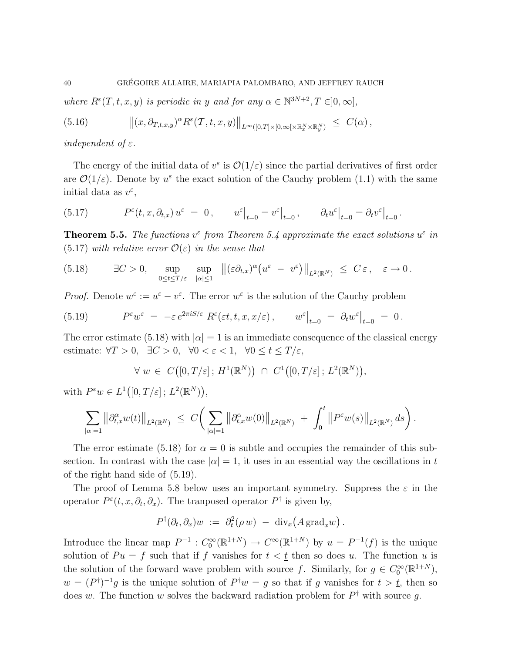where  $R^{\varepsilon}(T, t, x, y)$  is periodic in y and for any  $\alpha \in \mathbb{N}^{3N+2}, T \in ]0, \infty]$ ,

(5.16) 
$$
\|(x,\partial_{T,t,x,y})^{\alpha}R^{\varepsilon}(\mathcal{T},t,x,y)\|_{L^{\infty}([0,T]\times[0,\infty[\times\mathbb{R}^N_x\times\mathbb{R}^N_y)} \leq C(\alpha),
$$

independent of  $\varepsilon$ .

The energy of the initial data of  $v^{\varepsilon}$  is  $\mathcal{O}(1/\varepsilon)$  since the partial derivatives of first order are  $\mathcal{O}(1/\varepsilon)$ . Denote by  $u^{\varepsilon}$  the exact solution of the Cauchy problem (1.1) with the same initial data as  $v^{\varepsilon}$ ,

(5.17) 
$$
P^{\varepsilon}(t, x, \partial_{t,x}) u^{\varepsilon} = 0, \qquad u^{\varepsilon}|_{t=0} = v^{\varepsilon}|_{t=0}, \qquad \partial_t u^{\varepsilon}|_{t=0} = \partial_t v^{\varepsilon}|_{t=0}.
$$

**Theorem 5.5.** The functions  $v^{\epsilon}$  from Theorem 5.4 approximate the exact solutions  $u^{\epsilon}$  in  $(5.17)$  with relative error  $\mathcal{O}(\varepsilon)$  in the sense that

(5.18) 
$$
\exists C > 0, \sup_{0 \le t \le T/\varepsilon} \sup_{|\alpha| \le 1} \|(\varepsilon \partial_{t,x})^{\alpha} (u^{\varepsilon} - v^{\varepsilon}) \|_{L^{2}(\mathbb{R}^{N})} \le C \varepsilon, \quad \varepsilon \to 0.
$$

*Proof.* Denote  $w^{\varepsilon} := u^{\varepsilon} - v^{\varepsilon}$ . The error  $w^{\varepsilon}$  is the solution of the Cauchy problem

(5.19) 
$$
P^{\varepsilon} w^{\varepsilon} = -\varepsilon e^{2\pi i S/\varepsilon} R^{\varepsilon}(\varepsilon t, t, x, x/\varepsilon), \qquad w^{\varepsilon}|_{t=0} = \partial_t w^{\varepsilon}|_{t=0} = 0.
$$

The error estimate (5.18) with  $|\alpha|=1$  is an immediate consequence of the classical energy estimate:  $\forall T > 0$ ,  $\exists C > 0$ ,  $\forall 0 < \varepsilon < 1$ ,  $\forall 0 \le t \le T/\varepsilon$ ,

$$
\forall w \in C([0,T/\varepsilon]; H^1(\mathbb{R}^N)) \cap C^1([0,T/\varepsilon]; L^2(\mathbb{R}^N)),
$$

with  $P^{\varepsilon}w \in L^1([0,T/\varepsilon]; L^2(\mathbb{R}^N)),$ 

$$
\sum_{|\alpha|=1} ||\partial_{t,x}^{\alpha} w(t)||_{L^{2}(\mathbb{R}^{N})} \ \leq \ C\bigg(\sum_{|\alpha|=1} ||\partial_{t,x}^{\alpha} w(0)||_{L^{2}(\mathbb{R}^{N})} \ + \ \int_{0}^{t} ||P^{\varepsilon} w(s)||_{L^{2}(\mathbb{R}^{N})} ds\bigg).
$$

The error estimate (5.18) for  $\alpha = 0$  is subtle and occupies the remainder of this subsection. In contrast with the case  $|\alpha|=1$ , it uses in an essential way the oscillations in t of the right hand side of (5.19).

The proof of Lemma 5.8 below uses an important symmetry. Suppress the  $\varepsilon$  in the operator  $P^{\varepsilon}(t, x, \partial_t, \partial_x)$ . The tranposed operator  $P^{\dagger}$  is given by,

$$
P^{\dagger}(\partial_t, \partial_x)w \; := \; \partial_t^2(\rho \, w) \; - \; \mathrm{div}_x\big(A \, \mathrm{grad}_x w\big) \, .
$$

Introduce the linear map  $P^{-1}: C_0^{\infty}(\mathbb{R}^{1+N}) \to C^{\infty}(\mathbb{R}^{1+N})$  by  $u = P^{-1}(f)$  is the unique solution of  $Pu = f$  such that if f vanishes for  $t < t$  then so does u. The function u is the solution of the forward wave problem with source f. Similarly, for  $g \in C_0^{\infty}(\mathbb{R}^{1+N})$ ,  $w = (P^{\dagger})^{-1}g$  is the unique solution of  $P^{\dagger}w = g$  so that if g vanishes for  $t > t$ , then so does w. The function w solves the backward radiation problem for  $P^{\dagger}$  with source g.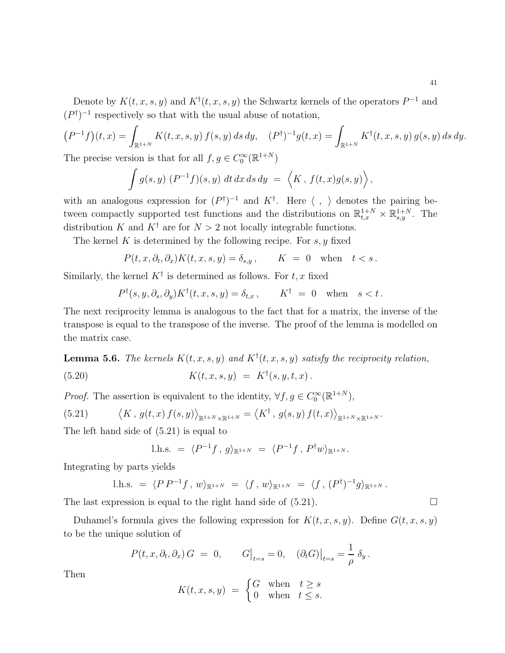Denote by  $K(t, x, s, y)$  and  $K^{\dagger}(t, x, s, y)$  the Schwartz kernels of the operators  $P^{-1}$  and  $(P^{\dagger})^{-1}$  respectively so that with the usual abuse of notation,

$$
(P^{-1}f)(t,x) = \int_{\mathbb{R}^{1+N}} K(t,x,s,y) f(s,y) ds dy, \quad (P^{\dagger})^{-1} g(t,x) = \int_{\mathbb{R}^{1+N}} K^{\dagger}(t,x,s,y) g(s,y) ds dy.
$$

The precise version is that for all  $f, g \in C_0^{\infty}(\mathbb{R}^{1+N})$ 

$$
\int g(s,y) (P^{-1}f)(s,y) dt dx ds dy = \langle K, f(t,x)g(s,y) \rangle,
$$

with an analogous expression for  $(P^{\dagger})^{-1}$  and  $K^{\dagger}$ . Here  $\langle , \rangle$  denotes the pairing between compactly supported test functions and the distributions on  $\mathbb{R}^{1+N}_{t,x} \times \mathbb{R}^{1+N}_{s,y}$ . The distribution K and  $K^{\dagger}$  are for  $N > 2$  not locally integrable functions.

The kernel K is determined by the following recipe. For  $s, y$  fixed

$$
P(t, x, \partial_t, \partial_x) K(t, x, s, y) = \delta_{s, y}, \qquad K = 0 \quad \text{when} \quad t < s.
$$

Similarly, the kernel  $K^{\dagger}$  is determined as follows. For  $t, x$  fixed

$$
P^{\dagger}(s, y, \partial_s, \partial_y) K^{\dagger}(t, x, s, y) = \delta_{t, x}, \qquad K^{\dagger} = 0 \quad \text{when} \quad s < t.
$$

The next reciprocity lemma is analogous to the fact that for a matrix, the inverse of the transpose is equal to the transpose of the inverse. The proof of the lemma is modelled on the matrix case.

**Lemma 5.6.** The kernels  $K(t, x, s, y)$  and  $K^{\dagger}(t, x, s, y)$  satisfy the reciprocity relation,

(5.20) 
$$
K(t, x, s, y) = K^{\dagger}(s, y, t, x).
$$

*Proof.* The assertion is equivalent to the identity,  $\forall f, g \in C_0^{\infty}(\mathbb{R}^{1+N})$ ,

(5.21) 
$$
\langle K, g(t,x) f(s,y) \rangle_{\mathbb{R}^{1+N} \times \mathbb{R}^{1+N}} = \langle K^{\dagger}, g(s,y) f(t,x) \rangle_{\mathbb{R}^{1+N} \times \mathbb{R}^{1+N}}.
$$

The left hand side of (5.21) is equal to

$$
l.h.s. = \langle P^{-1}f, g \rangle_{\mathbb{R}^{1+N}} = \langle P^{-1}f, P^{\dagger}w \rangle_{\mathbb{R}^{1+N}}.
$$

Integrating by parts yields

l.h.s. = 
$$
\langle P P^{-1} f, w \rangle_{\mathbb{R}^{1+N}} = \langle f, w \rangle_{\mathbb{R}^{1+N}} = \langle f, (P^{\dagger})^{-1} g \rangle_{\mathbb{R}^{1+N}}
$$
.

The last expression is equal to the right hand side of  $(5.21)$ .

Duhamel's formula gives the following expression for  $K(t, x, s, y)$ . Define  $G(t, x, s, y)$ to be the unique solution of

$$
P(t, x, \partial_t, \partial_x) G = 0, \qquad G\big|_{t=s} = 0, \quad (\partial_t G)\big|_{t=s} = \frac{1}{\rho} \delta_y.
$$

Then

$$
K(t, x, s, y) = \begin{cases} G & \text{when} \quad t \ge s \\ 0 & \text{when} \quad t \le s. \end{cases}
$$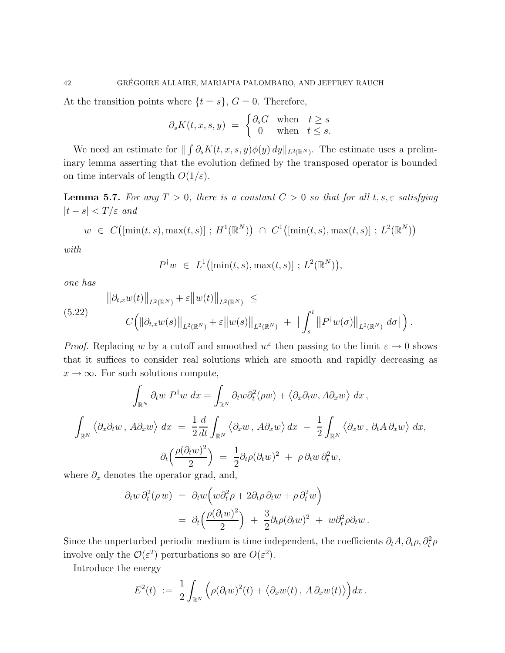At the transition points where  $\{t = s\}$ ,  $G = 0$ . Therefore,

$$
\partial_s K(t,x,s,y) \ = \ \begin{cases} \partial_s G & \text{when} \quad t \geq s \\ \ 0 & \text{when} \quad t \leq s. \end{cases}
$$

We need an estimate for  $\| \int \partial_s K(t, x, s, y) \phi(y) dy \|_{L^2(\mathbb{R}^N)}$ . The estimate uses a preliminary lemma asserting that the evolution defined by the transposed operator is bounded on time intervals of length  $O(1/\varepsilon)$ .

**Lemma 5.7.** For any  $T > 0$ , there is a constant  $C > 0$  so that for all  $t, s, \varepsilon$  satisfying  $|t - s| < T/\varepsilon$  and

$$
w \in C([\min(t, s), \max(t, s)]
$$
;  $H^1(\mathbb{R}^N)$ )  $\cap C^1([\min(t, s), \max(t, s)]$ ;  $L^2(\mathbb{R}^N)$ )

with

$$
P^{\dagger}w\ \in\ L^1\bigl([\min(t,s),\max(t,s)]\ ;\ L^2(\mathbb{R}^N)\bigr),
$$

one has

$$
\|\partial_{t,x} w(t)\|_{L^2(\mathbb{R}^N)} + \varepsilon \|w(t)\|_{L^2(\mathbb{R}^N)} \leq
$$
  
(5.22)  

$$
C\Big(\|\partial_{t,x} w(s)\|_{L^2(\mathbb{R}^N)} + \varepsilon \|w(s)\|_{L^2(\mathbb{R}^N)} + |\int_s^t \|P^{\dagger} w(\sigma)\|_{L^2(\mathbb{R}^N)} d\sigma|\Big).
$$

*Proof.* Replacing w by a cutoff and smoothed  $w^{\varepsilon}$  then passing to the limit  $\varepsilon \to 0$  shows that it suffices to consider real solutions which are smooth and rapidly decreasing as  $x \to \infty$ . For such solutions compute,

$$
\int_{\mathbb{R}^N} \partial_t w P^{\dagger} w dx = \int_{\mathbb{R}^N} \partial_t w \partial_t^2 (\rho w) + \langle \partial_x \partial_t w, A \partial_x w \rangle dx,
$$
  

$$
\int_{\mathbb{R}^N} \langle \partial_x \partial_t w, A \partial_x w \rangle dx = \frac{1}{2} \frac{d}{dt} \int_{\mathbb{R}^N} \langle \partial_x w, A \partial_x w \rangle dx - \frac{1}{2} \int_{\mathbb{R}^N} \langle \partial_x w, \partial_t A \partial_x w \rangle dx,
$$
  

$$
\partial_t \left( \frac{\rho(\partial_t w)^2}{2} \right) = \frac{1}{2} \partial_t \rho(\partial_t w)^2 + \rho \partial_t w \partial_t^2 w,
$$

where  $\partial_x$  denotes the operator grad, and,

$$
\partial_t w \, \partial_t^2 (\rho w) = \partial_t w \Big( w \partial_t^2 \rho + 2 \partial_t \rho \, \partial_t w + \rho \, \partial_t^2 w \Big) \n= \partial_t \Big( \frac{\rho (\partial_t w)^2}{2} \Big) + \frac{3}{2} \partial_t \rho (\partial_t w)^2 + w \partial_t^2 \rho \partial_t w.
$$

Since the unperturbed periodic medium is time independent, the coefficients  $\partial_t A$ ,  $\partial_t \rho$ ,  $\partial_t^2 \rho$ involve only the  $\mathcal{O}(\varepsilon^2)$  perturbations so are  $O(\varepsilon^2)$ .

Introduce the energy

$$
E^2(t) := \frac{1}{2} \int_{\mathbb{R}^N} \left( \rho(\partial_t w)^2(t) + \langle \partial_x w(t) , A \partial_x w(t) \rangle \right) dx.
$$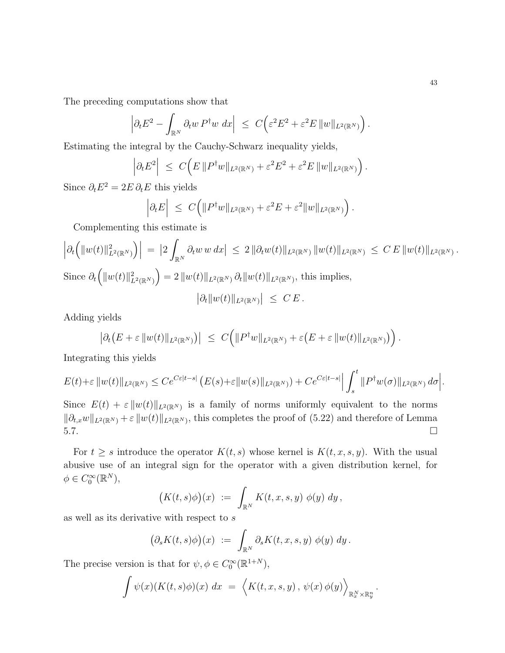The preceding computations show that

$$
\left|\partial_t E^2 - \int_{\mathbb{R}^N} \partial_t w P^{\dagger} w \, dx\right| \leq C \left(\varepsilon^2 E^2 + \varepsilon^2 E \|w\|_{L^2(\mathbb{R}^N)}\right).
$$

Estimating the integral by the Cauchy-Schwarz inequality yields,

$$
\left|\partial_t E^2\right| \ \leq \ C\Big(E\,||P^{\dagger}w||_{L^2(\mathbb{R}^N)} + \varepsilon^2 E^2 + \varepsilon^2 E\,||w||_{L^2(\mathbb{R}^N)}\Big)\,.
$$

Since  $\partial_t E^2 = 2E \partial_t E$  this yields

$$
\left|\partial_t E\right| \ \leq \ C\Big(\|P^\dagger w\|_{L^2(\mathbb{R}^N)} + \varepsilon^2 E + \varepsilon^2 \|w\|_{L^2(\mathbb{R}^N)}\Big)\,.
$$

Complementing this estimate is

$$
\left| \partial_t \left( \|w(t)\|_{L^2(\mathbb{R}^N)}^2 \right) \right| = \left| 2 \int_{\mathbb{R}^N} \partial_t w \, w \, dx \right| \leq 2 \left\| \partial_t w(t) \right\|_{L^2(\mathbb{R}^N)} \left\| w(t) \right\|_{L^2(\mathbb{R}^N)} \leq C \, E \left\| w(t) \right\|_{L^2(\mathbb{R}^N)}.
$$
  
Since  $\partial_t \left( \|w(t)\|_{L^2(\mathbb{R}^N)}^2 \right) = 2 \left\| w(t) \right\|_{L^2(\mathbb{R}^N)} \partial_t \|w(t)\|_{L^2(\mathbb{R}^N)},$  this implies,  

$$
\left| \partial_t \|w(t)\|_{L^2(\mathbb{R}^N)} \right| \leq C \, E.
$$

Adding yields

$$
\left|\partial_t \left(E+\varepsilon\|w(t)\|_{L^2(\mathbb{R}^N)}\right)\right| \leq C\Big(\|P^{\dagger}w\|_{L^2(\mathbb{R}^N)}+\varepsilon\big(E+\varepsilon\|w(t)\|_{L^2(\mathbb{R}^N)}\big)\Big).
$$

Integrating this yields

$$
E(t)+\varepsilon\|w(t)\|_{L^2(\mathbb{R}^N)} \leq Ce^{C\varepsilon|t-s|} \left(E(s)+\varepsilon\|w(s)\|_{L^2(\mathbb{R}^N)}\right)+Ce^{C\varepsilon|t-s|} \left|\int_s^t \|P^\dagger w(\sigma)\|_{L^2(\mathbb{R}^N)} d\sigma\right|.
$$

Since  $E(t) + \varepsilon \|w(t)\|_{L^2(\mathbb{R}^N)}$  is a family of norms uniformly equivalent to the norms  $\|\partial_{t,x}w\|_{L^2(\mathbb{R}^N)} + \varepsilon \|w(t)\|_{L^2(\mathbb{R}^N)}$ , this completes the proof of (5.22) and therefore of Lemma  $5.7.$ 

For  $t \geq s$  introduce the operator  $K(t, s)$  whose kernel is  $K(t, x, s, y)$ . With the usual abusive use of an integral sign for the operator with a given distribution kernel, for  $\phi \in C_0^{\infty}(\mathbb{R}^N),$ 

$$
\bigl(K(t,s)\phi\bigr)(x) \ := \ \int_{\mathbb{R}^N} K(t,x,s,y) \ \phi(y) \ dy \, ,
$$

as well as its derivative with respect to s

$$
\big(\partial_s K(t,s)\phi\big)(x) \ := \ \int_{\mathbb{R}^N} \partial_s K(t,x,s,y) \ \phi(y) \ dy \, .
$$

The precise version is that for  $\psi, \phi \in C_0^{\infty}(\mathbb{R}^{1+N}),$ 

$$
\int \psi(x)(K(t,s)\phi)(x) dx = \langle K(t,x,s,y), \psi(x)\phi(y) \rangle_{\mathbb{R}^N_x \times \mathbb{R}^n_y}.
$$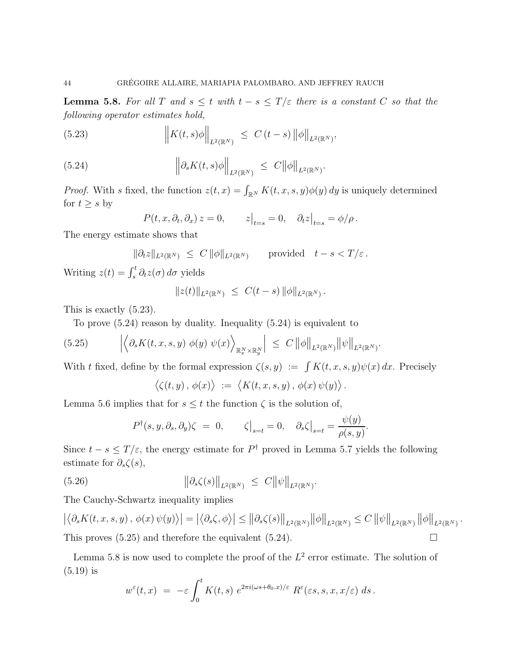**Lemma 5.8.** For all T and  $s \leq t$  with  $t - s \leq T/\varepsilon$  there is a constant C so that the following operator estimates hold,

(5.23) 
$$
\left\|K(t,s)\phi\right\|_{L^2(\mathbb{R}^N)} \leq C(t-s)\left\|\phi\right\|_{L^2(\mathbb{R}^N)},
$$

(5.24) 
$$
\left\|\partial_s K(t,s)\phi\right\|_{L^2(\mathbb{R}^N)} \leq C\|\phi\|_{L^2(\mathbb{R}^N)}.
$$

*Proof.* With s fixed, the function  $z(t, x) = \int_{\mathbb{R}^N} K(t, x, s, y) \phi(y) dy$  is uniquely determined for  $t \geq s$  by

$$
P(t, x, \partial_t, \partial_x) z = 0, \qquad z\big|_{t=s} = 0, \quad \partial_t z\big|_{t=s} = \phi/\rho.
$$

The energy estimate shows that

$$
\|\partial_t z\|_{L^2(\mathbb{R}^N)} \ \leq \ C \, \|\phi\|_{L^2(\mathbb{R}^N)} \qquad \text{provided} \quad t - s < T/\varepsilon \, .
$$

Writing  $z(t) = \int_s^t \partial_t z(\sigma) d\sigma$  yields

$$
||z(t)||_{L^2(\mathbb{R}^N)} \leq C(t-s) ||\phi||_{L^2(\mathbb{R}^N)}.
$$

This is exactly (5.23).

To prove (5.24) reason by duality. Inequality (5.24) is equivalent to

(5.25) 
$$
\left| \left\langle \partial_s K(t,x,s,y) \phi(y) \psi(x) \right\rangle_{\mathbb{R}^N_x \times \mathbb{R}^N_y} \right| \leq C \left\| \phi \right\|_{L^2(\mathbb{R}^N)} \left\| \psi \right\|_{L^2(\mathbb{R}^N)}.
$$

With t fixed, define by the formal expression  $\zeta(s, y) := \int K(t, x, s, y) \psi(x) dx$ . Precisely

$$
\langle \zeta(t,y), \phi(x) \rangle := \langle K(t,x,s,y), \phi(x) \psi(y) \rangle.
$$

Lemma 5.6 implies that for  $s \leq t$  the function  $\zeta$  is the solution of,

$$
P^{\dagger}(s, y, \partial_s, \partial_y)\zeta = 0, \qquad \zeta\big|_{s=t} = 0, \quad \partial_s\zeta\big|_{s=t} = \frac{\psi(y)}{\rho(s, y)}.
$$

Since  $t - s \leq T/\varepsilon$ , the energy estimate for  $P^{\dagger}$  proved in Lemma 5.7 yields the following estimate for  $\partial_s \zeta(s)$ ,

(5.26) 
$$
\|\partial_s \zeta(s)\|_{L^2(\mathbb{R}^N)} \leq C \|\psi\|_{L^2(\mathbb{R}^N)}.
$$

The Cauchy-Schwartz inequality implies

 $\left|\left\langle \partial_s K(t,x,s,y)\,,\,\phi(x)\,\psi(y)\right\rangle\right| = \left|\left\langle \partial_s\zeta,\phi\right\rangle\right|\leq \left\|\partial_s\zeta(s)\right\|_{L^2(\mathbb{R}^N)}\left\|\phi\right\|_{L^2(\mathbb{R}^N)}\leq C\left\|\psi\right\|_{L^2(\mathbb{R}^N)}\left\|\phi\right\|_{L^2(\mathbb{R}^N)}.$ This proves  $(5.25)$  and therefore the equivalent  $(5.24)$ .

Lemma 5.8 is now used to complete the proof of the  $L^2$  error estimate. The solution of (5.19) is

$$
w^{\varepsilon}(t,x) = -\varepsilon \int_0^t K(t,s) e^{2\pi i (\omega s + \theta_0.x)/\varepsilon} R^{\varepsilon}(\varepsilon s,s,x,x/\varepsilon) ds.
$$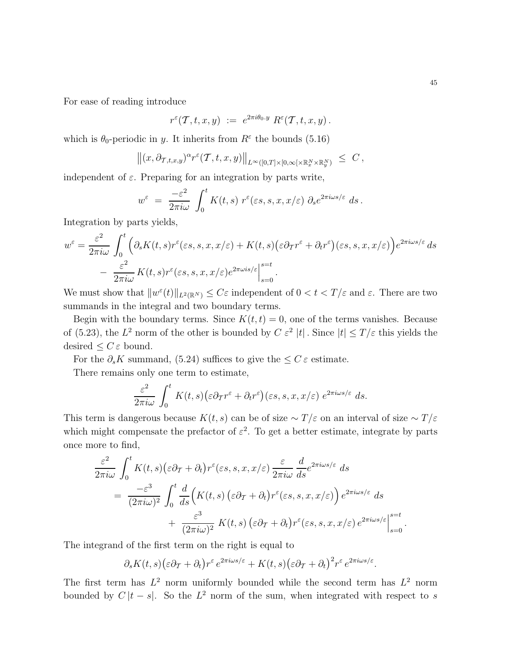For ease of reading introduce

$$
r^{\varepsilon}(\mathcal{T},t,x,y) \; := \; e^{2\pi i \theta_0 \cdot y} \; R^{\varepsilon}(\mathcal{T},t,x,y) \, .
$$

which is  $\theta_0$ -periodic in y. It inherits from  $R^{\varepsilon}$  the bounds (5.16)

$$
\left\|(x,\partial_{\mathcal T,t,x,y})^\alpha r^\varepsilon(\mathcal T,t,x,y)\right\|_{L^\infty([0,T]\times[0,\infty[\times\mathbb R^N_x\times\mathbb R^N_y)}\ \le\ C\,,
$$

independent of  $\varepsilon$ . Preparing for an integration by parts write,

$$
w^{\varepsilon} = \frac{-\varepsilon^2}{2\pi i\omega} \int_0^t K(t,s) r^{\varepsilon}(\varepsilon s,s,x,x/\varepsilon) \partial_s e^{2\pi i\omega s/\varepsilon} ds.
$$

Integration by parts yields,

$$
w^{\varepsilon} = \frac{\varepsilon^2}{2\pi i\omega} \int_0^t \left( \partial_s K(t,s) r^{\varepsilon}(\varepsilon s,s,x,x/\varepsilon) + K(t,s) (\varepsilon \partial_T r^{\varepsilon} + \partial_t r^{\varepsilon}) (\varepsilon s,s,x,x/\varepsilon) \right) e^{2\pi i \omega s/\varepsilon} ds - \frac{\varepsilon^2}{2\pi i\omega} K(t,s) r^{\varepsilon}(\varepsilon s,s,x,x/\varepsilon) e^{2\pi \omega is/\varepsilon} \Big|_{s=0}^{s=t}.
$$

We must show that  $||w^{\varepsilon}(t)||_{L^2(\mathbb{R}^N)} \leq C\varepsilon$  independent of  $0 < t < T/\varepsilon$  and  $\varepsilon$ . There are two summands in the integral and two boundary terms.

Begin with the boundary terms. Since  $K(t, t) = 0$ , one of the terms vanishes. Because of (5.23), the  $L^2$  norm of the other is bounded by  $C \varepsilon^2 |t|$ . Since  $|t| \leq T/\varepsilon$  this yields the desired  $\leq C \varepsilon$  bound.

For the  $\partial_s K$  summand, (5.24) suffices to give the  $\leq C \varepsilon$  estimate.

There remains only one term to estimate,

$$
\frac{\varepsilon^2}{2\pi i\omega} \int_0^t K(t,s) \big(\varepsilon \partial_\mathcal{T} r^\varepsilon + \partial_t r^\varepsilon\big)(\varepsilon s,s,x,x/\varepsilon) e^{2\pi i\omega s/\varepsilon} ds.
$$

This term is dangerous because  $K(t, s)$  can be of size  $\sim T/\varepsilon$  on an interval of size  $\sim T/\varepsilon$ which might compensate the prefactor of  $\varepsilon^2$ . To get a better estimate, integrate by parts once more to find,

$$
\frac{\varepsilon^2}{2\pi i\omega} \int_0^t K(t,s) (\varepsilon \partial_\mathcal{T} + \partial_t) r^\varepsilon(\varepsilon s, s, x, x/\varepsilon) \frac{\varepsilon}{2\pi i\omega} \frac{d}{ds} e^{2\pi i\omega s/\varepsilon} ds \n= \frac{-\varepsilon^3}{(2\pi i\omega)^2} \int_0^t \frac{d}{ds} \Big( K(t,s) \left( \varepsilon \partial_\mathcal{T} + \partial_t \right) r^\varepsilon(\varepsilon s, s, x, x/\varepsilon) \Big) e^{2\pi i\omega s/\varepsilon} ds \n+ \frac{\varepsilon^3}{(2\pi i\omega)^2} K(t,s) \left( \varepsilon \partial_\mathcal{T} + \partial_t \right) r^\varepsilon(\varepsilon s, s, x, x/\varepsilon) e^{2\pi i\omega s/\varepsilon} \Big|_{s=0}^{s=t}.
$$

The integrand of the first term on the right is equal to

 $\partial_s K(t,s) \big(\varepsilon\partial_{\mathcal{T}}+\partial_t\big) r^\varepsilon\, e^{2\pi i \omega s/\varepsilon}+K(t,s) \big(\varepsilon\partial_{\mathcal{T}}+\partial_t\big)^2 r^\varepsilon\, e^{2\pi i \omega s/\varepsilon}.$ 

The first term has  $L^2$  norm uniformly bounded while the second term has  $L^2$  norm bounded by  $C |t - s|$ . So the  $L^2$  norm of the sum, when integrated with respect to s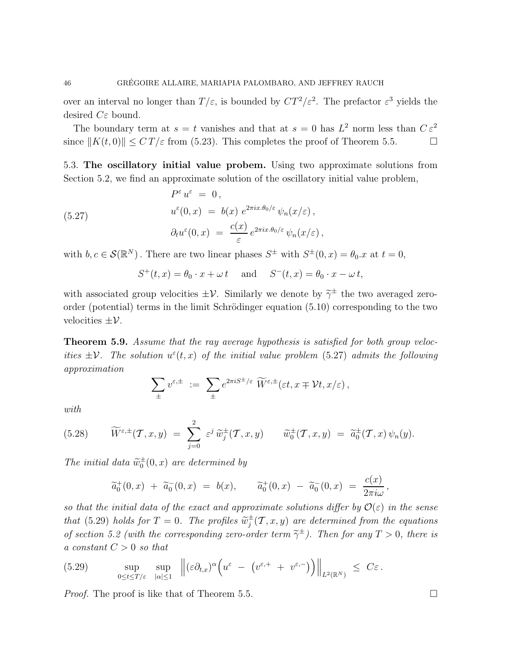over an interval no longer than  $T/\varepsilon$ , is bounded by  $CT^2/\varepsilon^2$ . The prefactor  $\varepsilon^3$  yields the desired  $C\varepsilon$  bound.

The boundary term at  $s = t$  vanishes and that at  $s = 0$  has  $L^2$  norm less than  $C \varepsilon^2$ since  $||K(t, 0)|| \leq C T/\varepsilon$  from (5.23). This completes the proof of Theorem 5.5.

5.3. The oscillatory initial value probem. Using two approximate solutions from Section 5.2, we find an approximate solution of the oscillatory initial value problem,

(5.27) 
$$
P^{\varepsilon} u^{\varepsilon} = 0,
$$

$$
u^{\varepsilon}(0, x) = b(x) e^{2\pi i x \cdot \theta_0/\varepsilon} \psi_n(x/\varepsilon),
$$

$$
\partial_t u^{\varepsilon}(0, x) = \frac{c(x)}{\varepsilon} e^{2\pi i x \cdot \theta_0/\varepsilon} \psi_n(x/\varepsilon),
$$

with  $b, c \in \mathcal{S}(\mathbb{R}^N)$ . There are two linear phases  $S^{\pm}$  with  $S^{\pm}(0, x) = \theta_0.x$  at  $t = 0$ ,

$$
S^+(t, x) = \theta_0 \cdot x + \omega t \quad \text{and} \quad S^-(t, x) = \theta_0 \cdot x - \omega t,
$$

with associated group velocities  $\pm \mathcal{V}$ . Similarly we denote by  $\tilde{\gamma}^{\pm}$  the two averaged zeroorder (potential) terms in the limit Schrödinger equation (5.10) corresponding to the two velocities  $\pm \mathcal{V}$ .

**Theorem 5.9.** Assume that the ray average hypothesis is satisfied for both group velocities  $\pm \mathcal{V}$ . The solution  $u^{\varepsilon}(t, x)$  of the initial value problem (5.27) admits the following approximation

$$
\sum_{\pm} v^{\varepsilon,\pm} \; := \; \sum_{\pm} e^{2\pi i S^{\pm}/\varepsilon} \; \widetilde{W}^{\varepsilon,\pm}(\varepsilon t,x\mp \mathcal{V}t,x/\varepsilon) \,,
$$

with

(5.28) 
$$
\widetilde{W}^{\varepsilon,\pm}(\mathcal{T},x,y) = \sum_{j=0}^2 \varepsilon^j \widetilde{w}_j^{\pm}(\mathcal{T},x,y) \qquad \widetilde{w}_0^{\pm}(\mathcal{T},x,y) = \widetilde{a}_0^{\pm}(\mathcal{T},x) \psi_n(y).
$$

The initial data  $\widetilde{w}_0^{\pm}(0, x)$  are determined by

$$
\widetilde{a}_0^+(0,x) + \widetilde{a}_0^-(0,x) = b(x), \qquad \widetilde{a}_0^+(0,x) - \widetilde{a}_0^-(0,x) = \frac{c(x)}{2\pi i\omega},
$$

so that the initial data of the exact and approximate solutions differ by  $\mathcal{O}(\varepsilon)$  in the sense that (5.29) holds for  $T = 0$ . The profiles  $\widetilde{w}_j^{\pm}$  $j^{\pm}(\mathcal{T},x,y)$  are determined from the equations of section 5.2 (with the corresponding zero-order term  $\tilde{\gamma}^{\pm}$ ). Then for any  $T > 0$ , there is a constant  $C > 0$  so that

(5.29) 
$$
\sup_{0\leq t\leq T/\varepsilon} \sup_{|\alpha|\leq 1} \left\| (\varepsilon \partial_{t,x})^{\alpha} \left( u^{\varepsilon} - (v^{\varepsilon,+} + v^{\varepsilon,-}) \right) \right\|_{L^2(\mathbb{R}^N)} \leq C\varepsilon.
$$

*Proof.* The proof is like that of Theorem 5.5.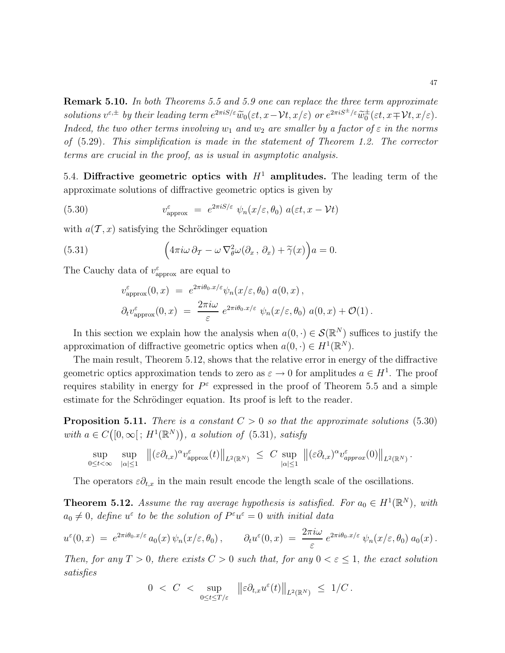**Remark 5.10.** In both Theorems 5.5 and 5.9 one can replace the three term approximate  $solutions v^{\varepsilon, \pm}$  by their leading term  $e^{2\pi i S/\varepsilon} \widetilde{w}_0(\varepsilon t, x - \mathcal{V}t, x/\varepsilon)$  or  $e^{2\pi i S^{\pm}/\varepsilon} \widetilde{w}_0^{\pm}(\varepsilon t, x \mp \mathcal{V}t, x/\varepsilon)$ . Indeed, the two other terms involving  $w_1$  and  $w_2$  are smaller by a factor of  $\varepsilon$  in the norms of (5.29). This simplification is made in the statement of Theorem 1.2. The corrector terms are crucial in the proof, as is usual in asymptotic analysis.

5.4. Diffractive geometric optics with  $H^1$  amplitudes. The leading term of the approximate solutions of diffractive geometric optics is given by

(5.30) 
$$
v_{\text{approx}}^{\varepsilon} = e^{2\pi i S/\varepsilon} \psi_n(x/\varepsilon, \theta_0) a(\varepsilon t, x - \mathcal{V}t)
$$

with  $a(\mathcal{T}, x)$  satisfying the Schrödinger equation

(5.31) 
$$
\left(4\pi i\omega\,\partial_T-\omega\nabla^2_\theta\omega(\partial_x,\,\partial_x)+\widetilde{\gamma}(x)\right)a=0.
$$

The Cauchy data of  $v_{\text{approx}}^{\varepsilon}$  are equal to

$$
\begin{split} v_{\text{approx}}^{\varepsilon}(0,x) \; &= \; e^{2\pi i\theta_{0}.x/\varepsilon} \psi_{n}(x/\varepsilon,\theta_{0}) \; a(0,x) \,, \\ \partial_{t}v_{\text{approx}}^{\varepsilon}(0,x) \; &= \; \frac{2\pi i\omega}{\varepsilon} \; e^{2\pi i\theta_{0}.x/\varepsilon} \; \psi_{n}(x/\varepsilon,\theta_{0}) \; a(0,x) + \mathcal{O}(1) \,. \end{split}
$$

In this section we explain how the analysis when  $a(0, \cdot) \in \mathcal{S}(\mathbb{R}^N)$  suffices to justify the approximation of diffractive geometric optics when  $a(0, \cdot) \in H^1(\mathbb{R}^N)$ .

The main result, Theorem 5.12, shows that the relative error in energy of the diffractive geometric optics approximation tends to zero as  $\varepsilon \to 0$  for amplitudes  $a \in H^1$ . The proof requires stability in energy for  $P^{\varepsilon}$  expressed in the proof of Theorem 5.5 and a simple estimate for the Schrödinger equation. Its proof is left to the reader.

**Proposition 5.11.** There is a constant  $C > 0$  so that the approximate solutions (5.30) with  $a \in C([0,\infty[; H^1(\mathbb{R}^N)), a solution of (5.31), satisfy)$ 

$$
\sup_{0\leq t<\infty}\sup_{|\alpha|\leq 1}\|\left(\varepsilon\partial_{t,x}\right)^{\alpha}v_{\mathrm{approx}}^{\varepsilon}(t)\right\|_{L^{2}(\mathbb{R}^{N})}\leq C\sup_{|\alpha|\leq 1}\|\left(\varepsilon\partial_{t,x}\right)^{\alpha}v_{\mathrm{approx}}^{\varepsilon}(0)\right\|_{L^{2}(\mathbb{R}^{N})}.
$$

The operators  $\varepsilon \partial_{t,x}$  in the main result encode the length scale of the oscillations.

**Theorem 5.12.** Assume the ray average hypothesis is satisfied. For  $a_0 \in H^1(\mathbb{R}^N)$ , with  $a_0 \neq 0$ , define  $u^{\varepsilon}$  to be the solution of  $P^{\varepsilon}u^{\varepsilon} = 0$  with initial data

$$
u^{\varepsilon}(0,x) = e^{2\pi i \theta_0.x/\varepsilon} a_0(x) \psi_n(x/\varepsilon,\theta_0), \qquad \partial_t u^{\varepsilon}(0,x) = \frac{2\pi i \omega}{\varepsilon} e^{2\pi i \theta_0.x/\varepsilon} \psi_n(x/\varepsilon,\theta_0) a_0(x).
$$

Then, for any  $T > 0$ , there exists  $C > 0$  such that, for any  $0 < \varepsilon \leq 1$ , the exact solution satisfies

$$
0 ~<~ C ~<~ \sup_{0\leq t\leq T/\varepsilon} ~~\left\|\varepsilon\partial_{t,x}u^\varepsilon(t)\right\|_{L^2(\mathbb{R}^N)} ~\leq~ 1/C\,.
$$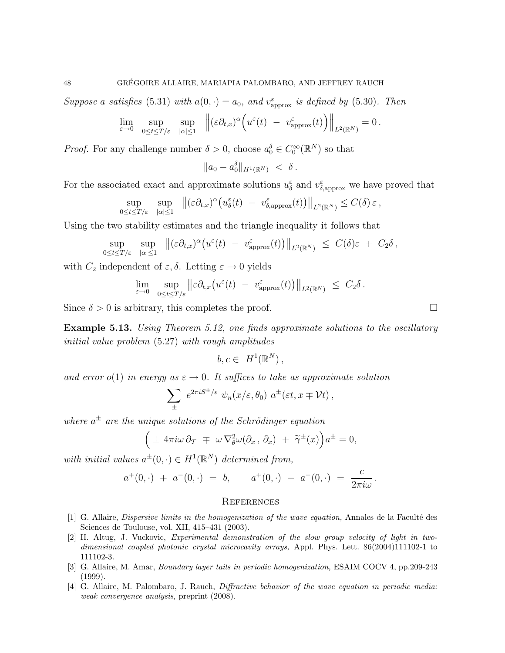Suppose a satisfies (5.31) with  $a(0, \cdot) = a_0$ , and  $v_{\text{approx}}^{\varepsilon}$  is defined by (5.30). Then

$$
\lim_{\varepsilon\to 0}\;\;\sup_{0\leq t\leq T/\varepsilon}\;\;\sup_{|\alpha|\leq 1}\;\;\left\|(\varepsilon\partial_{t,x})^\alpha\Big(u^\varepsilon(t)\;-\;v^\varepsilon_{\rm approx}(t)\Big)\right\|_{L^2(\mathbb{R}^N)}=0\,.
$$

*Proof.* For any challenge number  $\delta > 0$ , choose  $a_0^{\delta} \in C_0^{\infty}(\mathbb{R}^N)$  so that

$$
\|a_0 - a_0^{\delta}\|_{H^1(\mathbb{R}^N)} \; < \; \delta \, .
$$

For the associated exact and approximate solutions  $u_{\delta}^{\varepsilon}$  and  $v_{\delta,\text{approx}}^{\varepsilon}$  we have proved that

$$
\sup_{0\leq t\leq T/\varepsilon} \sup_{|\alpha|\leq 1} \|(\varepsilon\partial_{t,x})^{\alpha}\big(u_{\delta}^{\varepsilon}(t) - v_{\delta,\mathrm{approx}}^{\varepsilon}(t)\big)\|_{L^{2}(\mathbb{R}^{N})} \leq C(\delta)\,\varepsilon\,,
$$

Using the two stability estimates and the triangle inequality it follows that

$$
\sup_{0\leq t\leq T/\varepsilon}\sup_{|\alpha|\leq 1}\|\big(\varepsilon\partial_{t,x})^\alpha\big(u^\varepsilon(t)\;-\;v^\varepsilon_{\text{approx}}(t)\big)\big\|_{L^2(\mathbb{R}^N)}\;\leq\;C(\delta)\varepsilon\;+\;C_2\delta\,,
$$

with  $C_2$  independent of  $\varepsilon, \delta$ . Letting  $\varepsilon \to 0$  yields

$$
\lim_{\varepsilon \to 0} \sup_{0 \le t \le T/\varepsilon} ||\varepsilon \partial_{t,x} \big( u^{\varepsilon}(t) - v^{\varepsilon}_{\text{approx}}(t) \big) ||_{L^{2}(\mathbb{R}^{N})} \ \leq \ C_{2} \delta \, .
$$

Since  $\delta > 0$  is arbitrary, this completes the proof.

**Example 5.13.** Using Theorem 5.12, one finds approximate solutions to the oscillatory initial value problem (5.27) with rough amplitudes

$$
b, c \in H^1(\mathbb{R}^N),
$$

and error o(1) in energy as  $\varepsilon \to 0$ . It suffices to take as approximate solution

$$
\sum_{\pm} e^{2\pi i S^{\pm}/\varepsilon} \psi_n(x/\varepsilon, \theta_0) a^{\pm}(\varepsilon t, x \mp \mathcal{V}t),
$$

where  $a^{\pm}$  are the unique solutions of the Schrödinger equation

$$
\left(\pm 4\pi i\omega \,\partial_T \mp \omega \,\nabla_{\theta}^2 \omega(\partial_x, \partial_x) + \tilde{\gamma}^{\pm}(x)\right) a^{\pm} = 0,
$$

with initial values  $a^{\pm}(0, \cdot) \in H^1(\mathbb{R}^N)$  determined from,

$$
a^+(0,\cdot) + a^-(0,\cdot) = b, \qquad a^+(0,\cdot) - a^-(0,\cdot) = \frac{c}{2\pi i\omega}.
$$

#### **REFERENCES**

- [1] G. Allaire, Dispersive limits in the homogenization of the wave equation, Annales de la Facult´e des Sciences de Toulouse, vol. XII, 415–431 (2003).
- [2] H. Altug, J. Vuckovic, Experimental demonstration of the slow group velocity of light in twodimensional coupled photonic crystal microcavity arrays, Appl. Phys. Lett. 86(2004)111102-1 to 111102-3.
- [3] G. Allaire, M. Amar, Boundary layer tails in periodic homogenization, ESAIM COCV 4, pp.209-243 (1999).
- [4] G. Allaire, M. Palombaro, J. Rauch, Diffractive behavior of the wave equation in periodic media: weak convergence analysis, preprint (2008).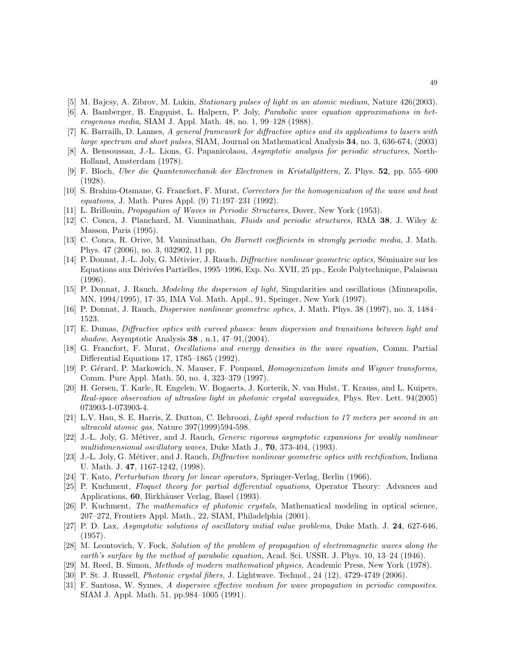- [5] M. Bajcsy, A. Zibrov, M. Lukin, Stationary pulses of light in an atomic medium, Nature 426(2003).
- [6] A. Bamberger, B. Engquist, L. Halpern, P. Joly, Parabolic wave equation approximations in heterogenous media, SIAM J. Appl. Math. 48, no. 1, 99–128 (1988).
- [7] K. Barrailh, D. Lannes, A general framework for diffractive optics and its applications to lasers with large spectrum and short pulses, SIAM, Journal on Mathematical Analysis 34, no. 3, 636-674, (2003)
- [8] A. Bensoussan, J.-L. Lions, G. Papanicolaou, Asymptotic analysis for periodic structures, North-Holland, Amsterdam (1978).
- [9] F. Bloch, Uber die Quantenmechanik der Electronen in Kristallgittern, Z. Phys. 52, pp. 555–600 (1928).
- [10] S. Brahim-Otsmane, G. Francfort, F. Murat, Correctors for the homogenization of the wave and heat equations, J. Math. Pures Appl. (9) 71:197–231 (1992).
- [11] L. Brillouin, Propagation of Waves in Periodic Structures, Dover, New York (1953).
- [12] C. Conca, J. Planchard, M. Vanninathan, Fluids and periodic structures, RMA 38, J. Wiley & Masson, Paris (1995).
- [13] C. Conca, R. Orive, M. Vanninathan, On Burnett coefficients in strongly periodic media, J. Math. Phys. 47 (2006), no. 3, 032902, 11 pp.
- [14] P. Donnat, J.-L. Joly, G. Métivier, J. Rauch, *Diffractive nonlinear geometric optics*, Séminaire sur les Equations aux D´eriv´ees Partielles, 1995–1996, Exp. No. XVII, 25 pp., Ecole Polytechnique, Palaiseau (1996).
- [15] P. Donnat, J. Rauch, Modeling the dispersion of light, Singularities and oscillations (Minneapolis, MN, 1994/1995), 17–35, IMA Vol. Math. Appl., 91, Springer, New York (1997).
- [16] P. Donnat, J. Rauch, Dispersive nonlinear geometric optics, J. Math. Phys. 38 (1997), no. 3, 1484– 1523.
- [17] E. Dumas, Diffractive optics with curved phases: beam dispersion and transitions between light and shadow, Asymptotic Analysis 38 , n.1, 47–91,(2004).
- [18] G. Francfort, F. Murat, Oscillations and energy densities in the wave equation, Comm. Partial Differential Equations 17, 1785–1865 (1992).
- [19] P. Gérard, P. Markowich, N. Mauser, F. Poupaud, Homogenization limits and Wigner transforms, Comm. Pure Appl. Math. 50, no. 4, 323–379 (1997).
- [20] H. Gersen, T. Karle, R. Engelen, W. Bogaerts, J. Korterik, N. van Hulst, T. Krauss, and L. Kuipers, Real-space observation of ultraslow light in photonic crystal waveguides, Phys. Rev. Lett. 94(2005) 073903-1-073903-4.
- [21] L.V. Hau, S. E. Harris, Z. Dutton, C. Behroozi, Light speed reduction to 17 meters per second in an ultracold atomic gas, Nature 397(1999)594-598.
- [22] J.-L. Joly, G. Métiver, and J. Rauch, *Generic rigorous asymptotic expansions for weakly nonlinear* multidimensional oscillatory waves, Duke Math J., 70, 373-404, (1993).
- [23] J.-L. Joly, G. Métiver, and J. Rauch, *Diffractive nonlinear geometric optics with rectification*, Indiana U. Math. J. 47, 1167-1242, (1998).
- [24] T. Kato, Perturbation theory for linear operators, Springer-Verlag, Berlin (1966).
- [25] P. Kuchment, Floquet theory for partial differential equations, Operator Theory: Advances and Applications, 60, Birkhäuser Verlag, Basel (1993).
- [26] P. Kuchment, The mathematics of photonic crystals, Mathematical modeling in optical science, 207–272, Frontiers Appl. Math., 22, SIAM, Philadelphia (2001).
- [27] P. D. Lax, Asymptotic solutions of oscillatory initial value problems, Duke Math. J. 24, 627-646, (1957).
- [28] M. Leontovich, V. Fock, Solution of the problem of propagation of electromagnetic waves along the earth's surface by the method of parabolic equation, Acad. Sci. USSR. J. Phys. 10, 13–24 (1946).
- [29] M. Reed, B. Simon, Methods of modern mathematical physics, Academic Press, New York (1978).
- [30] P. St. J. Russell, Photonic crystal fibers, J. Lightwave. Technol., 24 (12), 4729-4749 (2006).
- [31] F. Santosa, W. Symes, A dispersive effective medium for wave propagation in periodic composites. SIAM J. Appl. Math. 51, pp.984–1005 (1991).